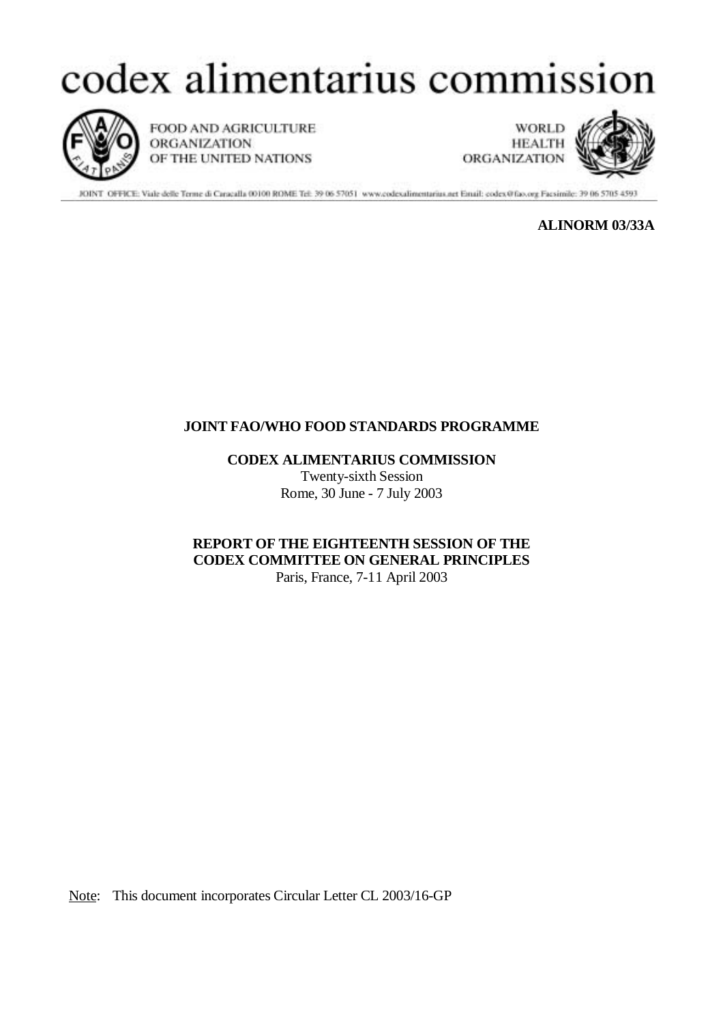## codex alimentarius commission



FOOD AND AGRICULTURE ORGANIZATION OF THE UNITED NATIONS

**WORLD HEALTH** ORGANIZATION



JOINT OFFICE: Vide delle Terme di Caracalla 00100 ROME Tel: 39 06 57051 www.codesalimentarius.net Email: codex@fao.org Facsimile: 39 06 5705 4593

**ALINORM 03/33A**

## **JOINT FAO/WHO FOOD STANDARDS PROGRAMME**

**CODEX ALIMENTARIUS COMMISSION**

Twenty-sixth Session Rome, 30 June - 7 July 2003

**REPORT OF THE EIGHTEENTH SESSION OF THE CODEX COMMITTEE ON GENERAL PRINCIPLES** Paris, France, 7-11 April 2003

Note: This document incorporates Circular Letter CL 2003/16-GP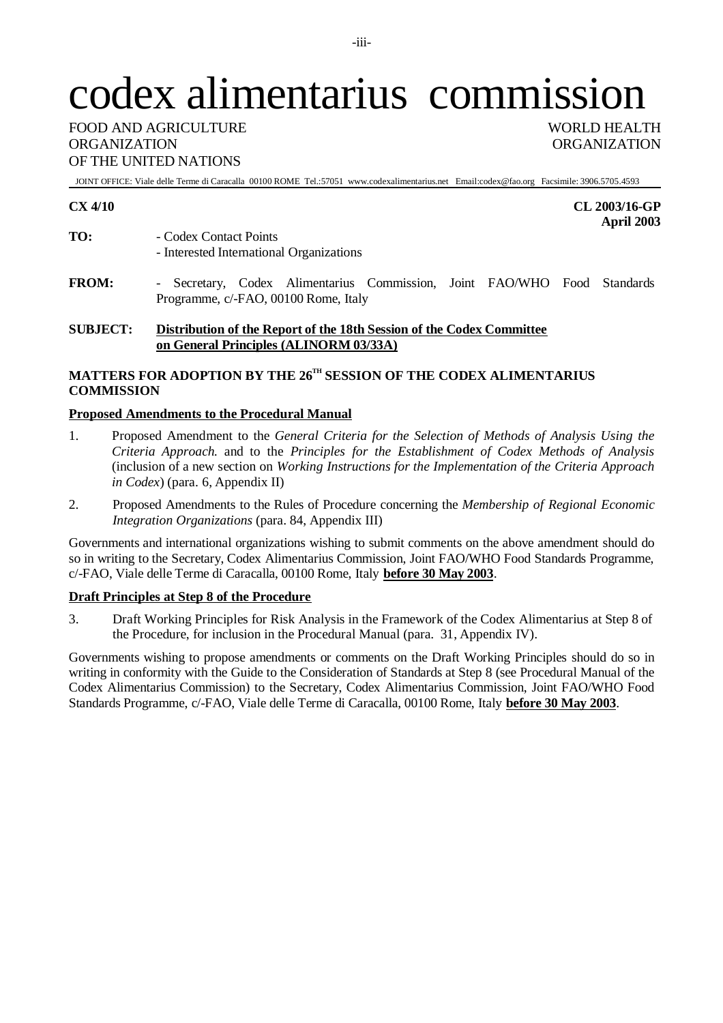# codex alimentarius commission

FOOD AND AGRICULTURE **WORLD HEALTH** ORGANIZATION ORGANIZATION OF THE UNITED NATIONS

JOINT OFFICE: Viale delle Terme di Caracalla 00100 ROME Tel.:57051 www.codexalimentarius.net Email:codex@fao.org Facsimile: 3906.5705.4593

**CX 4/10 CL 2003/16-GP April 2003**

- **TO:** Codex Contact Points - Interested International Organizations
- **FROM:** Secretary, Codex Alimentarius Commission, Joint FAO/WHO Food Standards Programme, c/-FAO, 00100 Rome, Italy

## **SUBJECT: Distribution of the Report of the 18th Session of the Codex Committee on General Principles (ALINORM 03/33A)**

## **MATTERS FOR ADOPTION BY THE 26TH SESSION OF THE CODEX ALIMENTARIUS COMMISSION**

## **Proposed Amendments to the Procedural Manual**

- 1. Proposed Amendment to the *General Criteria for the Selection of Methods of Analysis Using the Criteria Approach.* and to the *Principles for the Establishment of Codex Methods of Analysis* (inclusion of a new section on *Working Instructions for the Implementation of the Criteria Approach in Codex*) (para. 6, Appendix II)
- 2. Proposed Amendments to the Rules of Procedure concerning the *Membership of Regional Economic Integration Organizations* (para. 84, Appendix III)

Governments and international organizations wishing to submit comments on the above amendment should do so in writing to the Secretary, Codex Alimentarius Commission, Joint FAO/WHO Food Standards Programme, c/-FAO, Viale delle Terme di Caracalla, 00100 Rome, Italy **before 30 May 2003**.

## **Draft Principles at Step 8 of the Procedure**

3. Draft Working Principles for Risk Analysis in the Framework of the Codex Alimentarius at Step 8 of the Procedure, for inclusion in the Procedural Manual (para. 31, Appendix IV).

Governments wishing to propose amendments or comments on the Draft Working Principles should do so in writing in conformity with the Guide to the Consideration of Standards at Step 8 (see Procedural Manual of the Codex Alimentarius Commission) to the Secretary, Codex Alimentarius Commission, Joint FAO/WHO Food Standards Programme, c/-FAO, Viale delle Terme di Caracalla, 00100 Rome, Italy **before 30 May 2003**.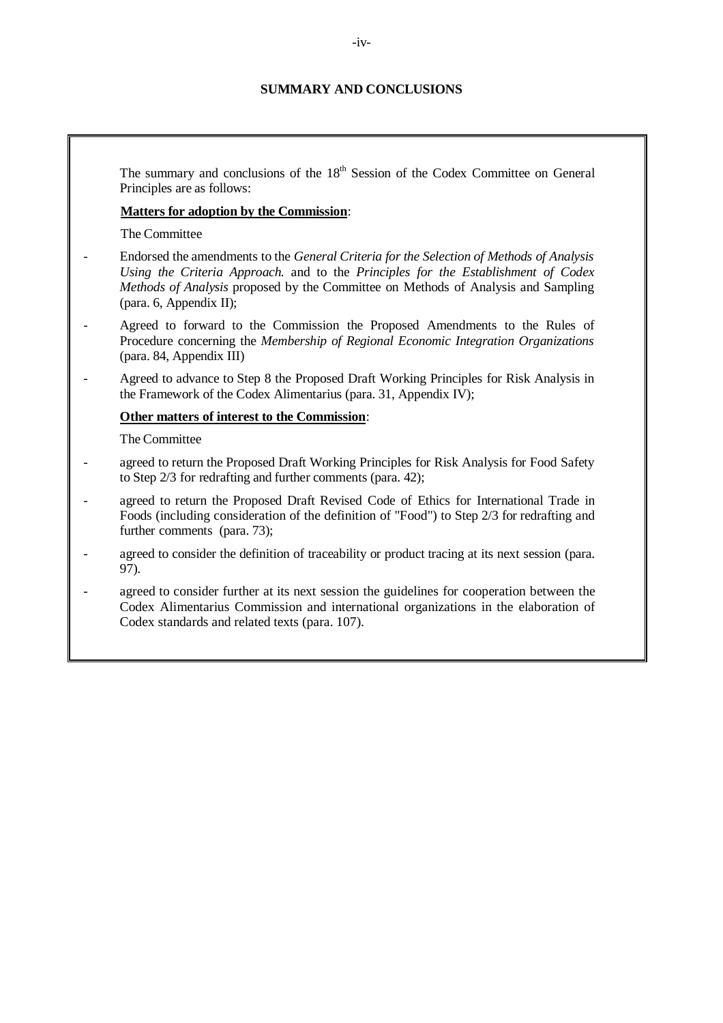## **SUMMARY AND CONCLUSIONS**

The summary and conclusions of the  $18<sup>th</sup>$  Session of the Codex Committee on General Principles are as follows:

## **Matters for adoption by the Commission**:

The Committee

- Endorsed the amendments to the *General Criteria for the Selection of Methods of Analysis Using the Criteria Approach.* and to the *Principles for the Establishment of Codex Methods of Analysis* proposed by the Committee on Methods of Analysis and Sampling (para. 6, Appendix II);
- Agreed to forward to the Commission the Proposed Amendments to the Rules of Procedure concerning the *Membership of Regional Economic Integration Organizations* (para. 84, Appendix III)
- Agreed to advance to Step 8 the Proposed Draft Working Principles for Risk Analysis in the Framework of the Codex Alimentarius (para. 31, Appendix IV);

## **Other matters of interest to the Commission**:

The Committee

- agreed to return the Proposed Draft Working Principles for Risk Analysis for Food Safety to Step 2/3 for redrafting and further comments (para. 42);
- agreed to return the Proposed Draft Revised Code of Ethics for International Trade in Foods (including consideration of the definition of "Food") to Step 2/3 for redrafting and further comments (para. 73);
- agreed to consider the definition of traceability or product tracing at its next session (para. 97).
- agreed to consider further at its next session the guidelines for cooperation between the Codex Alimentarius Commission and international organizations in the elaboration of Codex standards and related texts (para. 107).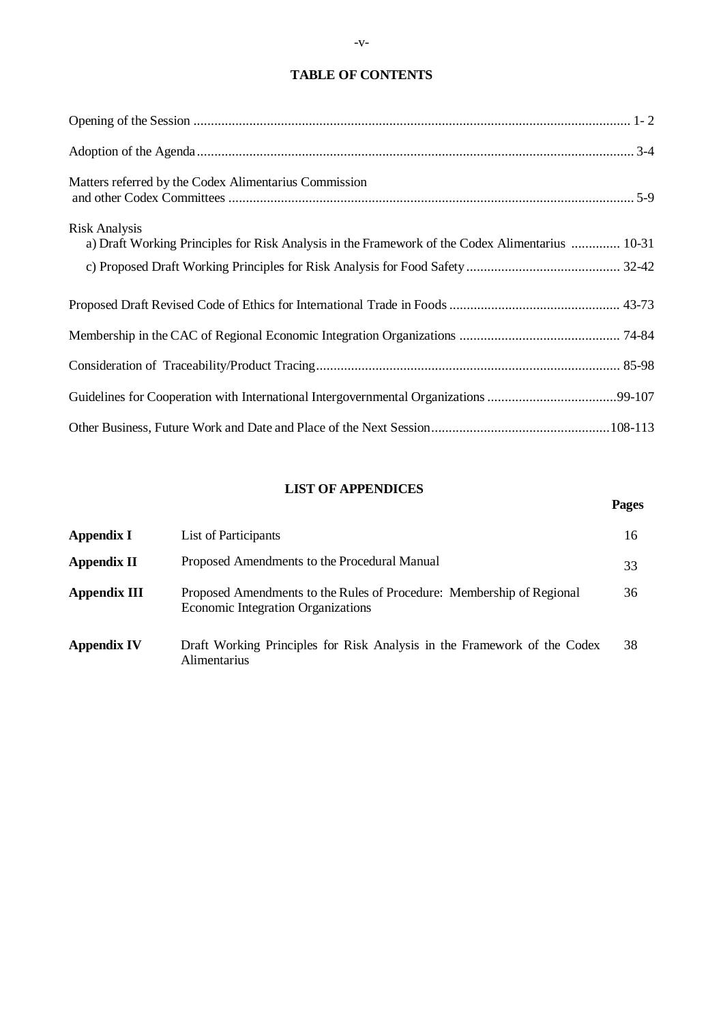## **TABLE OF CONTENTS**

| Matters referred by the Codex Alimentarius Commission                                                                   |
|-------------------------------------------------------------------------------------------------------------------------|
| <b>Risk Analysis</b><br>a) Draft Working Principles for Risk Analysis in the Framework of the Codex Alimentarius  10-31 |
|                                                                                                                         |
|                                                                                                                         |
|                                                                                                                         |
|                                                                                                                         |
|                                                                                                                         |
|                                                                                                                         |

## **LIST OF APPENDICES**

**Pages**

## **Appendix I** List of Participants 16 **Appendix II** Proposed Amendments to the Procedural Manual 33 **Appendix III** Proposed Amendments to the Rules of Procedure: Membership of Regional Economic Integration Organizations 36 **Appendix IV** Draft Working Principles for Risk Analysis in the Framework of the Codex Alimentarius 38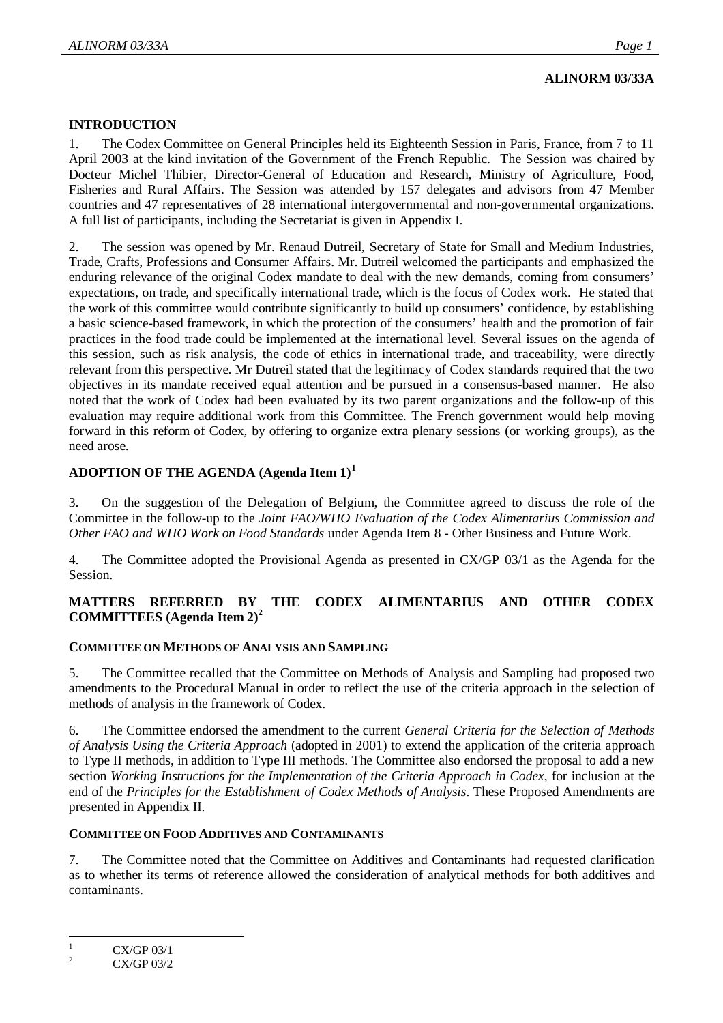## **ALINORM 03/33A**

## **INTRODUCTION**

1. The Codex Committee on General Principles held its Eighteenth Session in Paris, France, from 7 to 11 April 2003 at the kind invitation of the Government of the French Republic. The Session was chaired by Docteur Michel Thibier, Director-General of Education and Research, Ministry of Agriculture, Food, Fisheries and Rural Affairs. The Session was attended by 157 delegates and advisors from 47 Member countries and 47 representatives of 28 international intergovernmental and non-governmental organizations. A full list of participants, including the Secretariat is given in Appendix I.

2. The session was opened by Mr. Renaud Dutreil, Secretary of State for Small and Medium Industries, Trade, Crafts, Professions and Consumer Affairs. Mr. Dutreil welcomed the participants and emphasized the enduring relevance of the original Codex mandate to deal with the new demands, coming from consumers' expectations, on trade, and specifically international trade, which is the focus of Codex work. He stated that the work of this committee would contribute significantly to build up consumers' confidence, by establishing a basic science-based framework, in which the protection of the consumers' health and the promotion of fair practices in the food trade could be implemented at the international level. Several issues on the agenda of this session, such as risk analysis, the code of ethics in international trade, and traceability, were directly relevant from this perspective. Mr Dutreil stated that the legitimacy of Codex standards required that the two objectives in its mandate received equal attention and be pursued in a consensus-based manner. He also noted that the work of Codex had been evaluated by its two parent organizations and the follow-up of this evaluation may require additional work from this Committee. The French government would help moving forward in this reform of Codex, by offering to organize extra plenary sessions (or working groups), as the need arose.

## **ADOPTION OF THE AGENDA (Agenda Item 1)<sup>1</sup>**

3. On the suggestion of the Delegation of Belgium, the Committee agreed to discuss the role of the Committee in the follow-up to the *Joint FAO/WHO Evaluation of the Codex Alimentarius Commission and Other FAO and WHO Work on Food Standards* under Agenda Item 8 - Other Business and Future Work.

4. The Committee adopted the Provisional Agenda as presented in CX/GP 03/1 as the Agenda for the Session.

## **MATTERS REFERRED BY THE CODEX ALIMENTARIUS AND OTHER CODEX COMMITTEES (Agenda Item 2)<sup>2</sup>**

## **COMMITTEE ON METHODS OF ANALYSIS AND SAMPLING**

5. The Committee recalled that the Committee on Methods of Analysis and Sampling had proposed two amendments to the Procedural Manual in order to reflect the use of the criteria approach in the selection of methods of analysis in the framework of Codex.

6. The Committee endorsed the amendment to the current *General Criteria for the Selection of Methods of Analysis Using the Criteria Approach* (adopted in 2001) to extend the application of the criteria approach to Type II methods, in addition to Type III methods. The Committee also endorsed the proposal to add a new section *Working Instructions for the Implementation of the Criteria Approach in Codex*, for inclusion at the end of the *Principles for the Establishment of Codex Methods of Analysis*. These Proposed Amendments are presented in Appendix II.

## **COMMITTEE ON FOOD ADDITIVES AND CONTAMINANTS**

7. The Committee noted that the Committee on Additives and Contaminants had requested clarification as to whether its terms of reference allowed the consideration of analytical methods for both additives and contaminants.

 $\overline{a}$ 1 CX/GP 03/1

 $\overline{2}$ CX/GP 03/2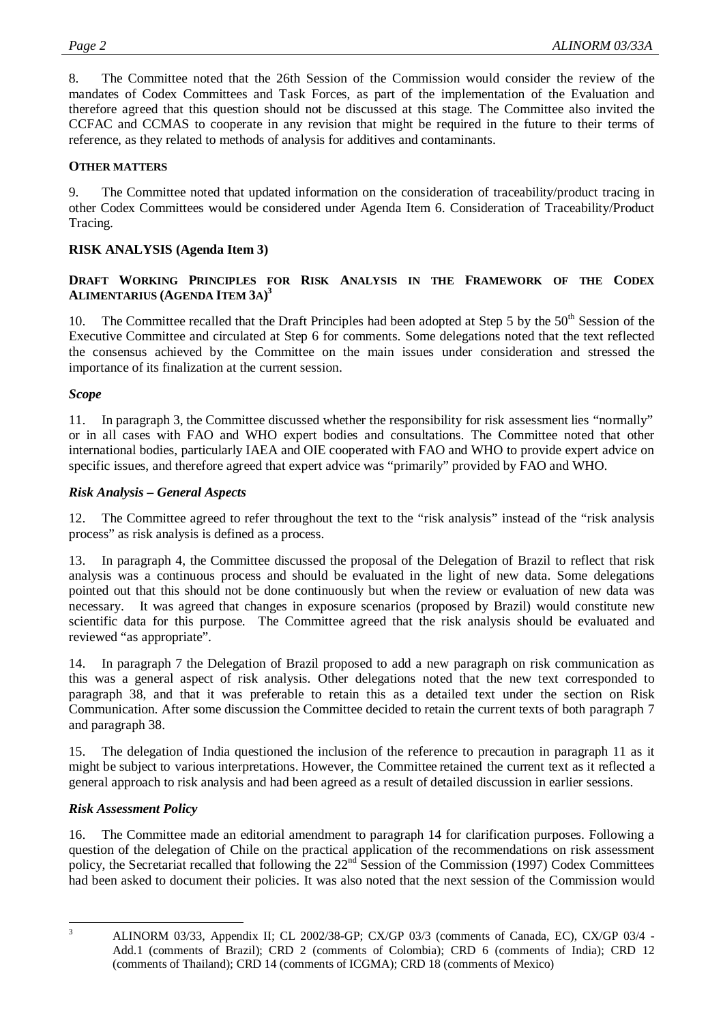8. The Committee noted that the 26th Session of the Commission would consider the review of the mandates of Codex Committees and Task Forces, as part of the implementation of the Evaluation and therefore agreed that this question should not be discussed at this stage. The Committee also invited the CCFAC and CCMAS to cooperate in any revision that might be required in the future to their terms of reference, as they related to methods of analysis for additives and contaminants.

## **OTHER MATTERS**

9. The Committee noted that updated information on the consideration of traceability/product tracing in other Codex Committees would be considered under Agenda Item 6. Consideration of Traceability/Product Tracing.

## **RISK ANALYSIS (Agenda Item 3)**

## **DRAFT WORKING PRINCIPLES FOR RISK ANALYSIS IN THE FRAMEWORK OF THE CODEX ALIMENTARIUS (AGENDA ITEM 3A) 3**

10. The Committee recalled that the Draft Principles had been adopted at Step 5 by the 50<sup>th</sup> Session of the Executive Committee and circulated at Step 6 for comments. Some delegations noted that the text reflected the consensus achieved by the Committee on the main issues under consideration and stressed the importance of its finalization at the current session.

## *Scope*

11. In paragraph 3, the Committee discussed whether the responsibility for risk assessment lies "normally" or in all cases with FAO and WHO expert bodies and consultations. The Committee noted that other international bodies, particularly IAEA and OIE cooperated with FAO and WHO to provide expert advice on specific issues, and therefore agreed that expert advice was "primarily" provided by FAO and WHO.

## *Risk Analysis – General Aspects*

12. The Committee agreed to refer throughout the text to the "risk analysis" instead of the "risk analysis process" as risk analysis is defined as a process.

13. In paragraph 4, the Committee discussed the proposal of the Delegation of Brazil to reflect that risk analysis was a continuous process and should be evaluated in the light of new data. Some delegations pointed out that this should not be done continuously but when the review or evaluation of new data was necessary. It was agreed that changes in exposure scenarios (proposed by Brazil) would constitute new scientific data for this purpose. The Committee agreed that the risk analysis should be evaluated and reviewed "as appropriate".

14. In paragraph 7 the Delegation of Brazil proposed to add a new paragraph on risk communication as this was a general aspect of risk analysis. Other delegations noted that the new text corresponded to paragraph 38, and that it was preferable to retain this as a detailed text under the section on Risk Communication. After some discussion the Committee decided to retain the current texts of both paragraph 7 and paragraph 38.

15. The delegation of India questioned the inclusion of the reference to precaution in paragraph 11 as it might be subject to various interpretations. However, the Committee retained the current text as it reflected a general approach to risk analysis and had been agreed as a result of detailed discussion in earlier sessions.

## *Risk Assessment Policy*

16. The Committee made an editorial amendment to paragraph 14 for clarification purposes. Following a question of the delegation of Chile on the practical application of the recommendations on risk assessment policy, the Secretariat recalled that following the  $22<sup>nd</sup>$  Session of the Commission (1997) Codex Committees had been asked to document their policies. It was also noted that the next session of the Commission would

<sup>2</sup><br>3

ALINORM 03/33, Appendix II; CL 2002/38-GP; CX/GP 03/3 (comments of Canada, EC), CX/GP 03/4 - Add.1 (comments of Brazil); CRD 2 (comments of Colombia); CRD 6 (comments of India); CRD 12 (comments of Thailand); CRD 14 (comments of ICGMA); CRD 18 (comments of Mexico)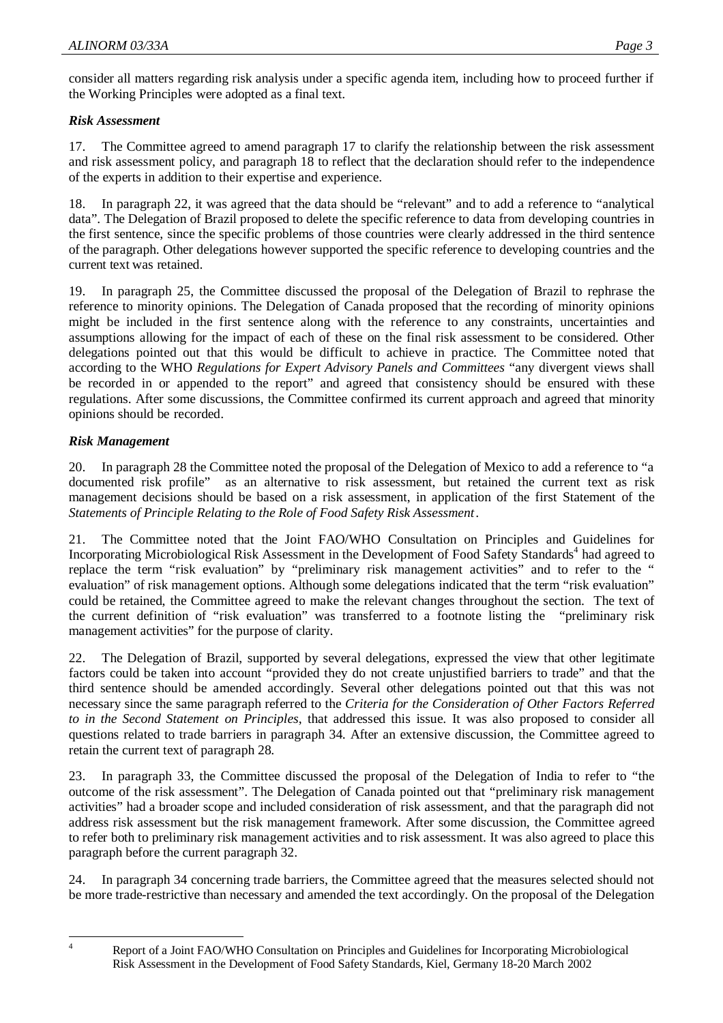consider all matters regarding risk analysis under a specific agenda item, including how to proceed further if the Working Principles were adopted as a final text.

## *Risk Assessment*

17. The Committee agreed to amend paragraph 17 to clarify the relationship between the risk assessment and risk assessment policy, and paragraph 18 to reflect that the declaration should refer to the independence of the experts in addition to their expertise and experience.

18. In paragraph 22, it was agreed that the data should be "relevant" and to add a reference to "analytical data". The Delegation of Brazil proposed to delete the specific reference to data from developing countries in the first sentence, since the specific problems of those countries were clearly addressed in the third sentence of the paragraph. Other delegations however supported the specific reference to developing countries and the current text was retained.

19. In paragraph 25, the Committee discussed the proposal of the Delegation of Brazil to rephrase the reference to minority opinions. The Delegation of Canada proposed that the recording of minority opinions might be included in the first sentence along with the reference to any constraints, uncertainties and assumptions allowing for the impact of each of these on the final risk assessment to be considered. Other delegations pointed out that this would be difficult to achieve in practice. The Committee noted that according to the WHO *Regulations for Expert Advisory Panels and Committees* "any divergent views shall be recorded in or appended to the report" and agreed that consistency should be ensured with these regulations. After some discussions, the Committee confirmed its current approach and agreed that minority opinions should be recorded.

## *Risk Management*

20. In paragraph 28 the Committee noted the proposal of the Delegation of Mexico to add a reference to "a documented risk profile" as an alternative to risk assessment, but retained the current text as risk management decisions should be based on a risk assessment, in application of the first Statement of the *Statements of Principle Relating to the Role of Food Safety Risk Assessment*.

21. The Committee noted that the Joint FAO/WHO Consultation on Principles and Guidelines for Incorporating Microbiological Risk Assessment in the Development of Food Safety Standards<sup>4</sup> had agreed to replace the term "risk evaluation" by "preliminary risk management activities" and to refer to the " evaluation" of risk management options. Although some delegations indicated that the term "risk evaluation" could be retained, the Committee agreed to make the relevant changes throughout the section. The text of the current definition of "risk evaluation" was transferred to a footnote listing the "preliminary risk management activities" for the purpose of clarity.

22. The Delegation of Brazil, supported by several delegations, expressed the view that other legitimate factors could be taken into account "provided they do not create unjustified barriers to trade" and that the third sentence should be amended accordingly. Several other delegations pointed out that this was not necessary since the same paragraph referred to the *Criteria for the Consideration of Other Factors Referred to in the Second Statement on Principles*, that addressed this issue. It was also proposed to consider all questions related to trade barriers in paragraph 34. After an extensive discussion, the Committee agreed to retain the current text of paragraph 28.

23. In paragraph 33, the Committee discussed the proposal of the Delegation of India to refer to "the outcome of the risk assessment". The Delegation of Canada pointed out that "preliminary risk management activities" had a broader scope and included consideration of risk assessment, and that the paragraph did not address risk assessment but the risk management framework. After some discussion, the Committee agreed to refer both to preliminary risk management activities and to risk assessment. It was also agreed to place this paragraph before the current paragraph 32.

24. In paragraph 34 concerning trade barriers, the Committee agreed that the measures selected should not be more trade-restrictive than necessary and amended the text accordingly. On the proposal of the Delegation

 $\frac{1}{4}$ 

Report of a Joint FAO/WHO Consultation on Principles and Guidelines for Incorporating Microbiological Risk Assessment in the Development of Food Safety Standards, Kiel, Germany 18-20 March 2002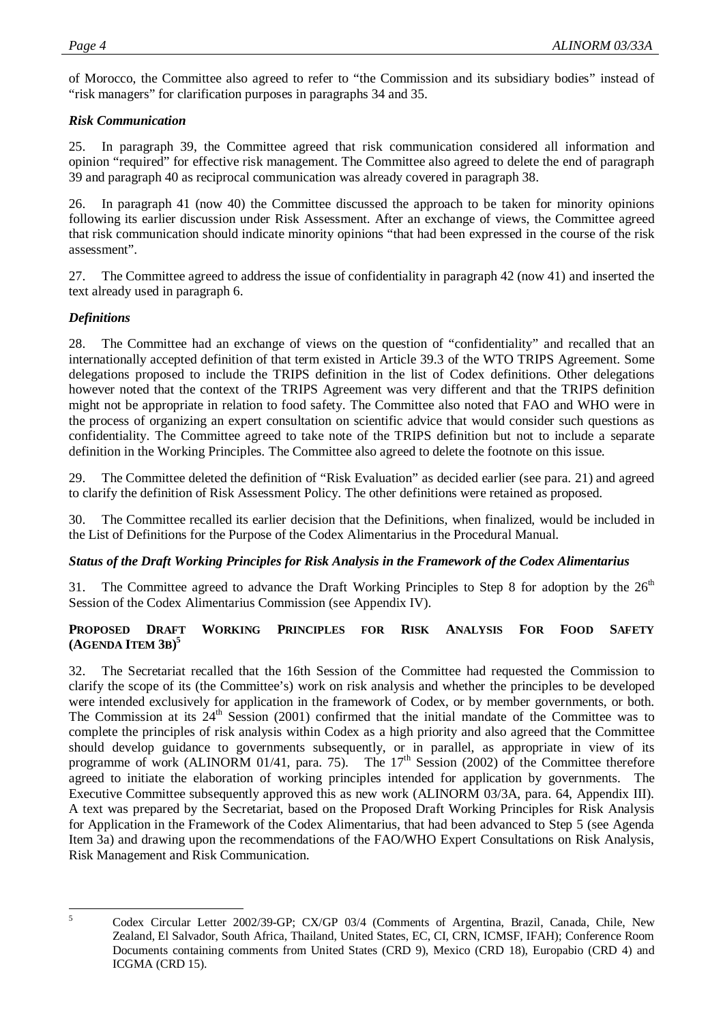of Morocco, the Committee also agreed to refer to "the Commission and its subsidiary bodies" instead of "risk managers" for clarification purposes in paragraphs 34 and 35.

## *Risk Communication*

25. In paragraph 39, the Committee agreed that risk communication considered all information and opinion "required" for effective risk management. The Committee also agreed to delete the end of paragraph 39 and paragraph 40 as reciprocal communication was already covered in paragraph 38.

26. In paragraph 41 (now 40) the Committee discussed the approach to be taken for minority opinions following its earlier discussion under Risk Assessment. After an exchange of views, the Committee agreed that risk communication should indicate minority opinions "that had been expressed in the course of the risk assessment".

27. The Committee agreed to address the issue of confidentiality in paragraph 42 (now 41) and inserted the text already used in paragraph 6.

## *Definitions*

28. The Committee had an exchange of views on the question of "confidentiality" and recalled that an internationally accepted definition of that term existed in Article 39.3 of the WTO TRIPS Agreement. Some delegations proposed to include the TRIPS definition in the list of Codex definitions. Other delegations however noted that the context of the TRIPS Agreement was very different and that the TRIPS definition might not be appropriate in relation to food safety. The Committee also noted that FAO and WHO were in the process of organizing an expert consultation on scientific advice that would consider such questions as confidentiality. The Committee agreed to take note of the TRIPS definition but not to include a separate definition in the Working Principles. The Committee also agreed to delete the footnote on this issue.

29. The Committee deleted the definition of "Risk Evaluation" as decided earlier (see para. 21) and agreed to clarify the definition of Risk Assessment Policy. The other definitions were retained as proposed.

30. The Committee recalled its earlier decision that the Definitions, when finalized, would be included in the List of Definitions for the Purpose of the Codex Alimentarius in the Procedural Manual.

## *Status of the Draft Working Principles for Risk Analysis in the Framework of the Codex Alimentarius*

31. The Committee agreed to advance the Draft Working Principles to Step 8 for adoption by the  $26<sup>th</sup>$ Session of the Codex Alimentarius Commission (see Appendix IV).

## **PROPOSED DRAFT WORKING PRINCIPLES FOR RISK ANALYSIS FOR FOOD SAFETY (AGENDA ITEM 3B) 5**

32. The Secretariat recalled that the 16th Session of the Committee had requested the Commission to clarify the scope of its (the Committee's) work on risk analysis and whether the principles to be developed were intended exclusively for application in the framework of Codex, or by member governments, or both. The Commission at its 24<sup>th</sup> Session (2001) confirmed that the initial mandate of the Committee was to complete the principles of risk analysis within Codex as a high priority and also agreed that the Committee should develop guidance to governments subsequently, or in parallel, as appropriate in view of its programme of work (ALINORM 01/41, para. 75). The  $17<sup>th</sup>$  Session (2002) of the Committee therefore agreed to initiate the elaboration of working principles intended for application by governments. The Executive Committee subsequently approved this as new work (ALINORM 03/3A, para. 64, Appendix III). A text was prepared by the Secretariat, based on the Proposed Draft Working Principles for Risk Analysis for Application in the Framework of the Codex Alimentarius, that had been advanced to Step 5 (see Agenda Item 3a) and drawing upon the recommendations of the FAO/WHO Expert Consultations on Risk Analysis, Risk Management and Risk Communication.

 5

Codex Circular Letter 2002/39-GP; CX/GP 03/4 (Comments of Argentina, Brazil, Canada, Chile, New Zealand, El Salvador, South Africa, Thailand, United States, EC, CI, CRN, ICMSF, IFAH); Conference Room Documents containing comments from United States (CRD 9), Mexico (CRD 18), Europabio (CRD 4) and ICGMA (CRD 15).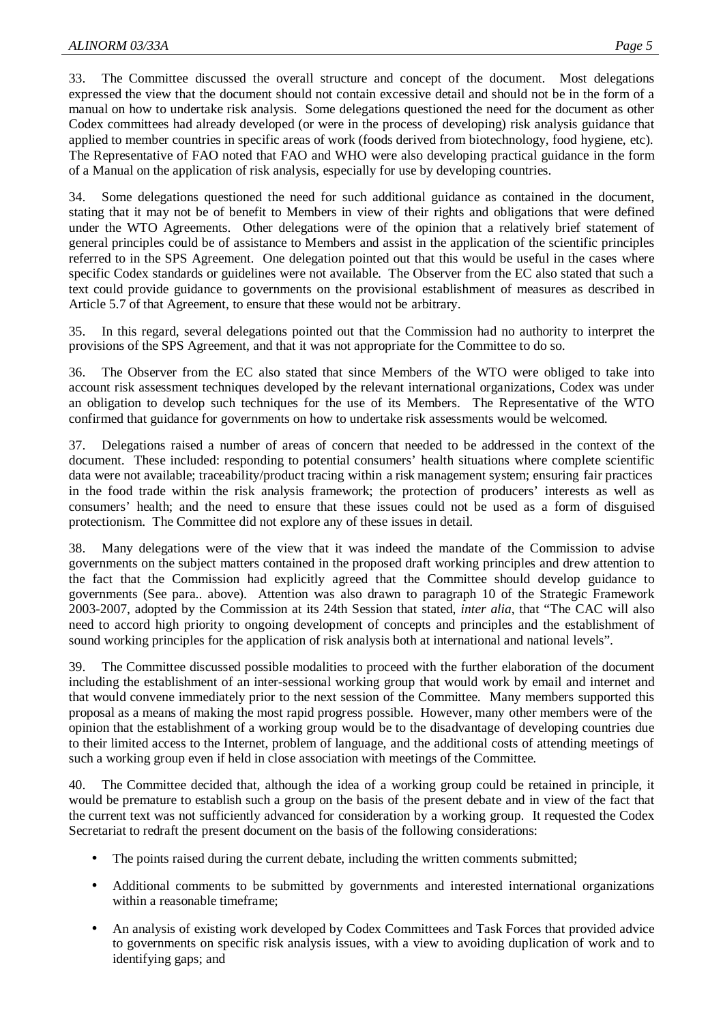33. The Committee discussed the overall structure and concept of the document. Most delegations expressed the view that the document should not contain excessive detail and should not be in the form of a manual on how to undertake risk analysis. Some delegations questioned the need for the document as other Codex committees had already developed (or were in the process of developing) risk analysis guidance that applied to member countries in specific areas of work (foods derived from biotechnology, food hygiene, etc). The Representative of FAO noted that FAO and WHO were also developing practical guidance in the form of a Manual on the application of risk analysis, especially for use by developing countries.

34. Some delegations questioned the need for such additional guidance as contained in the document, stating that it may not be of benefit to Members in view of their rights and obligations that were defined under the WTO Agreements. Other delegations were of the opinion that a relatively brief statement of general principles could be of assistance to Members and assist in the application of the scientific principles referred to in the SPS Agreement. One delegation pointed out that this would be useful in the cases where specific Codex standards or guidelines were not available. The Observer from the EC also stated that such a text could provide guidance to governments on the provisional establishment of measures as described in Article 5.7 of that Agreement, to ensure that these would not be arbitrary.

In this regard, several delegations pointed out that the Commission had no authority to interpret the provisions of the SPS Agreement, and that it was not appropriate for the Committee to do so.

36. The Observer from the EC also stated that since Members of the WTO were obliged to take into account risk assessment techniques developed by the relevant international organizations, Codex was under an obligation to develop such techniques for the use of its Members. The Representative of the WTO confirmed that guidance for governments on how to undertake risk assessments would be welcomed.

37. Delegations raised a number of areas of concern that needed to be addressed in the context of the document. These included: responding to potential consumers' health situations where complete scientific data were not available; traceability/product tracing within a risk management system; ensuring fair practices in the food trade within the risk analysis framework; the protection of producers' interests as well as consumers' health; and the need to ensure that these issues could not be used as a form of disguised protectionism. The Committee did not explore any of these issues in detail.

38. Many delegations were of the view that it was indeed the mandate of the Commission to advise governments on the subject matters contained in the proposed draft working principles and drew attention to the fact that the Commission had explicitly agreed that the Committee should develop guidance to governments (See para.. above). Attention was also drawn to paragraph 10 of the Strategic Framework 2003-2007, adopted by the Commission at its 24th Session that stated, *inter alia*, that "The CAC will also need to accord high priority to ongoing development of concepts and principles and the establishment of sound working principles for the application of risk analysis both at international and national levels".

39. The Committee discussed possible modalities to proceed with the further elaboration of the document including the establishment of an inter-sessional working group that would work by email and internet and that would convene immediately prior to the next session of the Committee. Many members supported this proposal as a means of making the most rapid progress possible. However, many other members were of the opinion that the establishment of a working group would be to the disadvantage of developing countries due to their limited access to the Internet, problem of language, and the additional costs of attending meetings of such a working group even if held in close association with meetings of the Committee.

40. The Committee decided that, although the idea of a working group could be retained in principle, it would be premature to establish such a group on the basis of the present debate and in view of the fact that the current text was not sufficiently advanced for consideration by a working group. It requested the Codex Secretariat to redraft the present document on the basis of the following considerations:

- The points raised during the current debate, including the written comments submitted;
- Additional comments to be submitted by governments and interested international organizations within a reasonable timeframe;
- An analysis of existing work developed by Codex Committees and Task Forces that provided advice to governments on specific risk analysis issues, with a view to avoiding duplication of work and to identifying gaps; and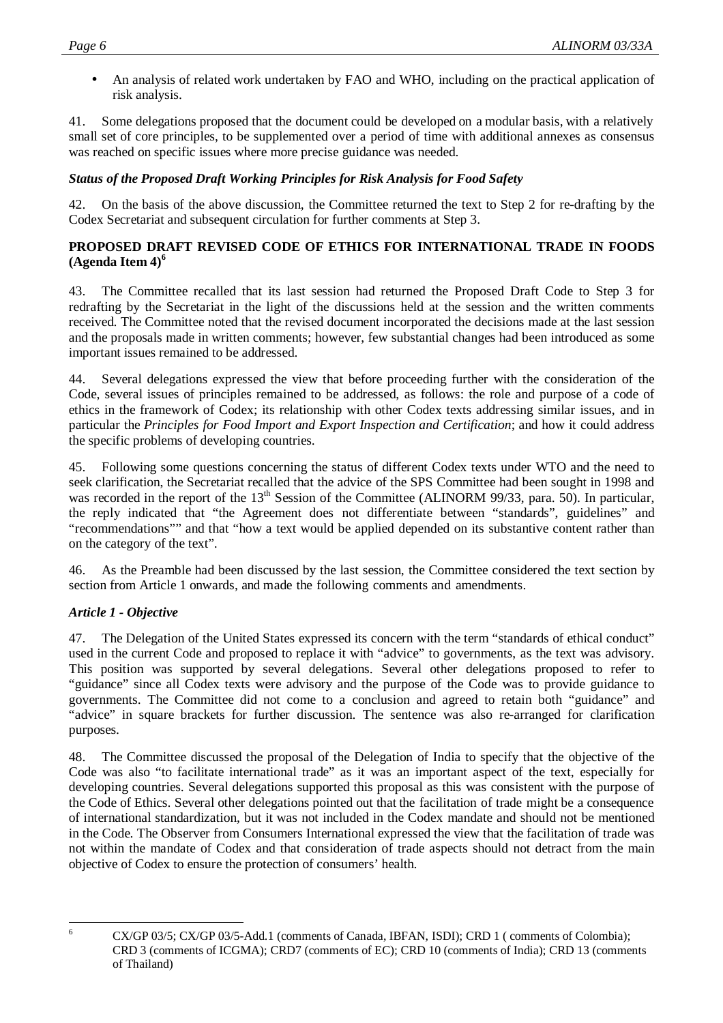• An analysis of related work undertaken by FAO and WHO, including on the practical application of risk analysis.

41. Some delegations proposed that the document could be developed on a modular basis, with a relatively small set of core principles, to be supplemented over a period of time with additional annexes as consensus was reached on specific issues where more precise guidance was needed.

## *Status of the Proposed Draft Working Principles for Risk Analysis for Food Safety*

42. On the basis of the above discussion, the Committee returned the text to Step 2 for re-drafting by the Codex Secretariat and subsequent circulation for further comments at Step 3.

## **PROPOSED DRAFT REVISED CODE OF ETHICS FOR INTERNATIONAL TRADE IN FOODS (Agenda Item 4)<sup>6</sup>**

43. The Committee recalled that its last session had returned the Proposed Draft Code to Step 3 for redrafting by the Secretariat in the light of the discussions held at the session and the written comments received. The Committee noted that the revised document incorporated the decisions made at the last session and the proposals made in written comments; however, few substantial changes had been introduced as some important issues remained to be addressed.

44. Several delegations expressed the view that before proceeding further with the consideration of the Code, several issues of principles remained to be addressed, as follows: the role and purpose of a code of ethics in the framework of Codex; its relationship with other Codex texts addressing similar issues, and in particular the *Principles for Food Import and Export Inspection and Certification*; and how it could address the specific problems of developing countries.

45. Following some questions concerning the status of different Codex texts under WTO and the need to seek clarification, the Secretariat recalled that the advice of the SPS Committee had been sought in 1998 and was recorded in the report of the 13<sup>th</sup> Session of the Committee (ALINORM 99/33, para. 50). In particular, the reply indicated that "the Agreement does not differentiate between "standards", guidelines" and "recommendations"" and that "how a text would be applied depended on its substantive content rather than on the category of the text".

46. As the Preamble had been discussed by the last session, the Committee considered the text section by section from Article 1 onwards, and made the following comments and amendments.

## *Article 1 - Objective*

47. The Delegation of the United States expressed its concern with the term "standards of ethical conduct" used in the current Code and proposed to replace it with "advice" to governments, as the text was advisory. This position was supported by several delegations. Several other delegations proposed to refer to "guidance" since all Codex texts were advisory and the purpose of the Code was to provide guidance to governments. The Committee did not come to a conclusion and agreed to retain both "guidance" and "advice" in square brackets for further discussion. The sentence was also re-arranged for clarification purposes.

48. The Committee discussed the proposal of the Delegation of India to specify that the objective of the Code was also "to facilitate international trade" as it was an important aspect of the text, especially for developing countries. Several delegations supported this proposal as this was consistent with the purpose of the Code of Ethics. Several other delegations pointed out that the facilitation of trade might be a consequence of international standardization, but it was not included in the Codex mandate and should not be mentioned in the Code. The Observer from Consumers International expressed the view that the facilitation of trade was not within the mandate of Codex and that consideration of trade aspects should not detract from the main objective of Codex to ensure the protection of consumers' health.

 6

CX/GP 03/5; CX/GP 03/5-Add.1 (comments of Canada, IBFAN, ISDI); CRD 1 ( comments of Colombia); CRD 3 (comments of ICGMA); CRD7 (comments of EC); CRD 10 (comments of India); CRD 13 (comments of Thailand)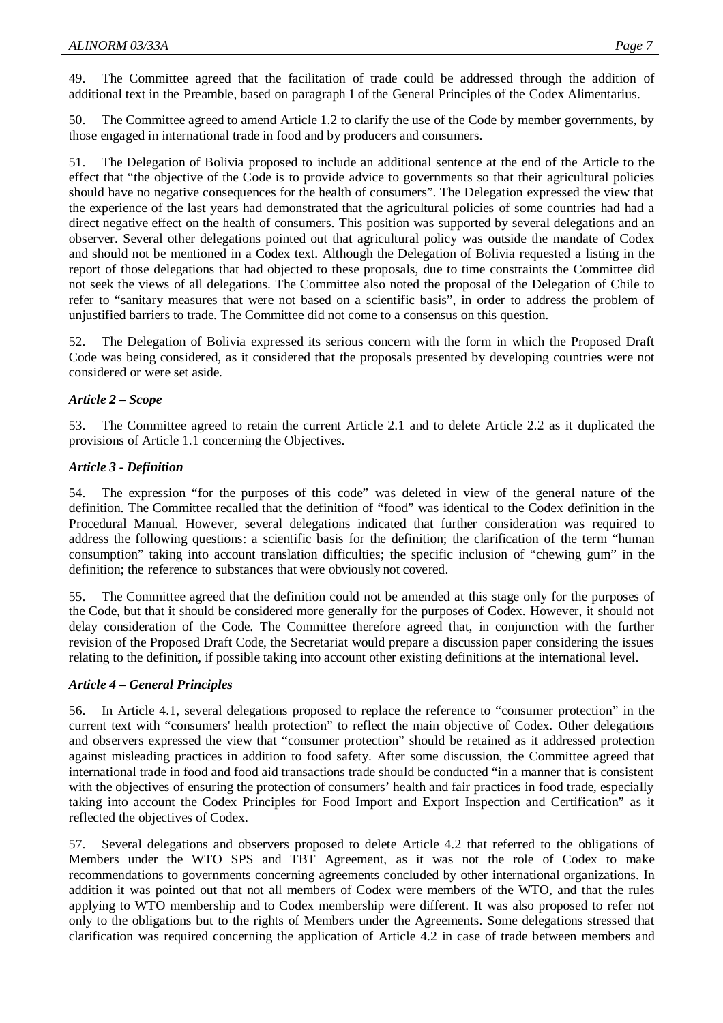49. The Committee agreed that the facilitation of trade could be addressed through the addition of additional text in the Preamble, based on paragraph 1 of the General Principles of the Codex Alimentarius.

50. The Committee agreed to amend Article 1.2 to clarify the use of the Code by member governments, by those engaged in international trade in food and by producers and consumers.

51. The Delegation of Bolivia proposed to include an additional sentence at the end of the Article to the effect that "the objective of the Code is to provide advice to governments so that their agricultural policies should have no negative consequences for the health of consumers". The Delegation expressed the view that the experience of the last years had demonstrated that the agricultural policies of some countries had had a direct negative effect on the health of consumers. This position was supported by several delegations and an observer. Several other delegations pointed out that agricultural policy was outside the mandate of Codex and should not be mentioned in a Codex text. Although the Delegation of Bolivia requested a listing in the report of those delegations that had objected to these proposals, due to time constraints the Committee did not seek the views of all delegations. The Committee also noted the proposal of the Delegation of Chile to refer to "sanitary measures that were not based on a scientific basis", in order to address the problem of unjustified barriers to trade. The Committee did not come to a consensus on this question.

52. The Delegation of Bolivia expressed its serious concern with the form in which the Proposed Draft Code was being considered, as it considered that the proposals presented by developing countries were not considered or were set aside.

## *Article 2 – Scope*

53. The Committee agreed to retain the current Article 2.1 and to delete Article 2.2 as it duplicated the provisions of Article 1.1 concerning the Objectives.

## *Article 3 - Definition*

54. The expression "for the purposes of this code" was deleted in view of the general nature of the definition. The Committee recalled that the definition of "food" was identical to the Codex definition in the Procedural Manual. However, several delegations indicated that further consideration was required to address the following questions: a scientific basis for the definition; the clarification of the term "human consumption" taking into account translation difficulties; the specific inclusion of "chewing gum" in the definition; the reference to substances that were obviously not covered.

55. The Committee agreed that the definition could not be amended at this stage only for the purposes of the Code, but that it should be considered more generally for the purposes of Codex. However, it should not delay consideration of the Code. The Committee therefore agreed that, in conjunction with the further revision of the Proposed Draft Code, the Secretariat would prepare a discussion paper considering the issues relating to the definition, if possible taking into account other existing definitions at the international level.

## *Article 4 – General Principles*

56. In Article 4.1, several delegations proposed to replace the reference to "consumer protection" in the current text with "consumers' health protection" to reflect the main objective of Codex. Other delegations and observers expressed the view that "consumer protection" should be retained as it addressed protection against misleading practices in addition to food safety. After some discussion, the Committee agreed that international trade in food and food aid transactions trade should be conducted "in a manner that is consistent with the objectives of ensuring the protection of consumers' health and fair practices in food trade, especially taking into account the Codex Principles for Food Import and Export Inspection and Certification" as it reflected the objectives of Codex.

57. Several delegations and observers proposed to delete Article 4.2 that referred to the obligations of Members under the WTO SPS and TBT Agreement, as it was not the role of Codex to make recommendations to governments concerning agreements concluded by other international organizations. In addition it was pointed out that not all members of Codex were members of the WTO, and that the rules applying to WTO membership and to Codex membership were different. It was also proposed to refer not only to the obligations but to the rights of Members under the Agreements. Some delegations stressed that clarification was required concerning the application of Article 4.2 in case of trade between members and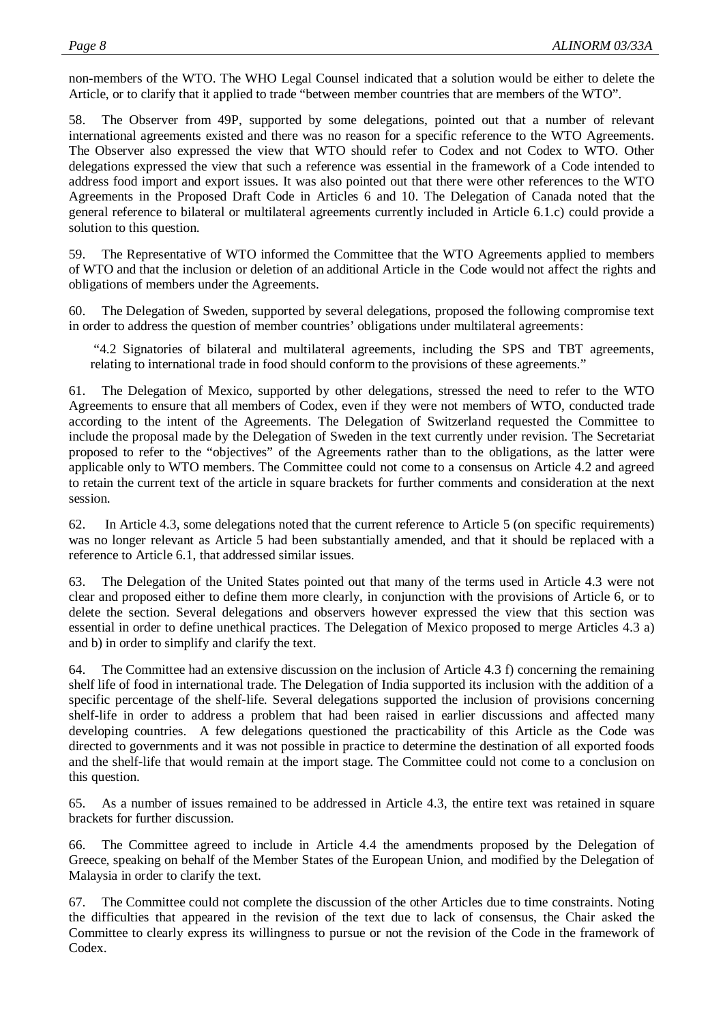non-members of the WTO. The WHO Legal Counsel indicated that a solution would be either to delete the Article, or to clarify that it applied to trade "between member countries that are members of the WTO".

58. The Observer from 49P, supported by some delegations, pointed out that a number of relevant international agreements existed and there was no reason for a specific reference to the WTO Agreements. The Observer also expressed the view that WTO should refer to Codex and not Codex to WTO. Other delegations expressed the view that such a reference was essential in the framework of a Code intended to address food import and export issues. It was also pointed out that there were other references to the WTO Agreements in the Proposed Draft Code in Articles 6 and 10. The Delegation of Canada noted that the general reference to bilateral or multilateral agreements currently included in Article 6.1.c) could provide a solution to this question.

59. The Representative of WTO informed the Committee that the WTO Agreements applied to members of WTO and that the inclusion or deletion of an additional Article in the Code would not affect the rights and obligations of members under the Agreements.

60. The Delegation of Sweden, supported by several delegations, proposed the following compromise text in order to address the question of member countries' obligations under multilateral agreements:

 "4.2 Signatories of bilateral and multilateral agreements, including the SPS and TBT agreements, relating to international trade in food should conform to the provisions of these agreements."

61. The Delegation of Mexico, supported by other delegations, stressed the need to refer to the WTO Agreements to ensure that all members of Codex, even if they were not members of WTO, conducted trade according to the intent of the Agreements. The Delegation of Switzerland requested the Committee to include the proposal made by the Delegation of Sweden in the text currently under revision. The Secretariat proposed to refer to the "objectives" of the Agreements rather than to the obligations, as the latter were applicable only to WTO members. The Committee could not come to a consensus on Article 4.2 and agreed to retain the current text of the article in square brackets for further comments and consideration at the next session.

62. In Article 4.3, some delegations noted that the current reference to Article 5 (on specific requirements) was no longer relevant as Article 5 had been substantially amended, and that it should be replaced with a reference to Article 6.1, that addressed similar issues.

63. The Delegation of the United States pointed out that many of the terms used in Article 4.3 were not clear and proposed either to define them more clearly, in conjunction with the provisions of Article 6, or to delete the section. Several delegations and observers however expressed the view that this section was essential in order to define unethical practices. The Delegation of Mexico proposed to merge Articles 4.3 a) and b) in order to simplify and clarify the text.

64. The Committee had an extensive discussion on the inclusion of Article 4.3 f) concerning the remaining shelf life of food in international trade. The Delegation of India supported its inclusion with the addition of a specific percentage of the shelf-life. Several delegations supported the inclusion of provisions concerning shelf-life in order to address a problem that had been raised in earlier discussions and affected many developing countries. A few delegations questioned the practicability of this Article as the Code was directed to governments and it was not possible in practice to determine the destination of all exported foods and the shelf-life that would remain at the import stage. The Committee could not come to a conclusion on this question.

65. As a number of issues remained to be addressed in Article 4.3, the entire text was retained in square brackets for further discussion.

66. The Committee agreed to include in Article 4.4 the amendments proposed by the Delegation of Greece, speaking on behalf of the Member States of the European Union, and modified by the Delegation of Malaysia in order to clarify the text.

67. The Committee could not complete the discussion of the other Articles due to time constraints. Noting the difficulties that appeared in the revision of the text due to lack of consensus, the Chair asked the Committee to clearly express its willingness to pursue or not the revision of the Code in the framework of Codex.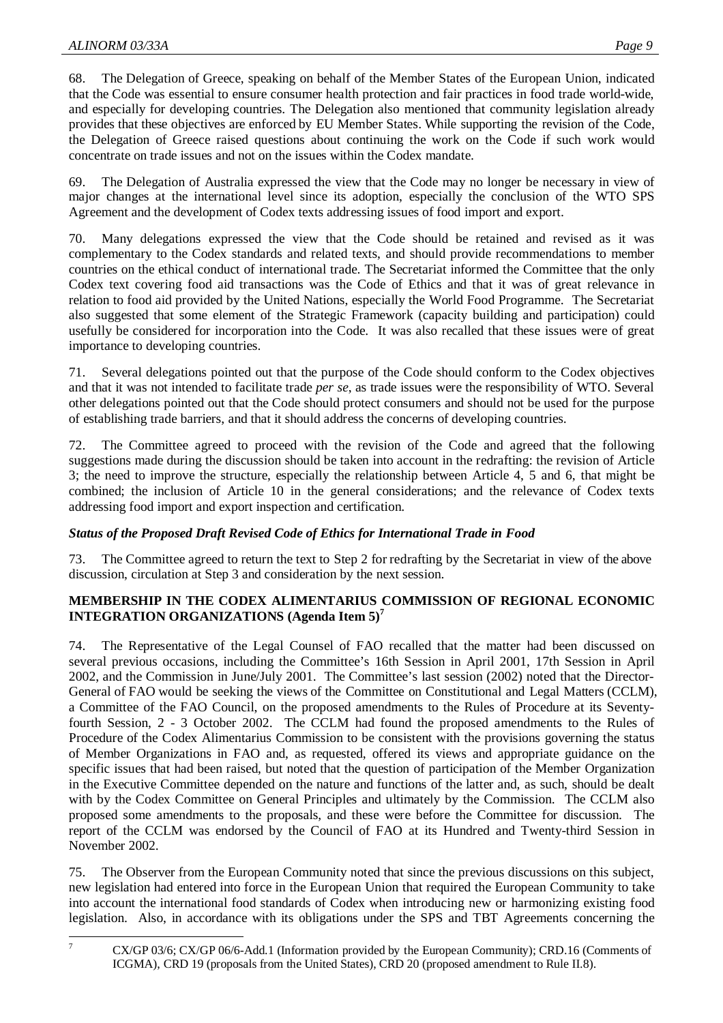68. The Delegation of Greece, speaking on behalf of the Member States of the European Union, indicated that the Code was essential to ensure consumer health protection and fair practices in food trade world-wide, and especially for developing countries. The Delegation also mentioned that community legislation already provides that these objectives are enforced by EU Member States. While supporting the revision of the Code, the Delegation of Greece raised questions about continuing the work on the Code if such work would concentrate on trade issues and not on the issues within the Codex mandate.

The Delegation of Australia expressed the view that the Code may no longer be necessary in view of major changes at the international level since its adoption, especially the conclusion of the WTO SPS Agreement and the development of Codex texts addressing issues of food import and export.

70. Many delegations expressed the view that the Code should be retained and revised as it was complementary to the Codex standards and related texts, and should provide recommendations to member countries on the ethical conduct of international trade. The Secretariat informed the Committee that the only Codex text covering food aid transactions was the Code of Ethics and that it was of great relevance in relation to food aid provided by the United Nations, especially the World Food Programme. The Secretariat also suggested that some element of the Strategic Framework (capacity building and participation) could usefully be considered for incorporation into the Code. It was also recalled that these issues were of great importance to developing countries.

71. Several delegations pointed out that the purpose of the Code should conform to the Codex objectives and that it was not intended to facilitate trade *per se*, as trade issues were the responsibility of WTO. Several other delegations pointed out that the Code should protect consumers and should not be used for the purpose of establishing trade barriers, and that it should address the concerns of developing countries.

72. The Committee agreed to proceed with the revision of the Code and agreed that the following suggestions made during the discussion should be taken into account in the redrafting: the revision of Article 3; the need to improve the structure, especially the relationship between Article 4, 5 and 6, that might be combined; the inclusion of Article 10 in the general considerations; and the relevance of Codex texts addressing food import and export inspection and certification.

## *Status of the Proposed Draft Revised Code of Ethics for International Trade in Food*

73. The Committee agreed to return the text to Step 2 for redrafting by the Secretariat in view of the above discussion, circulation at Step 3 and consideration by the next session.

## **MEMBERSHIP IN THE CODEX ALIMENTARIUS COMMISSION OF REGIONAL ECONOMIC INTEGRATION ORGANIZATIONS (Agenda Item 5)<sup>7</sup>**

74. The Representative of the Legal Counsel of FAO recalled that the matter had been discussed on several previous occasions, including the Committee's 16th Session in April 2001, 17th Session in April 2002, and the Commission in June/July 2001. The Committee's last session (2002) noted that the Director-General of FAO would be seeking the views of the Committee on Constitutional and Legal Matters (CCLM), a Committee of the FAO Council, on the proposed amendments to the Rules of Procedure at its Seventyfourth Session, 2 - 3 October 2002. The CCLM had found the proposed amendments to the Rules of Procedure of the Codex Alimentarius Commission to be consistent with the provisions governing the status of Member Organizations in FAO and, as requested, offered its views and appropriate guidance on the specific issues that had been raised, but noted that the question of participation of the Member Organization in the Executive Committee depended on the nature and functions of the latter and, as such, should be dealt with by the Codex Committee on General Principles and ultimately by the Commission. The CCLM also proposed some amendments to the proposals, and these were before the Committee for discussion. The report of the CCLM was endorsed by the Council of FAO at its Hundred and Twenty-third Session in November 2002.

75. The Observer from the European Community noted that since the previous discussions on this subject, new legislation had entered into force in the European Union that required the European Community to take into account the international food standards of Codex when introducing new or harmonizing existing food legislation. Also, in accordance with its obligations under the SPS and TBT Agreements concerning the

<sup>-&</sup>lt;br>7

CX/GP 03/6; CX/GP 06/6-Add.1 (Information provided by the European Community); CRD.16 (Comments of ICGMA), CRD 19 (proposals from the United States), CRD 20 (proposed amendment to Rule II.8).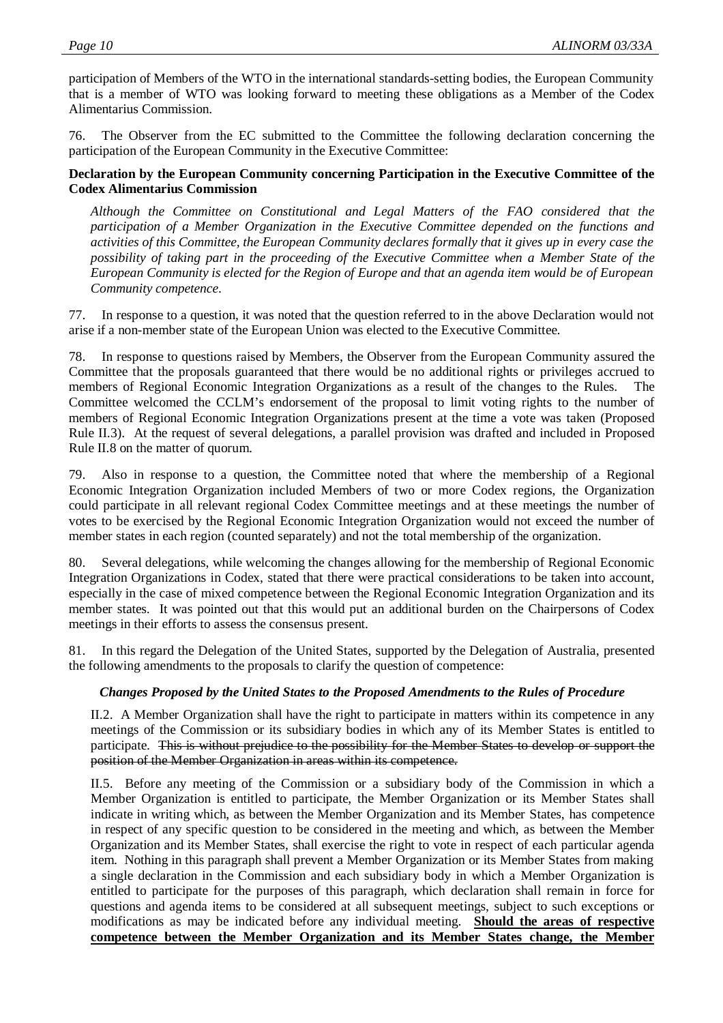participation of Members of the WTO in the international standards-setting bodies, the European Community that is a member of WTO was looking forward to meeting these obligations as a Member of the Codex Alimentarius Commission.

76. The Observer from the EC submitted to the Committee the following declaration concerning the participation of the European Community in the Executive Committee:

## **Declaration by the European Community concerning Participation in the Executive Committee of the Codex Alimentarius Commission**

*Although the Committee on Constitutional and Legal Matters of the FAO considered that the participation of a Member Organization in the Executive Committee depended on the functions and activities of this Committee, the European Community declares formally that it gives up in every case the possibility of taking part in the proceeding of the Executive Committee when a Member State of the European Community is elected for the Region of Europe and that an agenda item would be of European Community competence.*

77. In response to a question, it was noted that the question referred to in the above Declaration would not arise if a non-member state of the European Union was elected to the Executive Committee.

78. In response to questions raised by Members, the Observer from the European Community assured the Committee that the proposals guaranteed that there would be no additional rights or privileges accrued to members of Regional Economic Integration Organizations as a result of the changes to the Rules. The Committee welcomed the CCLM's endorsement of the proposal to limit voting rights to the number of members of Regional Economic Integration Organizations present at the time a vote was taken (Proposed Rule II.3). At the request of several delegations, a parallel provision was drafted and included in Proposed Rule II.8 on the matter of quorum.

79. Also in response to a question, the Committee noted that where the membership of a Regional Economic Integration Organization included Members of two or more Codex regions, the Organization could participate in all relevant regional Codex Committee meetings and at these meetings the number of votes to be exercised by the Regional Economic Integration Organization would not exceed the number of member states in each region (counted separately) and not the total membership of the organization.

80. Several delegations, while welcoming the changes allowing for the membership of Regional Economic Integration Organizations in Codex, stated that there were practical considerations to be taken into account, especially in the case of mixed competence between the Regional Economic Integration Organization and its member states. It was pointed out that this would put an additional burden on the Chairpersons of Codex meetings in their efforts to assess the consensus present.

81. In this regard the Delegation of the United States, supported by the Delegation of Australia, presented the following amendments to the proposals to clarify the question of competence:

## *Changes Proposed by the United States to the Proposed Amendments to the Rules of Procedure*

II.2. A Member Organization shall have the right to participate in matters within its competence in any meetings of the Commission or its subsidiary bodies in which any of its Member States is entitled to participate. This is without prejudice to the possibility for the Member States to develop or support the position of the Member Organization in areas within its competence.

II.5. Before any meeting of the Commission or a subsidiary body of the Commission in which a Member Organization is entitled to participate, the Member Organization or its Member States shall indicate in writing which, as between the Member Organization and its Member States, has competence in respect of any specific question to be considered in the meeting and which, as between the Member Organization and its Member States, shall exercise the right to vote in respect of each particular agenda item. Nothing in this paragraph shall prevent a Member Organization or its Member States from making a single declaration in the Commission and each subsidiary body in which a Member Organization is entitled to participate for the purposes of this paragraph, which declaration shall remain in force for questions and agenda items to be considered at all subsequent meetings, subject to such exceptions or modifications as may be indicated before any individual meeting. **Should the areas of respective competence between the Member Organization and its Member States change, the Member**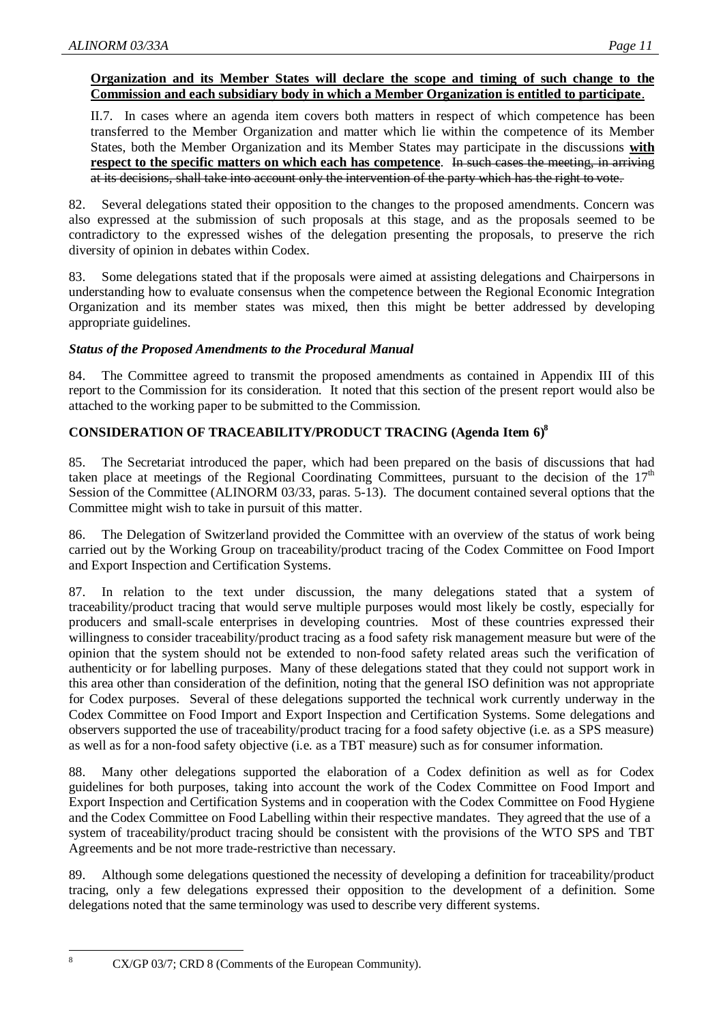## **Organization and its Member States will declare the scope and timing of such change to the Commission and each subsidiary body in which a Member Organization is entitled to participate**.

II.7. In cases where an agenda item covers both matters in respect of which competence has been transferred to the Member Organization and matter which lie within the competence of its Member States, both the Member Organization and its Member States may participate in the discussions **with respect to the specific matters on which each has competence**. In such cases the meeting, in arriving at its decisions, shall take into account only the intervention of the party which has the right to vote.

82. Several delegations stated their opposition to the changes to the proposed amendments. Concern was also expressed at the submission of such proposals at this stage, and as the proposals seemed to be contradictory to the expressed wishes of the delegation presenting the proposals, to preserve the rich diversity of opinion in debates within Codex.

83. Some delegations stated that if the proposals were aimed at assisting delegations and Chairpersons in understanding how to evaluate consensus when the competence between the Regional Economic Integration Organization and its member states was mixed, then this might be better addressed by developing appropriate guidelines.

## *Status of the Proposed Amendments to the Procedural Manual*

84. The Committee agreed to transmit the proposed amendments as contained in Appendix III of this report to the Commission for its consideration. It noted that this section of the present report would also be attached to the working paper to be submitted to the Commission.

## **CONSIDERATION OF TRACEABILITY/PRODUCT TRACING (Agenda Item 6)8**

85. The Secretariat introduced the paper, which had been prepared on the basis of discussions that had taken place at meetings of the Regional Coordinating Committees, pursuant to the decision of the  $17<sup>th</sup>$ Session of the Committee (ALINORM 03/33, paras. 5-13). The document contained several options that the Committee might wish to take in pursuit of this matter.

86. The Delegation of Switzerland provided the Committee with an overview of the status of work being carried out by the Working Group on traceability/product tracing of the Codex Committee on Food Import and Export Inspection and Certification Systems.

87. In relation to the text under discussion, the many delegations stated that a system of traceability/product tracing that would serve multiple purposes would most likely be costly, especially for producers and small-scale enterprises in developing countries. Most of these countries expressed their willingness to consider traceability/product tracing as a food safety risk management measure but were of the opinion that the system should not be extended to non-food safety related areas such the verification of authenticity or for labelling purposes. Many of these delegations stated that they could not support work in this area other than consideration of the definition, noting that the general ISO definition was not appropriate for Codex purposes. Several of these delegations supported the technical work currently underway in the Codex Committee on Food Import and Export Inspection and Certification Systems. Some delegations and observers supported the use of traceability/product tracing for a food safety objective (i.e. as a SPS measure) as well as for a non-food safety objective (i.e. as a TBT measure) such as for consumer information.

88. Many other delegations supported the elaboration of a Codex definition as well as for Codex guidelines for both purposes, taking into account the work of the Codex Committee on Food Import and Export Inspection and Certification Systems and in cooperation with the Codex Committee on Food Hygiene and the Codex Committee on Food Labelling within their respective mandates. They agreed that the use of a system of traceability/product tracing should be consistent with the provisions of the WTO SPS and TBT Agreements and be not more trade-restrictive than necessary.

89. Although some delegations questioned the necessity of developing a definition for traceability/product tracing, only a few delegations expressed their opposition to the development of a definition. Some delegations noted that the same terminology was used to describe very different systems.

CX/GP 03/7; CRD 8 (Comments of the European Community).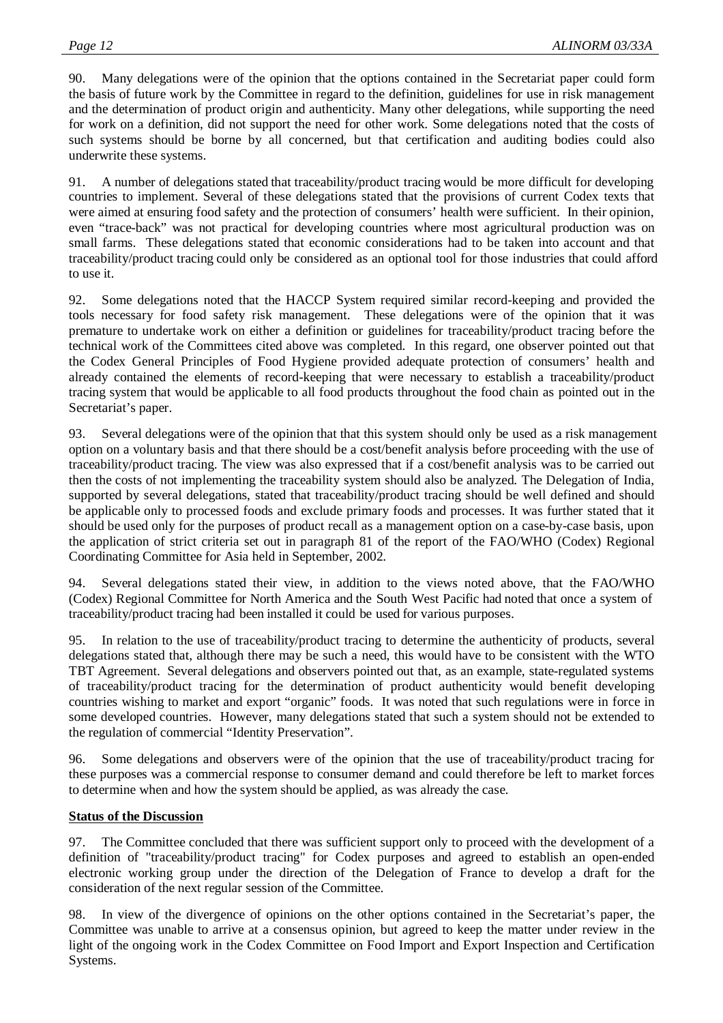90. Many delegations were of the opinion that the options contained in the Secretariat paper could form the basis of future work by the Committee in regard to the definition, guidelines for use in risk management and the determination of product origin and authenticity. Many other delegations, while supporting the need for work on a definition, did not support the need for other work. Some delegations noted that the costs of such systems should be borne by all concerned, but that certification and auditing bodies could also underwrite these systems.

91. A number of delegations stated that traceability/product tracing would be more difficult for developing countries to implement. Several of these delegations stated that the provisions of current Codex texts that were aimed at ensuring food safety and the protection of consumers' health were sufficient. In their opinion, even "trace-back" was not practical for developing countries where most agricultural production was on small farms. These delegations stated that economic considerations had to be taken into account and that traceability/product tracing could only be considered as an optional tool for those industries that could afford to use it.

92. Some delegations noted that the HACCP System required similar record-keeping and provided the tools necessary for food safety risk management. These delegations were of the opinion that it was premature to undertake work on either a definition or guidelines for traceability/product tracing before the technical work of the Committees cited above was completed. In this regard, one observer pointed out that the Codex General Principles of Food Hygiene provided adequate protection of consumers' health and already contained the elements of record-keeping that were necessary to establish a traceability/product tracing system that would be applicable to all food products throughout the food chain as pointed out in the Secretariat's paper.

93. Several delegations were of the opinion that that this system should only be used as a risk management option on a voluntary basis and that there should be a cost/benefit analysis before proceeding with the use of traceability/product tracing. The view was also expressed that if a cost/benefit analysis was to be carried out then the costs of not implementing the traceability system should also be analyzed. The Delegation of India, supported by several delegations, stated that traceability/product tracing should be well defined and should be applicable only to processed foods and exclude primary foods and processes. It was further stated that it should be used only for the purposes of product recall as a management option on a case-by-case basis, upon the application of strict criteria set out in paragraph 81 of the report of the FAO/WHO (Codex) Regional Coordinating Committee for Asia held in September, 2002.

94. Several delegations stated their view, in addition to the views noted above, that the FAO/WHO (Codex) Regional Committee for North America and the South West Pacific had noted that once a system of traceability/product tracing had been installed it could be used for various purposes.

95. In relation to the use of traceability/product tracing to determine the authenticity of products, several delegations stated that, although there may be such a need, this would have to be consistent with the WTO TBT Agreement. Several delegations and observers pointed out that, as an example, state-regulated systems of traceability/product tracing for the determination of product authenticity would benefit developing countries wishing to market and export "organic" foods. It was noted that such regulations were in force in some developed countries. However, many delegations stated that such a system should not be extended to the regulation of commercial "Identity Preservation".

96. Some delegations and observers were of the opinion that the use of traceability/product tracing for these purposes was a commercial response to consumer demand and could therefore be left to market forces to determine when and how the system should be applied, as was already the case.

## **Status of the Discussion**

97. The Committee concluded that there was sufficient support only to proceed with the development of a definition of "traceability/product tracing" for Codex purposes and agreed to establish an open-ended electronic working group under the direction of the Delegation of France to develop a draft for the consideration of the next regular session of the Committee.

98. In view of the divergence of opinions on the other options contained in the Secretariat's paper, the Committee was unable to arrive at a consensus opinion, but agreed to keep the matter under review in the light of the ongoing work in the Codex Committee on Food Import and Export Inspection and Certification Systems.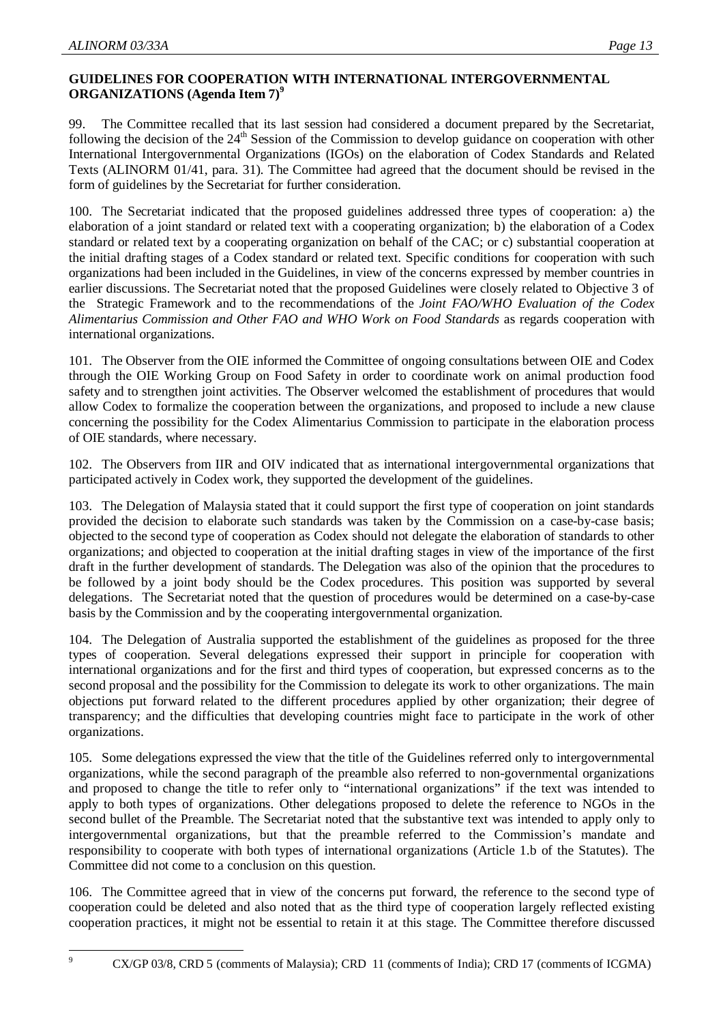## **GUIDELINES FOR COOPERATION WITH INTERNATIONAL INTERGOVERNMENTAL ORGANIZATIONS (Agenda Item 7)<sup>9</sup>**

99. The Committee recalled that its last session had considered a document prepared by the Secretariat, following the decision of the 24<sup>th</sup> Session of the Commission to develop guidance on cooperation with other International Intergovernmental Organizations (IGOs) on the elaboration of Codex Standards and Related Texts (ALINORM 01/41, para. 31). The Committee had agreed that the document should be revised in the form of guidelines by the Secretariat for further consideration.

100. The Secretariat indicated that the proposed guidelines addressed three types of cooperation: a) the elaboration of a joint standard or related text with a cooperating organization; b) the elaboration of a Codex standard or related text by a cooperating organization on behalf of the CAC; or c) substantial cooperation at the initial drafting stages of a Codex standard or related text. Specific conditions for cooperation with such organizations had been included in the Guidelines, in view of the concerns expressed by member countries in earlier discussions. The Secretariat noted that the proposed Guidelines were closely related to Objective 3 of the Strategic Framework and to the recommendations of the *Joint FAO/WHO Evaluation of the Codex Alimentarius Commission and Other FAO and WHO Work on Food Standards* as regards cooperation with international organizations.

101. The Observer from the OIE informed the Committee of ongoing consultations between OIE and Codex through the OIE Working Group on Food Safety in order to coordinate work on animal production food safety and to strengthen joint activities. The Observer welcomed the establishment of procedures that would allow Codex to formalize the cooperation between the organizations, and proposed to include a new clause concerning the possibility for the Codex Alimentarius Commission to participate in the elaboration process of OIE standards, where necessary.

102. The Observers from IIR and OIV indicated that as international intergovernmental organizations that participated actively in Codex work, they supported the development of the guidelines.

103. The Delegation of Malaysia stated that it could support the first type of cooperation on joint standards provided the decision to elaborate such standards was taken by the Commission on a case-by-case basis; objected to the second type of cooperation as Codex should not delegate the elaboration of standards to other organizations; and objected to cooperation at the initial drafting stages in view of the importance of the first draft in the further development of standards. The Delegation was also of the opinion that the procedures to be followed by a joint body should be the Codex procedures. This position was supported by several delegations. The Secretariat noted that the question of procedures would be determined on a case-by-case basis by the Commission and by the cooperating intergovernmental organization.

104. The Delegation of Australia supported the establishment of the guidelines as proposed for the three types of cooperation. Several delegations expressed their support in principle for cooperation with international organizations and for the first and third types of cooperation, but expressed concerns as to the second proposal and the possibility for the Commission to delegate its work to other organizations. The main objections put forward related to the different procedures applied by other organization; their degree of transparency; and the difficulties that developing countries might face to participate in the work of other organizations.

105. Some delegations expressed the view that the title of the Guidelines referred only to intergovernmental organizations, while the second paragraph of the preamble also referred to non-governmental organizations and proposed to change the title to refer only to "international organizations" if the text was intended to apply to both types of organizations. Other delegations proposed to delete the reference to NGOs in the second bullet of the Preamble. The Secretariat noted that the substantive text was intended to apply only to intergovernmental organizations, but that the preamble referred to the Commission's mandate and responsibility to cooperate with both types of international organizations (Article 1.b of the Statutes). The Committee did not come to a conclusion on this question.

106. The Committee agreed that in view of the concerns put forward, the reference to the second type of cooperation could be deleted and also noted that as the third type of cooperation largely reflected existing cooperation practices, it might not be essential to retain it at this stage. The Committee therefore discussed

-<br>9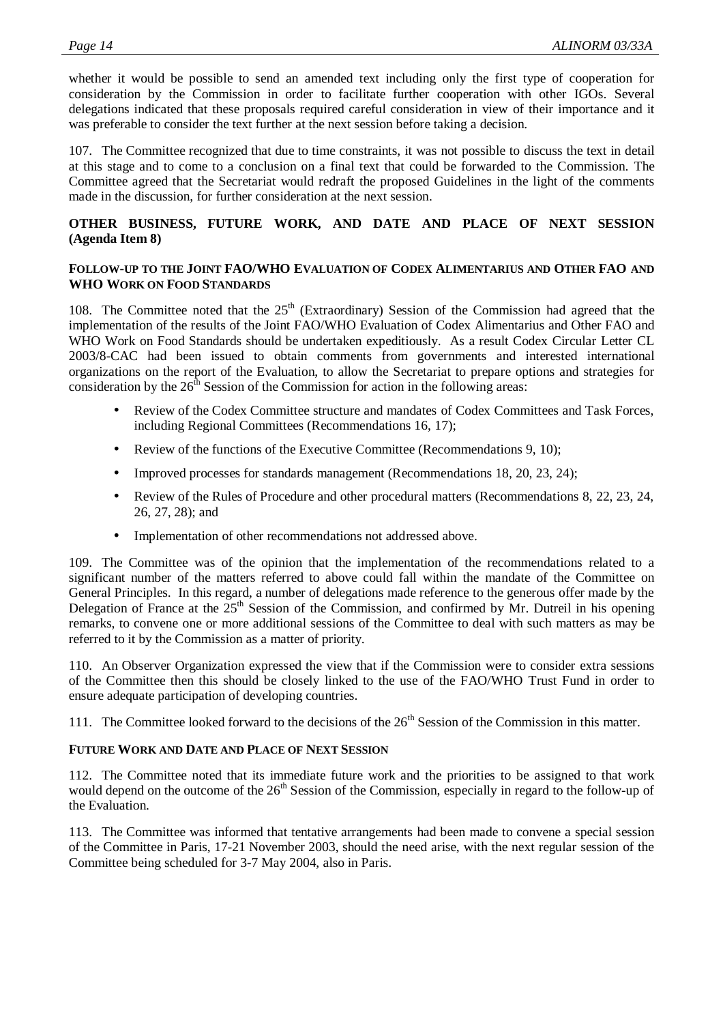whether it would be possible to send an amended text including only the first type of cooperation for consideration by the Commission in order to facilitate further cooperation with other IGOs. Several delegations indicated that these proposals required careful consideration in view of their importance and it was preferable to consider the text further at the next session before taking a decision.

107. The Committee recognized that due to time constraints, it was not possible to discuss the text in detail at this stage and to come to a conclusion on a final text that could be forwarded to the Commission. The Committee agreed that the Secretariat would redraft the proposed Guidelines in the light of the comments made in the discussion, for further consideration at the next session.

## **OTHER BUSINESS, FUTURE WORK, AND DATE AND PLACE OF NEXT SESSION (Agenda Item 8)**

## **FOLLOW-UP TO THE JOINT FAO/WHO EVALUATION OF CODEX ALIMENTARIUS AND OTHER FAO AND WHO WORK ON FOOD STANDARDS**

108. The Committee noted that the  $25<sup>th</sup>$  (Extraordinary) Session of the Commission had agreed that the implementation of the results of the Joint FAO/WHO Evaluation of Codex Alimentarius and Other FAO and WHO Work on Food Standards should be undertaken expeditiously. As a result Codex Circular Letter CL 2003/8-CAC had been issued to obtain comments from governments and interested international organizations on the report of the Evaluation, to allow the Secretariat to prepare options and strategies for consideration by the  $26<sup>th</sup>$  Session of the Commission for action in the following areas:

- Review of the Codex Committee structure and mandates of Codex Committees and Task Forces, including Regional Committees (Recommendations 16, 17);
- Review of the functions of the Executive Committee (Recommendations 9, 10);
- Improved processes for standards management (Recommendations 18, 20, 23, 24);
- Review of the Rules of Procedure and other procedural matters (Recommendations 8, 22, 23, 24, 26, 27, 28); and
- Implementation of other recommendations not addressed above.

109. The Committee was of the opinion that the implementation of the recommendations related to a significant number of the matters referred to above could fall within the mandate of the Committee on General Principles. In this regard, a number of delegations made reference to the generous offer made by the Delegation of France at the  $25<sup>th</sup>$  Session of the Commission, and confirmed by Mr. Dutreil in his opening remarks, to convene one or more additional sessions of the Committee to deal with such matters as may be referred to it by the Commission as a matter of priority.

110. An Observer Organization expressed the view that if the Commission were to consider extra sessions of the Committee then this should be closely linked to the use of the FAO/WHO Trust Fund in order to ensure adequate participation of developing countries.

111. The Committee looked forward to the decisions of the  $26<sup>th</sup>$  Session of the Commission in this matter.

## **FUTURE WORK AND DATE AND PLACE OF NEXT SESSION**

112. The Committee noted that its immediate future work and the priorities to be assigned to that work would depend on the outcome of the 26<sup>th</sup> Session of the Commission, especially in regard to the follow-up of the Evaluation.

113. The Committee was informed that tentative arrangements had been made to convene a special session of the Committee in Paris, 17-21 November 2003, should the need arise, with the next regular session of the Committee being scheduled for 3-7 May 2004, also in Paris.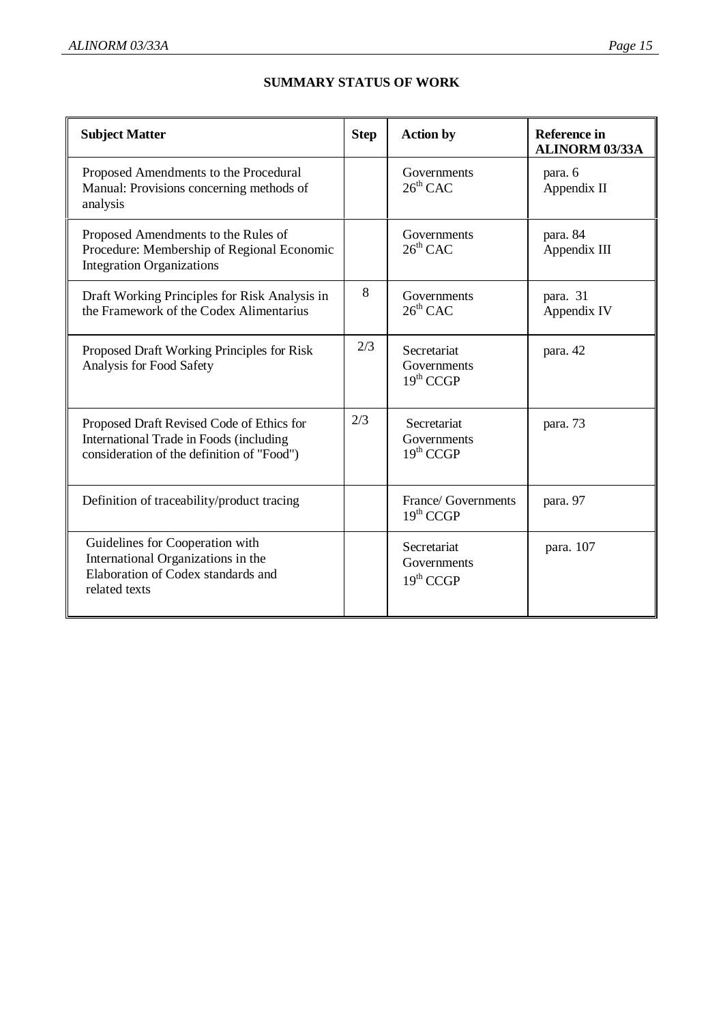| <b>Subject Matter</b>                                                                                                               | <b>Step</b> | <b>Action by</b>                                    | <b>Reference in</b><br><b>ALINORM 03/33A</b> |
|-------------------------------------------------------------------------------------------------------------------------------------|-------------|-----------------------------------------------------|----------------------------------------------|
| Proposed Amendments to the Procedural<br>Manual: Provisions concerning methods of<br>analysis                                       |             | Governments<br>$26^{th}$ CAC                        | para. 6<br>Appendix II                       |
| Proposed Amendments to the Rules of<br>Procedure: Membership of Regional Economic<br><b>Integration Organizations</b>               |             | Governments<br>$26th$ CAC                           | para. 84<br>Appendix III                     |
| Draft Working Principles for Risk Analysis in<br>the Framework of the Codex Alimentarius                                            | 8           | Governments<br>$26^{th}$ CAC                        | para. 31<br>Appendix IV                      |
| Proposed Draft Working Principles for Risk<br>Analysis for Food Safety                                                              | 2/3         | Secretariat<br>Governments<br>19 <sup>th</sup> CCGP | para. 42                                     |
| Proposed Draft Revised Code of Ethics for<br>International Trade in Foods (including)<br>consideration of the definition of "Food") | 2/3         | Secretariat<br>Governments<br>19 <sup>th</sup> CCGP | para. 73                                     |
| Definition of traceability/product tracing                                                                                          |             | France/ Governments<br>19 <sup>th</sup> CCGP        | para. 97                                     |
| Guidelines for Cooperation with<br>International Organizations in the<br>Elaboration of Codex standards and<br>related texts        |             | Secretariat<br>Governments<br>19 <sup>th</sup> CCGP | para. 107                                    |

## **SUMMARY STATUS OF WORK**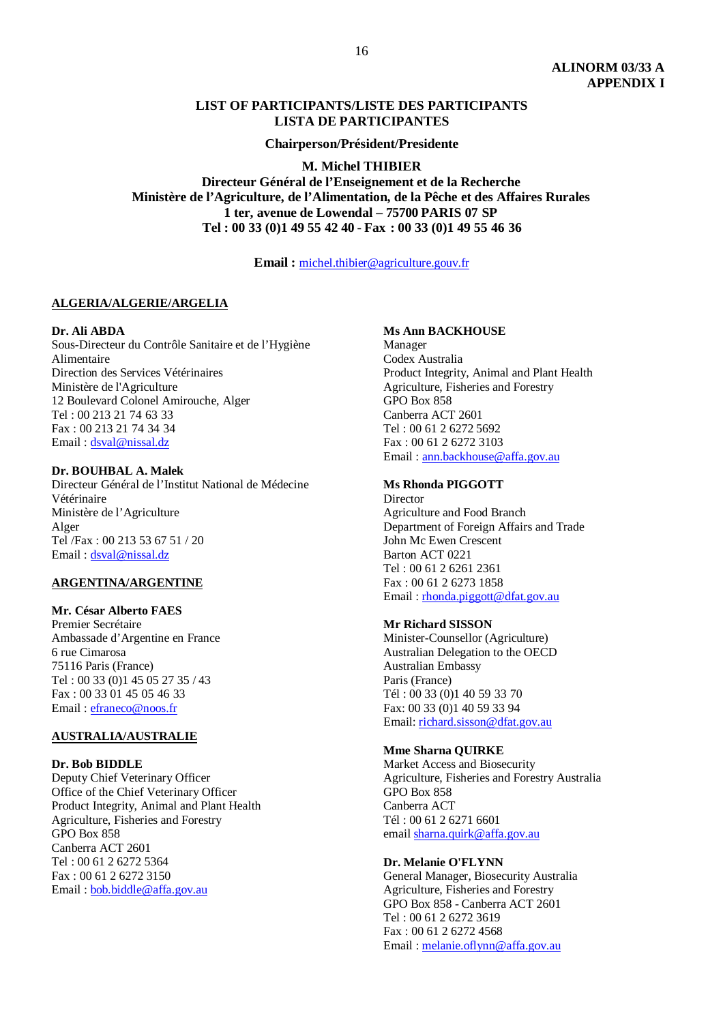#### **LIST OF PARTICIPANTS/LISTE DES PARTICIPANTS LISTA DE PARTICIPANTES**

**Chairperson/Président/Presidente**

**M. Michel THIBIER**

**Directeur Général de l'Enseignement et de la Recherche Ministère de l'Agriculture, de l'Alimentation, de la Pêche et des Affaires Rurales 1 ter, avenue de Lowendal – 75700 PARIS 07 SP Tel : 00 33 (0)1 49 55 42 40 - Fax : 00 33 (0)1 49 55 46 36**

**Email :** michel.thibier@agriculture.gouv.fr

#### **ALGERIA/ALGERIE/ARGELIA**

#### **Dr. Ali ABDA**

Sous-Directeur du Contrôle Sanitaire et de l'Hygiène Alimentaire Direction des Services Vétérinaires Ministère de l'Agriculture 12 Boulevard Colonel Amirouche, Alger Tel : 00 213 21 74 63 33 Fax : 00 213 21 74 34 34 Email : dsval@nissal.dz

#### **Dr. BOUHBAL A. Malek**

Directeur Général de l'Institut National de Médecine Vétérinaire Ministère de l'Agriculture Alger Tel /Fax : 00 213 53 67 51 / 20 Email : dsval@nissal.dz

#### **ARGENTINA/ARGENTINE**

#### **Mr. César Alberto FAES**

Premier Secrétaire Ambassade d'Argentine en France 6 rue Cimarosa 75116 Paris (France) Tel : 00 33 (0)1 45 05 27 35 / 43 Fax : 00 33 01 45 05 46 33 Email : efraneco@noos.fr

#### **AUSTRALIA/AUSTRALIE**

#### **Dr. Bob BIDDLE**

Deputy Chief Veterinary Officer Office of the Chief Veterinary Officer Product Integrity, Animal and Plant Health Agriculture, Fisheries and Forestry GPO Box 858 Canberra ACT 2601 Tel : 00 61 2 6272 5364 Fax : 00 61 2 6272 3150 Email : bob.biddle@affa.gov.au

#### **Ms Ann BACKHOUSE**

Manager Codex Australia Product Integrity, Animal and Plant Health Agriculture, Fisheries and Forestry GPO Box 858 Canberra ACT 2601 Tel : 00 61 2 6272 5692 Fax : 00 61 2 6272 3103 Email : ann.backhouse@affa.gov.au

#### **Ms Rhonda PIGGOTT**

**Director** Agriculture and Food Branch Department of Foreign Affairs and Trade John Mc Ewen Crescent Barton ACT 0221 Tel : 00 61 2 6261 2361 Fax : 00 61 2 6273 1858 Email : rhonda.piggott@dfat.gov.au

#### **Mr Richard SISSON**

Minister-Counsellor (Agriculture) Australian Delegation to the OECD Australian Embassy Paris (France) Tél : 00 33 (0)1 40 59 33 70 Fax: 00 33 (0)1 40 59 33 94 Email: richard.sisson@dfat.gov.au

#### **Mme Sharna QUIRKE**

Market Access and Biosecurity Agriculture, Fisheries and Forestry Australia GPO Box 858 Canberra ACT Tél : 00 61 2 6271 6601 email sharna.quirk@affa.gov.au

#### **Dr. Melanie O'FLYNN**

General Manager, Biosecurity Australia Agriculture, Fisheries and Forestry GPO Box 858 - Canberra ACT 2601 Tel : 00 61 2 6272 3619 Fax : 00 61 2 6272 4568 Email : melanie.oflynn@affa.gov.au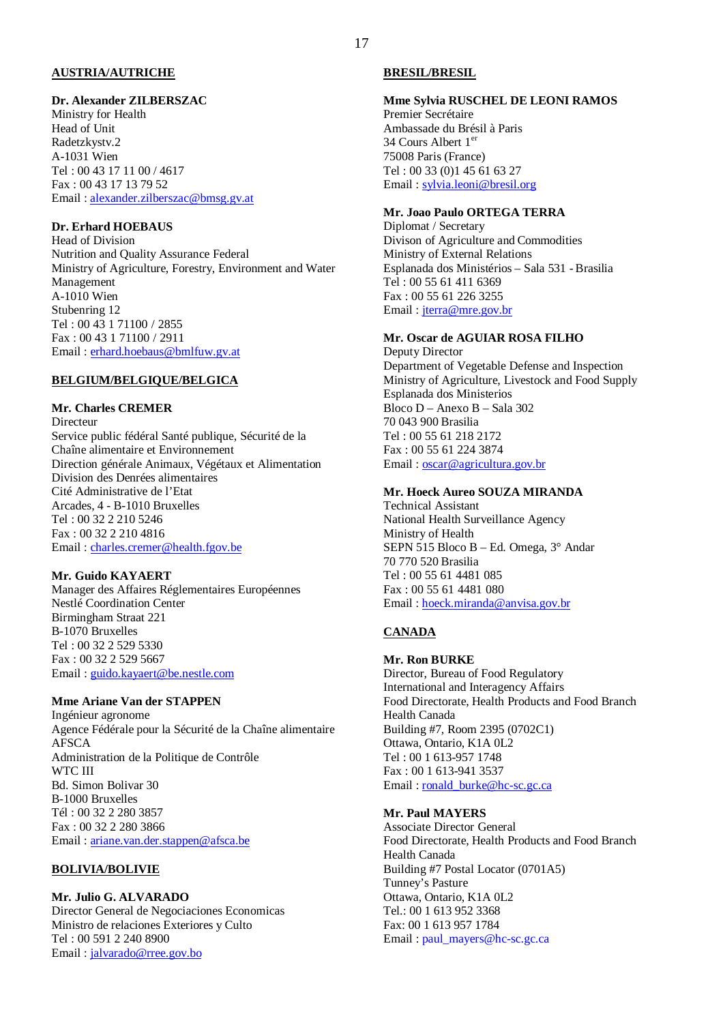#### **AUSTRIA/AUTRICHE**

#### **Dr. Alexander ZILBERSZAC**

Ministry for Health Head of Unit Radetzkystv.2 A-1031 Wien Tel : 00 43 17 11 00 / 4617 Fax : 00 43 17 13 79 52 Email : alexander.zilberszac@bmsg.gv.at

## **Dr. Erhard HOEBAUS**

Head of Division Nutrition and Quality Assurance Federal Ministry of Agriculture, Forestry, Environment and Water Management A-1010 Wien Stubenring 12 Tel : 00 43 1 71100 / 2855 Fax : 00 43 1 71100 / 2911 Email : erhard.hoebaus@bmlfuw.gv.at

#### **BELGIUM/BELGIQUE/BELGICA**

## **Mr. Charles CREMER**

Directeur Service public fédéral Santé publique, Sécurité de la Chaîne alimentaire et Environnement Direction générale Animaux, Végétaux et Alimentation Division des Denrées alimentaires Cité Administrative de l'Etat Arcades, 4 - B-1010 Bruxelles Tel : 00 32 2 210 5246 Fax : 00 32 2 210 4816 Email : charles.cremer@health.fgov.be

#### **Mr. Guido KAYAERT**

Manager des Affaires Réglementaires Européennes Nestlé Coordination Center Birmingham Straat 221 B-1070 Bruxelles Tel : 00 32 2 529 5330 Fax : 00 32 2 529 5667 Email : guido.kayaert@be.nestle.com

#### **Mme Ariane Van der STAPPEN**

Ingénieur agronome Agence Fédérale pour la Sécurité de la Chaîne alimentaire AFSCA Administration de la Politique de Contrôle WTC III Bd. Simon Bolivar 30 B-1000 Bruxelles Tél : 00 32 2 280 3857 Fax : 00 32 2 280 3866 Email : ariane.van.der.stappen@afsca.be

#### **BOLIVIA/BOLIVIE**

## **Mr. Julio G. ALVARADO**

Director General de Negociaciones Economicas Ministro de relaciones Exteriores y Culto Tel : 00 591 2 240 8900 Email : jalvarado@rree.gov.bo

#### **BRESIL/BRESIL**

## **Mme Sylvia RUSCHEL DE LEONI RAMOS**

Premier Secrétaire Ambassade du Brésil à Paris 34 Cours Albert 1er 75008 Paris (France) Tel : 00 33 (0)1 45 61 63 27 Email : sylvia.leoni@bresil.org

#### **Mr. Joao Paulo ORTEGA TERRA**

Diplomat / Secretary Divison of Agriculture and Commodities Ministry of External Relations Esplanada dos Ministérios – Sala 531 - Brasilia Tel : 00 55 61 411 6369 Fax : 00 55 61 226 3255 Email : jterra@mre.gov.br

## **Mr. Oscar de AGUIAR ROSA FILHO**

Deputy Director Department of Vegetable Defense and Inspection Ministry of Agriculture, Livestock and Food Supply Esplanada dos Ministerios  $B$ loco D – Anexo B – Sala 302 70 043 900 Brasilia Tel : 00 55 61 218 2172 Fax : 00 55 61 224 3874 Email : oscar@agricultura.gov.br

## **Mr. Hoeck Aureo SOUZA MIRANDA**

Technical Assistant National Health Surveillance Agency Ministry of Health SEPN 515 Bloco B – Ed. Omega, 3° Andar 70 770 520 Brasilia Tel : 00 55 61 4481 085 Fax : 00 55 61 4481 080 Email : hoeck.miranda@anvisa.gov.br

## **CANADA**

**Mr. Ron BURKE** Director, Bureau of Food Regulatory International and Interagency Affairs Food Directorate, Health Products and Food Branch Health Canada Building #7, Room 2395 (0702C1) Ottawa, Ontario, K1A 0L2 Tel : 00 1 613-957 1748 Fax : 00 1 613-941 3537 Email: ronald\_burke@hc-sc.gc.ca

## **Mr. Paul MAYERS**

Associate Director General Food Directorate, Health Products and Food Branch Health Canada Building #7 Postal Locator (0701A5) Tunney's Pasture Ottawa, Ontario, K1A 0L2 Tel.: 00 1 613 952 3368 Fax: 00 1 613 957 1784 Email : paul\_mayers@hc-sc.gc.ca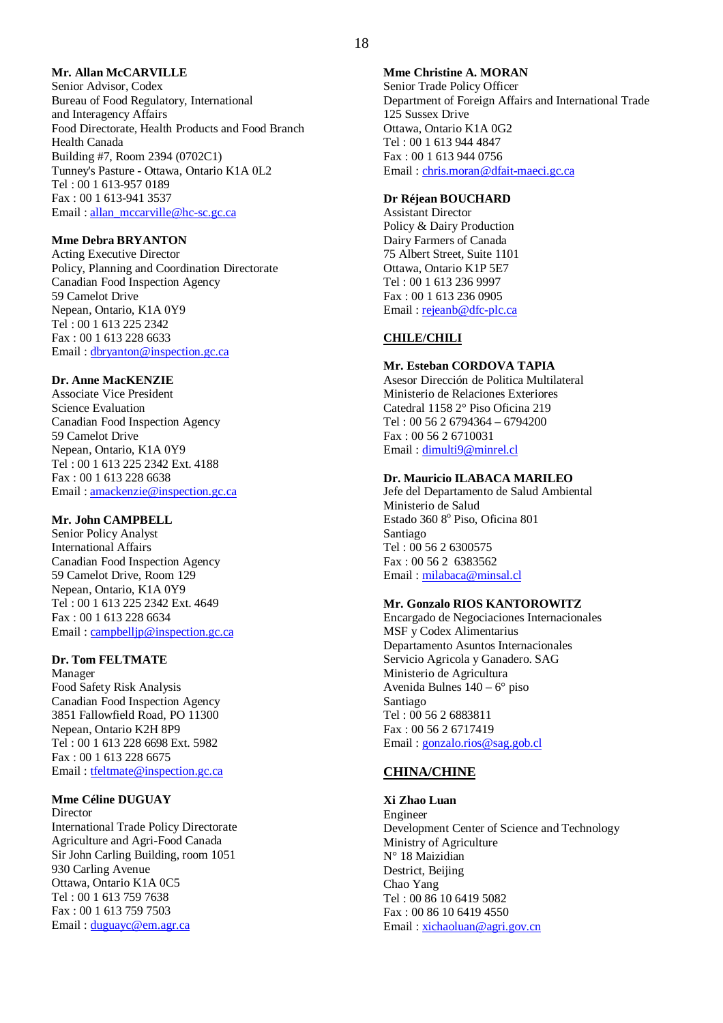#### 18

## **Mr. Allan McCARVILLE**

Senior Advisor, Codex Bureau of Food Regulatory, International and Interagency Affairs Food Directorate, Health Products and Food Branch Health Canada Building #7, Room 2394 (0702C1) Tunney's Pasture - Ottawa, Ontario K1A 0L2 Tel : 00 1 613-957 0189 Fax : 00 1 613-941 3537 Email : allan\_mccarville@hc-sc.gc.ca

#### **Mme Debra BRYANTON**

Acting Executive Director Policy, Planning and Coordination Directorate Canadian Food Inspection Agency 59 Camelot Drive Nepean, Ontario, K1A 0Y9 Tel : 00 1 613 225 2342 Fax : 00 1 613 228 6633 Email : dbryanton@inspection.gc.ca

#### **Dr. Anne MacKENZIE**

Associate Vice President Science Evaluation Canadian Food Inspection Agency 59 Camelot Drive Nepean, Ontario, K1A 0Y9 Tel : 00 1 613 225 2342 Ext. 4188 Fax : 00 1 613 228 6638 Email : amackenzie@inspection.gc.ca

#### **Mr. John CAMPBELL**

Senior Policy Analyst International Affairs Canadian Food Inspection Agency 59 Camelot Drive, Room 129 Nepean, Ontario, K1A 0Y9 Tel : 00 1 613 225 2342 Ext. 4649 Fax : 00 1 613 228 6634 Email: campbellip@inspection.gc.ca

#### **Dr. Tom FELTMATE**

Manager Food Safety Risk Analysis Canadian Food Inspection Agency 3851 Fallowfield Road, PO 11300 Nepean, Ontario K2H 8P9 Tel : 00 1 613 228 6698 Ext. 5982 Fax : 00 1 613 228 6675 Email : tfeltmate@inspection.gc.ca

#### **Mme Céline DUGUAY**

Director International Trade Policy Directorate Agriculture and Agri-Food Canada Sir John Carling Building, room 1051 930 Carling Avenue Ottawa, Ontario K1A 0C5 Tel : 00 1 613 759 7638 Fax : 00 1 613 759 7503 Email : duguayc@em.agr.ca

**Mme Christine A. MORAN** Senior Trade Policy Officer Department of Foreign Affairs and International Trade 125 Sussex Drive Ottawa, Ontario K1A 0G2 Tel : 00 1 613 944 4847 Fax : 00 1 613 944 0756 Email : chris.moran@dfait-maeci.gc.ca

#### **Dr Réjean BOUCHARD**

Assistant Director Policy & Dairy Production Dairy Farmers of Canada 75 Albert Street, Suite 1101 Ottawa, Ontario K1P 5E7 Tel : 00 1 613 236 9997 Fax : 00 1 613 236 0905 Email : rejeanb@dfc-plc.ca

## **CHILE/CHILI**

## **Mr. Esteban CORDOVA TAPIA**

Asesor Dirección de Politica Multilateral Ministerio de Relaciones Exteriores Catedral 1158 2° Piso Oficina 219 Tel : 00 56 2 6794364 – 6794200 Fax : 00 56 2 6710031 Email : dimulti9@minrel.cl

#### **Dr. Mauricio ILABACA MARILEO**

Jefe del Departamento de Salud Ambiental Ministerio de Salud Estado 360 8º Piso, Oficina 801 Santiago Tel : 00 56 2 6300575 Fax : 00 56 2 6383562 Email : milabaca@minsal.cl

#### **Mr. Gonzalo RIOS KANTOROWITZ**

Encargado de Negociaciones Internacionales MSF y Codex Alimentarius Departamento Asuntos Internacionales Servicio Agricola y Ganadero. SAG Ministerio de Agricultura Avenida Bulnes 140 – 6° piso Santiago Tel : 00 56 2 6883811 Fax : 00 56 2 6717419 Email : gonzalo.rios@sag.gob.cl

## **CHINA/CHINE**

**Xi Zhao Luan** Engineer Development Center of Science and Technology Ministry of Agriculture N° 18 Maizidian Destrict, Beijing Chao Yang Tel : 00 86 10 6419 5082 Fax : 00 86 10 6419 4550 Email : xichaoluan@agri.gov.cn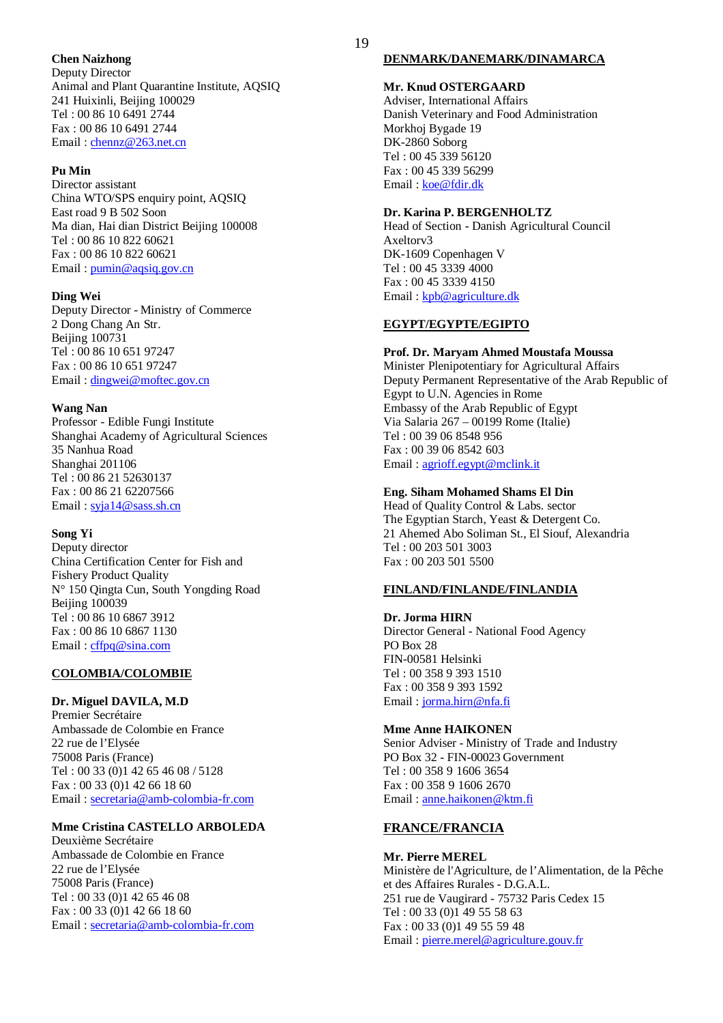#### **Chen Naizhong**

Deputy Director Animal and Plant Quarantine Institute, AQSIQ 241 Huixinli, Beijing 100029 Tel : 00 86 10 6491 2744 Fax : 00 86 10 6491 2744 Email : chennz@263.net.cn

#### **Pu Min**

Director assistant China WTO/SPS enquiry point, AQSIQ East road 9 B 502 Soon Ma dian, Hai dian District Beijing 100008 Tel : 00 86 10 822 60621 Fax : 00 86 10 822 60621 Email : pumin@aqsiq.gov.cn

#### **Ding Wei**

Deputy Director - Ministry of Commerce 2 Dong Chang An Str. Beijing 100731 Tel : 00 86 10 651 97247 Fax : 00 86 10 651 97247 Email: dingwei@moftec.gov.cn

#### **Wang Nan**

Professor - Edible Fungi Institute Shanghai Academy of Agricultural Sciences 35 Nanhua Road Shanghai 201106 Tel : 00 86 21 52630137 Fax : 00 86 21 62207566 Email: syja14@sass.sh.cn

#### **Song Yi**

Deputy director China Certification Center for Fish and Fishery Product Quality N° 150 Qingta Cun, South Yongding Road Beijing 100039 Tel : 00 86 10 6867 3912 Fax : 00 86 10 6867 1130 Email : cffpq@sina.com

#### **COLOMBIA/COLOMBIE**

**Dr. Miguel DAVILA, M.D** Premier Secrétaire Ambassade de Colombie en France 22 rue de l'Elysée 75008 Paris (France) Tel : 00 33 (0)1 42 65 46 08 / 5128 Fax : 00 33 (0)1 42 66 18 60 Email : secretaria@amb-colombia-fr.com

#### **Mme Cristina CASTELLO ARBOLEDA**

Deuxième Secrétaire Ambassade de Colombie en France 22 rue de l'Elysée 75008 Paris (France) Tel : 00 33 (0)1 42 65 46 08 Fax : 00 33 (0)1 42 66 18 60 Email : secretaria@amb-colombia-fr.com

#### **DENMARK/DANEMARK/DINAMARCA**

#### **Mr. Knud OSTERGAARD**

Adviser, International Affairs Danish Veterinary and Food Administration Morkhoj Bygade 19 DK-2860 Soborg Tel : 00 45 339 56120 Fax : 00 45 339 56299 Email: koe@fdir.dk

#### **Dr. Karina P. BERGENHOLTZ**

Head of Section - Danish Agricultural Council Axeltorv3 DK-1609 Copenhagen V Tel : 00 45 3339 4000 Fax : 00 45 3339 4150 Email : kpb@agriculture.dk

#### **EGYPT/EGYPTE/EGIPTO**

#### **Prof. Dr. Maryam Ahmed Moustafa Moussa**

Minister Plenipotentiary for Agricultural Affairs Deputy Permanent Representative of the Arab Republic of Egypt to U.N. Agencies in Rome Embassy of the Arab Republic of Egypt Via Salaria 267 – 00199 Rome (Italie) Tel : 00 39 06 8548 956 Fax : 00 39 06 8542 603 Email : agrioff.egypt@mclink.it

#### **Eng. Siham Mohamed Shams El Din**

Head of Quality Control & Labs. sector The Egyptian Starch, Yeast & Detergent Co. 21 Ahemed Abo Soliman St., El Siouf, Alexandria Tel : 00 203 501 3003 Fax : 00 203 501 5500

#### **FINLAND/FINLANDE/FINLANDIA**

**Dr. Jorma HIRN** Director General - National Food Agency PO Box 28 FIN-00581 Helsinki Tel : 00 358 9 393 1510 Fax : 00 358 9 393 1592 Email : jorma.hirn@nfa.fi

#### **Mme Anne HAIKONEN** Senior Adviser - Ministry of Trade and Industry PO Box 32 - FIN-00023 Government Tel : 00 358 9 1606 3654 Fax : 00 358 9 1606 2670 Email : anne.haikonen@ktm.fi

#### **FRANCE/FRANCIA**

#### **Mr. Pierre MEREL** Ministère de l'Agriculture, de l'Alimentation, de la Pêche et des Affaires Rurales - D.G.A.L. 251 rue de Vaugirard - 75732 Paris Cedex 15 Tel : 00 33 (0)1 49 55 58 63 Fax : 00 33 (0)1 49 55 59 48 Email : pierre.merel@agriculture.gouv.fr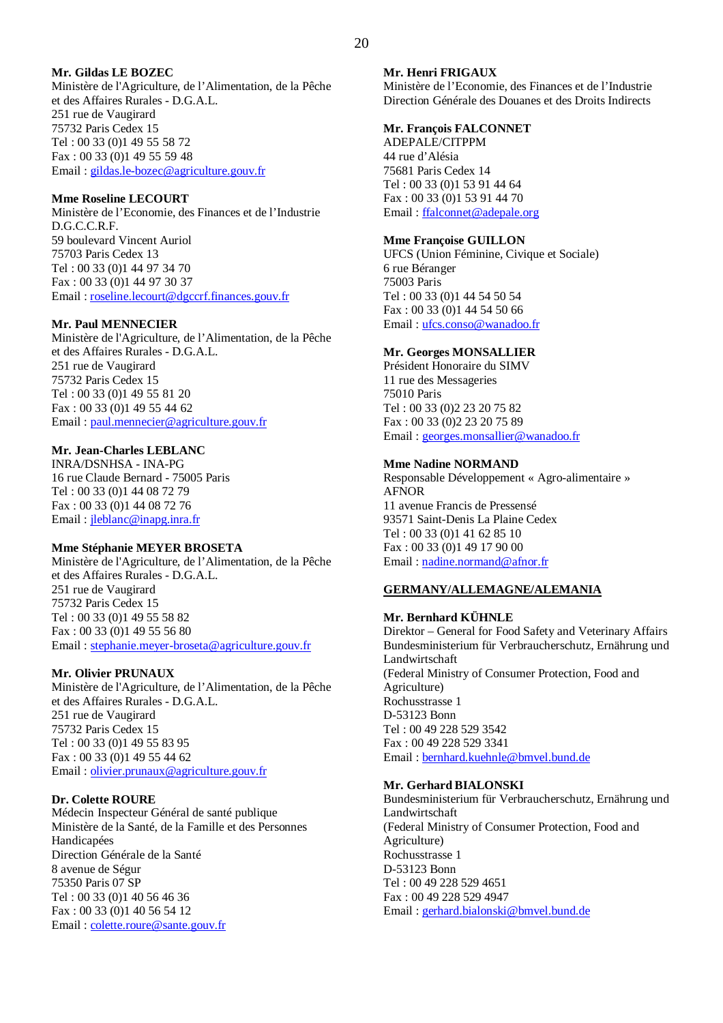## **Mr. Gildas LE BOZEC**

Ministère de l'Agriculture, de l'Alimentation, de la Pêche et des Affaires Rurales - D.G.A.L. 251 rue de Vaugirard 75732 Paris Cedex 15 Tel : 00 33 (0)1 49 55 58 72 Fax : 00 33 (0)1 49 55 59 48 Email : gildas.le-bozec@agriculture.gouv.fr

#### **Mme Roseline LECOURT**

Ministère de l'Economie, des Finances et de l'Industrie D.G.C.C.R.F. 59 boulevard Vincent Auriol 75703 Paris Cedex 13 Tel : 00 33 (0)1 44 97 34 70 Fax : 00 33 (0)1 44 97 30 37 Email : roseline.lecourt@dgccrf.finances.gouv.fr

## **Mr. Paul MENNECIER**

Ministère de l'Agriculture, de l'Alimentation, de la Pêche et des Affaires Rurales - D.G.A.L. 251 rue de Vaugirard 75732 Paris Cedex 15 Tel : 00 33 (0)1 49 55 81 20 Fax : 00 33 (0)1 49 55 44 62 Email : paul.mennecier@agriculture.gouv.fr

## **Mr. Jean-Charles LEBLANC**

INRA/DSNHSA - INA-PG 16 rue Claude Bernard - 75005 Paris Tel : 00 33 (0)1 44 08 72 79 Fax : 00 33 (0)1 44 08 72 76 Email : jleblanc@inapg.inra.fr

#### **Mme Stéphanie MEYER BROSETA**

Ministère de l'Agriculture, de l'Alimentation, de la Pêche et des Affaires Rurales - D.G.A.L. 251 rue de Vaugirard 75732 Paris Cedex 15 Tel : 00 33 (0)1 49 55 58 82 Fax : 00 33 (0)1 49 55 56 80 Email : stephanie.meyer-broseta@agriculture.gouv.fr

## **Mr. Olivier PRUNAUX**

Ministère de l'Agriculture, de l'Alimentation, de la Pêche et des Affaires Rurales - D.G.A.L. 251 rue de Vaugirard 75732 Paris Cedex 15 Tel : 00 33 (0)1 49 55 83 95 Fax : 00 33 (0)1 49 55 44 62 Email : olivier.prunaux@agriculture.gouv.fr

## **Dr. Colette ROURE**

Médecin Inspecteur Général de santé publique Ministère de la Santé, de la Famille et des Personnes Handicapées Direction Générale de la Santé 8 avenue de Ségur 75350 Paris 07 SP Tel : 00 33 (0)1 40 56 46 36 Fax : 00 33 (0)1 40 56 54 12 Email : colette.roure@sante.gouv.fr

#### **Mr. Henri FRIGAUX**

Ministère de l'Economie, des Finances et de l'Industrie Direction Générale des Douanes et des Droits Indirects

## **Mr. François FALCONNET**

ADEPALE/CITPPM 44 rue d'Alésia 75681 Paris Cedex 14 Tel : 00 33 (0)1 53 91 44 64 Fax : 00 33 (0)1 53 91 44 70 Email : ffalconnet@adepale.org

#### **Mme Françoise GUILLON**

UFCS (Union Féminine, Civique et Sociale) 6 rue Béranger 75003 Paris Tel : 00 33 (0)1 44 54 50 54 Fax : 00 33 (0)1 44 54 50 66 Email : ufcs.conso@wanadoo.fr

#### **Mr. Georges MONSALLIER**

Président Honoraire du SIMV 11 rue des Messageries 75010 Paris Tel : 00 33 (0)2 23 20 75 82 Fax : 00 33 (0)2 23 20 75 89 Email : georges.monsallier@wanadoo.fr

#### **Mme Nadine NORMAND**

Responsable Développement « Agro-alimentaire » AFNOR 11 avenue Francis de Pressensé 93571 Saint-Denis La Plaine Cedex Tel : 00 33 (0)1 41 62 85 10 Fax : 00 33 (0)1 49 17 90 00 Email : nadine.normand@afnor.fr

## **GERMANY/ALLEMAGNE/ALEMANIA**

#### **Mr. Bernhard KÜHNLE**

Direktor – General for Food Safety and Veterinary Affairs Bundesministerium für Verbraucherschutz, Ernährung und Landwirtschaft (Federal Ministry of Consumer Protection, Food and Agriculture) Rochusstrasse 1 D-53123 Bonn Tel : 00 49 228 529 3542 Fax : 00 49 228 529 3341 Email : bernhard.kuehnle@bmvel.bund.de

#### **Mr. Gerhard BIALONSKI**

Bundesministerium für Verbraucherschutz, Ernährung und Landwirtschaft (Federal Ministry of Consumer Protection, Food and Agriculture) Rochusstrasse 1 D-53123 Bonn Tel : 00 49 228 529 4651 Fax : 00 49 228 529 4947 Email : gerhard.bialonski@bmvel.bund.de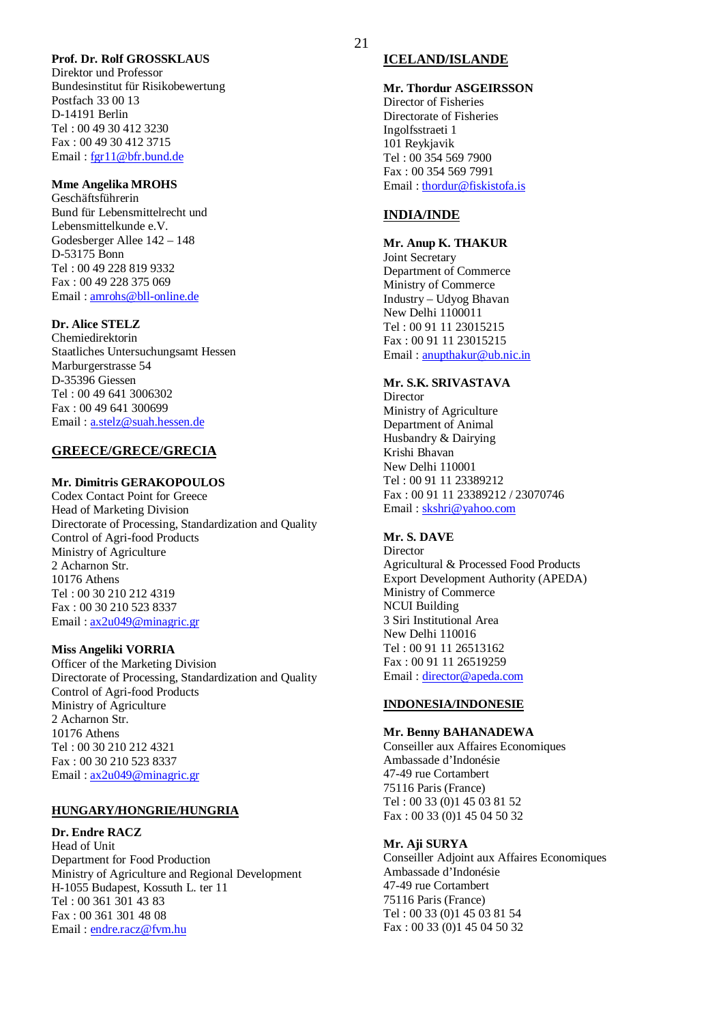#### **Prof. Dr. Rolf GROSSKLAUS**

Direktor und Professor Bundesinstitut für Risikobewertung Postfach 33 00 13 D-14191 Berlin Tel : 00 49 30 412 3230 Fax : 00 49 30 412 3715 Email : fgr11@bfr.bund.de

#### **Mme Angelika MROHS**

Geschäftsführerin Bund für Lebensmittelrecht und Lebensmittelkunde e.V. Godesberger Allee 142 – 148 D-53175 Bonn Tel : 00 49 228 819 9332 Fax : 00 49 228 375 069 Email : amrohs@bll-online.de

## **Dr. Alice STELZ**

Chemiedirektorin Staatliches Untersuchungsamt Hessen Marburgerstrasse 54 D-35396 Giessen Tel : 00 49 641 3006302 Fax : 00 49 641 300699 Email : a.stelz@suah.hessen.de

#### **GREECE/GRECE/GRECIA**

#### **Mr. Dimitris GERAKOPOULOS**

Codex Contact Point for Greece Head of Marketing Division Directorate of Processing, Standardization and Quality Control of Agri-food Products Ministry of Agriculture 2 Acharnon Str. 10176 Athens Tel : 00 30 210 212 4319 Fax : 00 30 210 523 8337 Email : ax2u049@minagric.gr

#### **Miss Angeliki VORRIA**

Officer of the Marketing Division Directorate of Processing, Standardization and Quality Control of Agri-food Products Ministry of Agriculture 2 Acharnon Str. 10176 Athens Tel : 00 30 210 212 4321 Fax : 00 30 210 523 8337 Email : ax2u049@minagric.gr

#### **HUNGARY/HONGRIE/HUNGRIA**

## **Dr. Endre RACZ**

Head of Unit Department for Food Production Ministry of Agriculture and Regional Development H-1055 Budapest, Kossuth L. ter 11 Tel : 00 361 301 43 83 Fax : 00 361 301 48 08 Email: endre.racz@fvm.hu

#### **ICELAND/ISLANDE**

**Mr. Thordur ASGEIRSSON** Director of Fisheries Directorate of Fisheries Ingolfsstraeti 1 101 Reykjavik Tel : 00 354 569 7900 Fax : 00 354 569 7991 Email : thordur@fiskistofa.is

#### **INDIA/INDE**

#### **Mr. Anup K. THAKUR**

Joint Secretary Department of Commerce Ministry of Commerce Industry – Udyog Bhavan New Delhi 1100011 Tel : 00 91 11 23015215 Fax : 00 91 11 23015215 Email : anupthakur@ub.nic.in

#### **Mr. S.K. SRIVASTAVA**

**Director** Ministry of Agriculture Department of Animal Husbandry & Dairying Krishi Bhavan New Delhi 110001 Tel : 00 91 11 23389212 Fax : 00 91 11 23389212 / 23070746 Email : skshri@yahoo.com

#### **Mr. S. DAVE**

Director Agricultural & Processed Food Products Export Development Authority (APEDA) Ministry of Commerce NCUI Building 3 Siri Institutional Area New Delhi 110016 Tel : 00 91 11 26513162 Fax : 00 91 11 26519259 Email : director@apeda.com

#### **INDONESIA/INDONESIE**

#### **Mr. Benny BAHANADEWA**

Conseiller aux Affaires Economiques Ambassade d'Indonésie 47-49 rue Cortambert 75116 Paris (France) Tel : 00 33 (0)1 45 03 81 52 Fax : 00 33 (0)1 45 04 50 32

#### **Mr. Aji SURYA**

Conseiller Adjoint aux Affaires Economiques Ambassade d'Indonésie 47-49 rue Cortambert 75116 Paris (France) Tel : 00 33 (0)1 45 03 81 54 Fax : 00 33 (0)1 45 04 50 32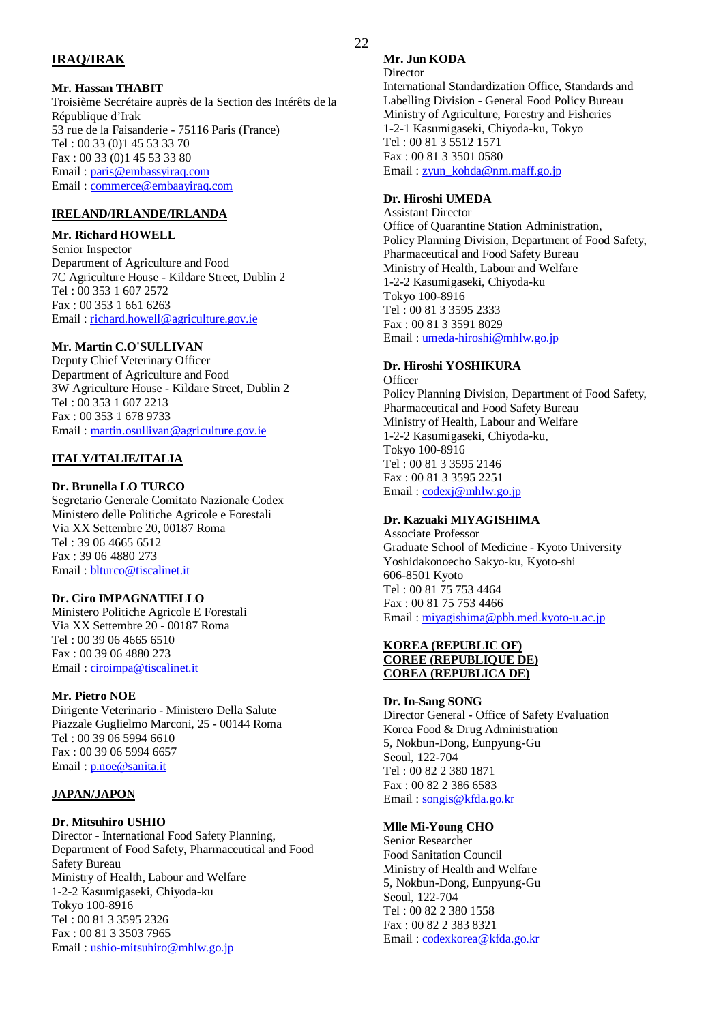## **IRAQ/IRAK**

#### **Mr. Hassan THABIT**

Troisième Secrétaire auprès de la Section des Intérêts de la République d'Irak 53 rue de la Faisanderie - 75116 Paris (France) Tel : 00 33 (0)1 45 53 33 70 Fax : 00 33 (0)1 45 53 33 80 Email : paris@embassyiraq.com Email : commerce@embaayiraq.com

## **IRELAND/IRLANDE/IRLANDA**

## **Mr. Richard HOWELL**

Senior Inspector Department of Agriculture and Food 7C Agriculture House - Kildare Street, Dublin 2 Tel : 00 353 1 607 2572 Fax : 00 353 1 661 6263 Email : richard.howell@agriculture.gov.ie

## **Mr. Martin C.O'SULLIVAN**

Deputy Chief Veterinary Officer Department of Agriculture and Food 3W Agriculture House - Kildare Street, Dublin 2 Tel : 00 353 1 607 2213 Fax : 00 353 1 678 9733 Email : martin.osullivan@agriculture.gov.ie

## **ITALY/ITALIE/ITALIA**

## **Dr. Brunella LO TURCO**

Segretario Generale Comitato Nazionale Codex Ministero delle Politiche Agricole e Forestali Via XX Settembre 20, 00187 Roma Tel : 39 06 4665 6512 Fax : 39 06 4880 273 Email : blturco@tiscalinet.it

## **Dr. Ciro IMPAGNATIELLO**

Ministero Politiche Agricole E Forestali Via XX Settembre 20 - 00187 Roma Tel : 00 39 06 4665 6510 Fax : 00 39 06 4880 273 Email : ciroimpa@tiscalinet.it

## **Mr. Pietro NOE**

Dirigente Veterinario - Ministero Della Salute Piazzale Guglielmo Marconi, 25 - 00144 Roma Tel : 00 39 06 5994 6610 Fax : 00 39 06 5994 6657 Email : p.noe@sanita.it

## **JAPAN/JAPON**

## **Dr. Mitsuhiro USHIO**

Director - International Food Safety Planning, Department of Food Safety, Pharmaceutical and Food Safety Bureau Ministry of Health, Labour and Welfare 1-2-2 Kasumigaseki, Chiyoda-ku Tokyo 100-8916 Tel : 00 81 3 3595 2326 Fax : 00 81 3 3503 7965 Email : ushio-mitsuhiro@mhlw.go.jp

## **Mr. Jun KODA**

**Director** 

International Standardization Office, Standards and Labelling Division - General Food Policy Bureau Ministry of Agriculture, Forestry and Fisheries 1-2-1 Kasumigaseki, Chiyoda-ku, Tokyo Tel : 00 81 3 5512 1571 Fax : 00 81 3 3501 0580 Email : zyun\_kohda@nm.maff.go.jp

## **Dr. Hiroshi UMEDA**

Assistant Director Office of Quarantine Station Administration, Policy Planning Division, Department of Food Safety, Pharmaceutical and Food Safety Bureau Ministry of Health, Labour and Welfare 1-2-2 Kasumigaseki, Chiyoda-ku Tokyo 100-8916 Tel : 00 81 3 3595 2333 Fax : 00 81 3 3591 8029 Email : umeda-hiroshi@mhlw.go.jp

## **Dr. Hiroshi YOSHIKURA**

**Officer** Policy Planning Division, Department of Food Safety, Pharmaceutical and Food Safety Bureau Ministry of Health, Labour and Welfare 1-2-2 Kasumigaseki, Chiyoda-ku, Tokyo 100-8916 Tel : 00 81 3 3595 2146 Fax : 00 81 3 3595 2251 Email: codexj@mhlw.go.jp

## **Dr. Kazuaki MIYAGISHIMA**

Associate Professor Graduate School of Medicine - Kyoto University Yoshidakonoecho Sakyo-ku, Kyoto-shi 606-8501 Kyoto Tel : 00 81 75 753 4464 Fax : 00 81 75 753 4466 Email : miyagishima@pbh.med.kyoto-u.ac.jp

## **KOREA (REPUBLIC OF) COREE (REPUBLIQUE DE) COREA (REPUBLICA DE)**

#### **Dr. In-Sang SONG**

Director General - Office of Safety Evaluation Korea Food & Drug Administration 5, Nokbun-Dong, Eunpyung-Gu Seoul, 122-704 Tel : 00 82 2 380 1871 Fax : 00 82 2 386 6583 Email : songis@kfda.go.kr

## **Mlle Mi-Young CHO**

Senior Researcher Food Sanitation Council Ministry of Health and Welfare 5, Nokbun-Dong, Eunpyung-Gu Seoul, 122-704 Tel : 00 82 2 380 1558 Fax : 00 82 2 383 8321 Email : codexkorea@kfda.go.kr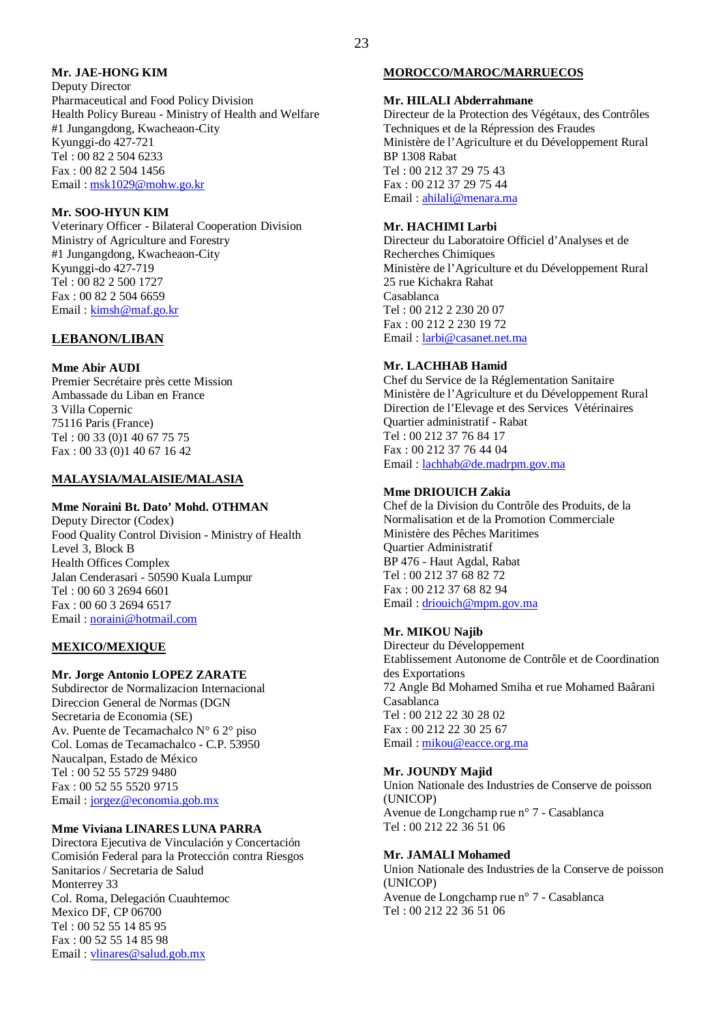## **Mr. JAE-HONG KIM**

Deputy Director Pharmaceutical and Food Policy Division Health Policy Bureau - Ministry of Health and Welfare #1 Jungangdong, Kwacheaon-City Kyunggi-do 427-721 Tel : 00 82 2 504 6233 Fax : 00 82 2 504 1456 Email : msk1029@mohw.go.kr

## **Mr. SOO-HYUN KIM**

Veterinary Officer - Bilateral Cooperation Division Ministry of Agriculture and Forestry #1 Jungangdong, Kwacheaon-City Kyunggi-do 427-719 Tel : 00 82 2 500 1727 Fax : 00 82 2 504 6659 Email : kimsh@maf.go.kr

## **LEBANON/LIBAN**

#### **Mme Abir AUDI**

Premier Secrétaire près cette Mission Ambassade du Liban en France 3 Villa Copernic 75116 Paris (France) Tel : 00 33 (0)1 40 67 75 75 Fax : 00 33 (0)1 40 67 16 42

#### **MALAYSIA/MALAISIE/MALASIA**

#### **Mme Noraini Bt. Dato' Mohd. OTHMAN**

Deputy Director (Codex) Food Quality Control Division - Ministry of Health Level 3, Block B Health Offices Complex Jalan Cenderasari - 50590 Kuala Lumpur Tel : 00 60 3 2694 6601 Fax : 00 60 3 2694 6517 Email : noraini@hotmail.com

#### **MEXICO/MEXIQUE**

#### **Mr. Jorge Antonio LOPEZ ZARATE**

Subdirector de Normalizacion Internacional Direccion General de Normas (DGN Secretaria de Economia (SE) Av. Puente de Tecamachalco N° 6 2° piso Col. Lomas de Tecamachalco - C.P. 53950 Naucalpan, Estado de México Tel : 00 52 55 5729 9480 Fax : 00 52 55 5520 9715 Email : jorgez@economia.gob.mx

#### **Mme Viviana LINARES LUNA PARRA**

Directora Ejecutiva de Vinculación y Concertación Comisión Federal para la Protección contra Riesgos Sanitarios / Secretaria de Salud Monterrey 33 Col. Roma, Delegación Cuauhtemoc Mexico DF, CP 06700 Tel : 00 52 55 14 85 95 Fax : 00 52 55 14 85 98 Email : vlinares@salud.gob.mx

#### **MOROCCO/MAROC/MARRUECOS**

#### **Mr. HILALI Abderrahmane**

Directeur de la Protection des Végétaux, des Contrôles Techniques et de la Répression des Fraudes Ministère de l'Agriculture et du Développement Rural BP 1308 Rabat Tel : 00 212 37 29 75 43 Fax : 00 212 37 29 75 44 Email : ahilali@menara.ma

#### **Mr. HACHIMI Larbi**

Directeur du Laboratoire Officiel d'Analyses et de Recherches Chimiques Ministère de l'Agriculture et du Développement Rural 25 rue Kichakra Rahat Casablanca Tel : 00 212 2 230 20 07 Fax : 00 212 2 230 19 72 Email : larbi@casanet.net.ma

#### **Mr. LACHHAB Hamid**

Chef du Service de la Réglementation Sanitaire Ministère de l'Agriculture et du Développement Rural Direction de l'Elevage et des Services Vétérinaires Quartier administratif - Rabat Tel : 00 212 37 76 84 17 Fax : 00 212 37 76 44 04 Email : lachhab@de.madrpm.gov.ma

#### **Mme DRIOUICH Zakia**

Chef de la Division du Contrôle des Produits, de la Normalisation et de la Promotion Commerciale Ministère des Pêches Maritimes Quartier Administratif BP 476 - Haut Agdal, Rabat Tel : 00 212 37 68 82 72 Fax : 00 212 37 68 82 94 Email : driouich@mpm.gov.ma

#### **Mr. MIKOU Najib**

Directeur du Développement Etablissement Autonome de Contrôle et de Coordination des Exportations 72 Angle Bd Mohamed Smiha et rue Mohamed Baârani Casablanca Tel : 00 212 22 30 28 02 Fax : 00 212 22 30 25 67 Email : mikou@eacce.org.ma

#### **Mr. JOUNDY Majid**

Union Nationale des Industries de Conserve de poisson (UNICOP) Avenue de Longchamp rue n° 7 - Casablanca Tel : 00 212 22 36 51 06

#### **Mr. JAMALI Mohamed**

Union Nationale des Industries de la Conserve de poisson (UNICOP) Avenue de Longchamp rue n° 7 - Casablanca Tel : 00 212 22 36 51 06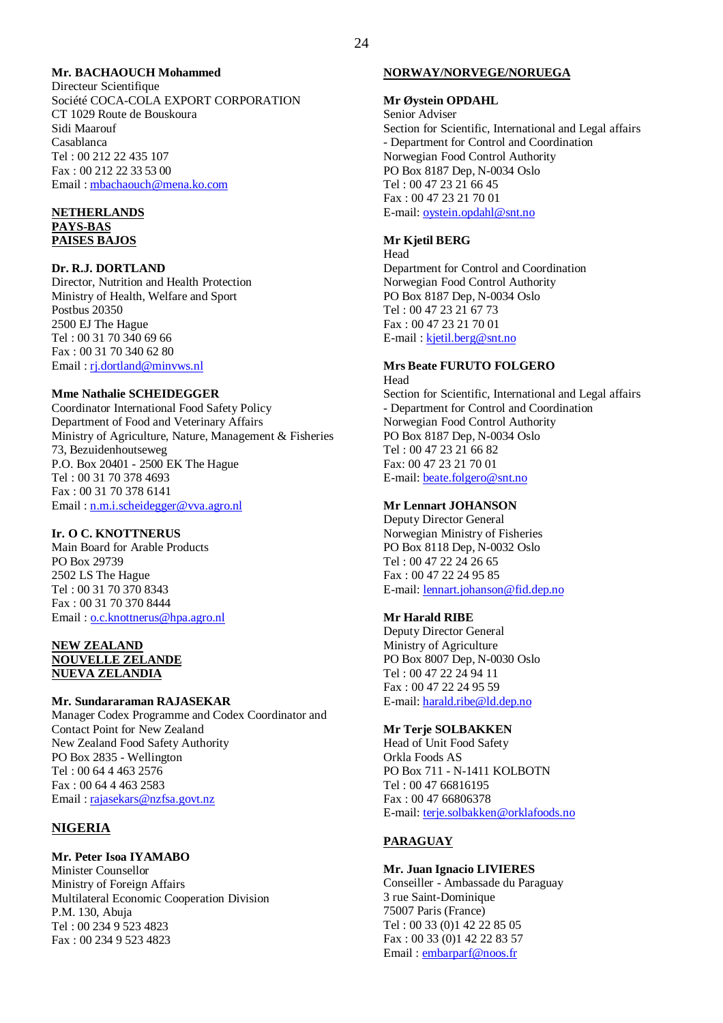#### **Mr. BACHAOUCH Mohammed**

Directeur Scientifique Société COCA-COLA EXPORT CORPORATION CT 1029 Route de Bouskoura Sidi Maarouf Casablanca Tel : 00 212 22 435 107 Fax : 00 212 22 33 53 00 Email : mbachaouch@mena.ko.com

#### **NETHERLANDS PAYS-BAS PAISES BAJOS**

#### **Dr. R.J. DORTLAND**

Director, Nutrition and Health Protection Ministry of Health, Welfare and Sport Postbus 20350 2500 EJ The Hague Tel : 00 31 70 340 69 66 Fax : 00 31 70 340 62 80 Email : rj.dortland@minvws.nl

#### **Mme Nathalie SCHEIDEGGER**

Coordinator International Food Safety Policy Department of Food and Veterinary Affairs Ministry of Agriculture, Nature, Management & Fisheries 73, Bezuidenhoutseweg P.O. Box 20401 - 2500 EK The Hague Tel : 00 31 70 378 4693 Fax : 00 31 70 378 6141 Email : n.m.i.scheidegger@vva.agro.nl

#### **Ir. O C. KNOTTNERUS**

Main Board for Arable Products PO Box 29739 2502 LS The Hague Tel : 00 31 70 370 8343 Fax : 00 31 70 370 8444 Email : o.c.knottnerus@hpa.agro.nl

#### **NEW ZEALAND NOUVELLE ZELANDE NUEVA ZELANDIA**

#### **Mr. Sundararaman RAJASEKAR**

Manager Codex Programme and Codex Coordinator and Contact Point for New Zealand New Zealand Food Safety Authority PO Box 2835 - Wellington Tel : 00 64 4 463 2576 Fax : 00 64 4 463 2583 Email : rajasekars@nzfsa.govt.nz

## **NIGERIA**

## **Mr. Peter Isoa IYAMABO**

Minister Counsellor Ministry of Foreign Affairs Multilateral Economic Cooperation Division P.M. 130, Abuja Tel : 00 234 9 523 4823 Fax : 00 234 9 523 4823

#### **NORWAY/NORVEGE/NORUEGA**

#### **Mr Øystein OPDAHL**

Senior Adviser Section for Scientific, International and Legal affairs - Department for Control and Coordination Norwegian Food Control Authority PO Box 8187 Dep, N-0034 Oslo Tel : 00 47 23 21 66 45 Fax : 00 47 23 21 70 01 E-mail: oystein.opdahl@snt.no

#### **Mr Kjetil BERG**

Head Department for Control and Coordination Norwegian Food Control Authority PO Box 8187 Dep, N-0034 Oslo Tel : 00 47 23 21 67 73 Fax : 00 47 23 21 70 01 E-mail : kjetil.berg@snt.no

#### **Mrs Beate FURUTO FOLGERO** Head

Section for Scientific, International and Legal affairs - Department for Control and Coordination Norwegian Food Control Authority PO Box 8187 Dep, N-0034 Oslo Tel : 00 47 23 21 66 82 Fax: 00 47 23 21 70 01 E-mail: beate.folgero@snt.no

#### **Mr Lennart JOHANSON**

Deputy Director General Norwegian Ministry of Fisheries PO Box 8118 Dep, N-0032 Oslo Tel : 00 47 22 24 26 65 Fax : 00 47 22 24 95 85 E-mail: lennart.johanson@fid.dep.no

#### **Mr Harald RIBE**

Deputy Director General Ministry of Agriculture PO Box 8007 Dep, N-0030 Oslo Tel : 00 47 22 24 94 11 Fax : 00 47 22 24 95 59 E-mail: harald.ribe@ld.dep.no

#### **Mr Terje SOLBAKKEN**

Head of Unit Food Safety Orkla Foods AS PO Box 711 - N-1411 KOLBOTN Tel : 00 47 66816195 Fax : 00 47 66806378 E-mail: terje.solbakken@orklafoods.no

#### **PARAGUAY**

#### **Mr. Juan Ignacio LIVIERES**

Conseiller - Ambassade du Paraguay 3 rue Saint-Dominique 75007 Paris (France) Tel : 00 33 (0)1 42 22 85 05 Fax : 00 33 (0)1 42 22 83 57 Email : embarparf@noos.fr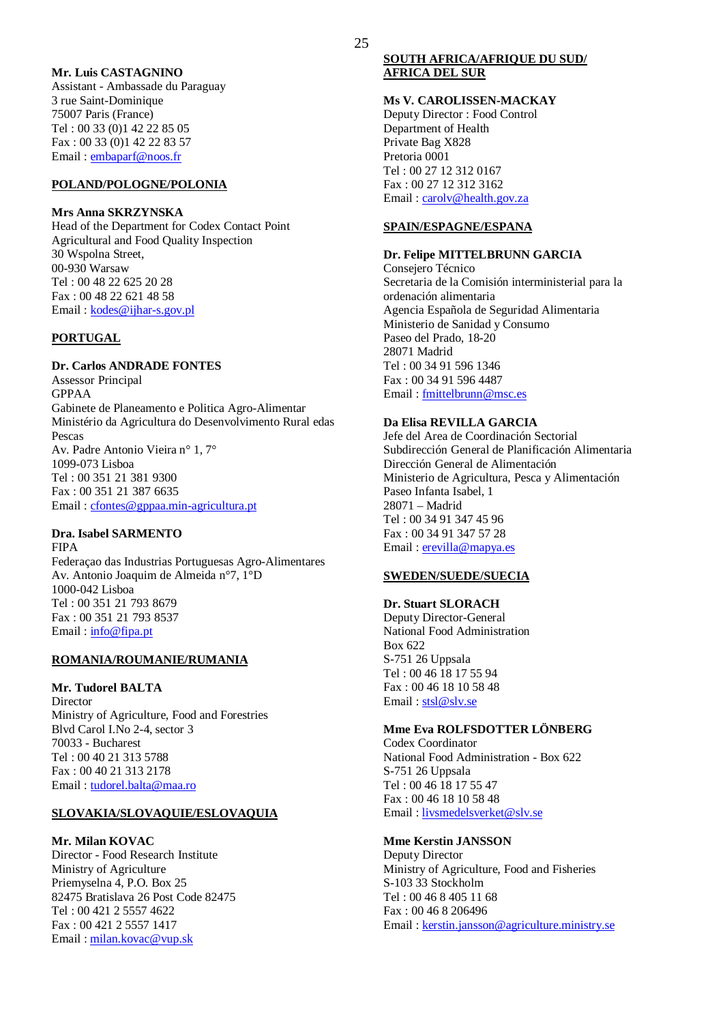#### **Mr. Luis CASTAGNINO**

Assistant - Ambassade du Paraguay 3 rue Saint-Dominique 75007 Paris (France) Tel : 00 33 (0)1 42 22 85 05 Fax : 00 33 (0)1 42 22 83 57 Email : embaparf@noos.fr

### **POLAND/POLOGNE/POLONIA**

#### **Mrs Anna SKRZYNSKA**

Head of the Department for Codex Contact Point Agricultural and Food Quality Inspection 30 Wspolna Street, 00-930 Warsaw Tel : 00 48 22 625 20 28 Fax : 00 48 22 621 48 58 Email : kodes@ijhar-s.gov.pl

#### **PORTUGAL**

#### **Dr. Carlos ANDRADE FONTES**

Assessor Principal GPPAA Gabinete de Planeamento e Politica Agro-Alimentar Ministério da Agricultura do Desenvolvimento Rural edas Pescas Av. Padre Antonio Vieira n° 1, 7° 1099-073 Lisboa Tel : 00 351 21 381 9300 Fax : 00 351 21 387 6635 Email : cfontes@gppaa.min-agricultura.pt

#### **Dra. Isabel SARMENTO**

FIPA Federaçao das Industrias Portuguesas Agro-Alimentares Av. Antonio Joaquim de Almeida n°7, 1°D 1000-042 Lisboa Tel : 00 351 21 793 8679 Fax : 00 351 21 793 8537 Email : info@fipa.pt

## **ROMANIA/ROUMANIE/RUMANIA**

#### **Mr. Tudorel BALTA**

Director Ministry of Agriculture, Food and Forestries Blvd Carol I.No 2-4, sector 3 70033 - Bucharest Tel : 00 40 21 313 5788 Fax : 00 40 21 313 2178 Email : tudorel.balta@maa.ro

#### **SLOVAKIA/SLOVAQUIE/ESLOVAQUIA**

#### **Mr. Milan KOVAC**

Director - Food Research Institute Ministry of Agriculture Priemyselna 4, P.O. Box 25 82475 Bratislava 26 Post Code 82475 Tel : 00 421 2 5557 4622 Fax : 00 421 2 5557 1417 Email : milan.kovac@vup.sk

#### **SOUTH AFRICA/AFRIQUE DU SUD/ AFRICA DEL SUR**

## **Ms V. CAROLISSEN-MACKAY**

Deputy Director : Food Control Department of Health Private Bag X828 Pretoria 0001 Tel : 00 27 12 312 0167 Fax : 00 27 12 312 3162 Email : carolv@health.gov.za

#### **SPAIN/ESPAGNE/ESPANA**

#### **Dr. Felipe MITTELBRUNN GARCIA**

Consejero Técnico Secretaria de la Comisión interministerial para la ordenación alimentaria Agencia Española de Seguridad Alimentaria Ministerio de Sanidad y Consumo Paseo del Prado, 18-20 28071 Madrid Tel : 00 34 91 596 1346 Fax : 00 34 91 596 4487 Email : fmittelbrunn@msc.es

#### **Da Elisa REVILLA GARCIA**

Jefe del Area de Coordinación Sectorial Subdirección General de Planificación Alimentaria Dirección General de Alimentación Ministerio de Agricultura, Pesca y Alimentación Paseo Infanta Isabel, 1 28071 – Madrid Tel : 00 34 91 347 45 96 Fax : 00 34 91 347 57 28 Email: erevilla@mapya.es

#### **SWEDEN/SUEDE/SUECIA**

#### **Dr. Stuart SLORACH**

Deputy Director-General National Food Administration Box 622 S-751 26 Uppsala Tel : 00 46 18 17 55 94 Fax : 00 46 18 10 58 48 Email: stsl@slv.se

#### **Mme Eva ROLFSDOTTER LÖNBERG**

Codex Coordinator National Food Administration - Box 622 S-751 26 Uppsala Tel : 00 46 18 17 55 47 Fax : 00 46 18 10 58 48 Email : livsmedelsverket@slv.se

#### **Mme Kerstin JANSSON**

Deputy Director Ministry of Agriculture, Food and Fisheries S-103 33 Stockholm Tel : 00 46 8 405 11 68 Fax : 00 46 8 206496 Email : kerstin.jansson@agriculture.ministry.se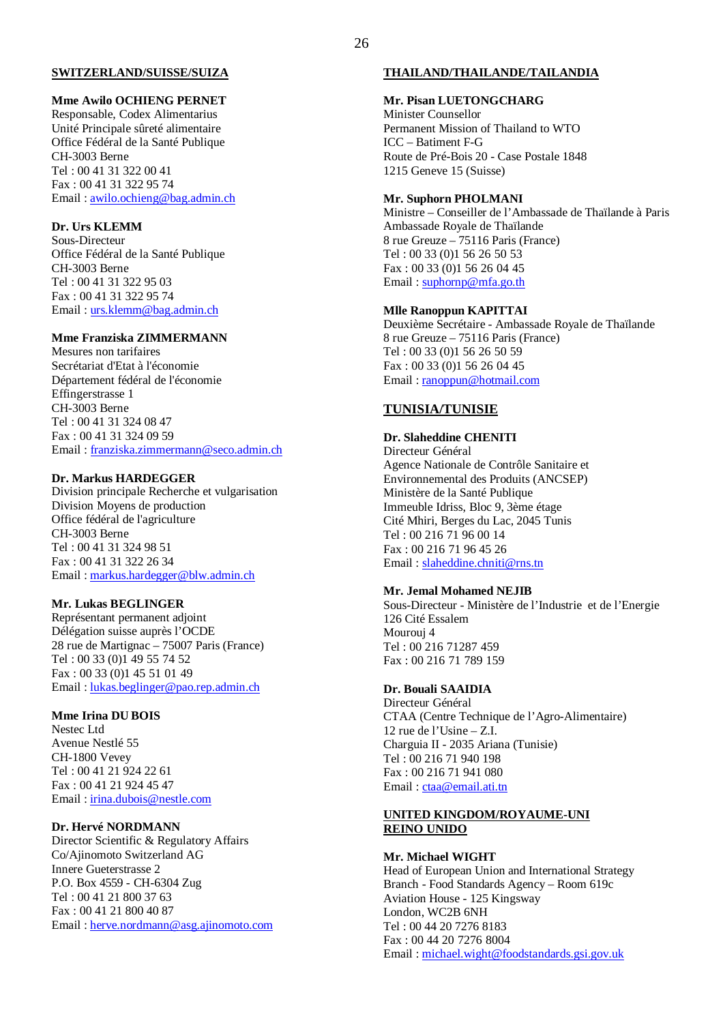#### **SWITZERLAND/SUISSE/SUIZA**

#### **Mme Awilo OCHIENG PERNET**

Responsable, Codex Alimentarius Unité Principale sûreté alimentaire Office Fédéral de la Santé Publique CH-3003 Berne Tel : 00 41 31 322 00 41 Fax : 00 41 31 322 95 74 Email : awilo.ochieng@bag.admin.ch

## **Dr. Urs KLEMM**

Sous-Directeur Office Fédéral de la Santé Publique CH-3003 Berne Tel : 00 41 31 322 95 03 Fax : 00 41 31 322 95 74 Email : urs.klemm@bag.admin.ch

## **Mme Franziska ZIMMERMANN**

Mesures non tarifaires Secrétariat d'Etat à l'économie Département fédéral de l'économie Effingerstrasse 1 CH-3003 Berne Tel : 00 41 31 324 08 47 Fax : 00 41 31 324 09 59 Email : franziska.zimmermann@seco.admin.ch

#### **Dr. Markus HARDEGGER**

Division principale Recherche et vulgarisation Division Moyens de production Office fédéral de l'agriculture CH-3003 Berne Tel : 00 41 31 324 98 51 Fax : 00 41 31 322 26 34 Email : markus.hardegger@blw.admin.ch

#### **Mr. Lukas BEGLINGER**

Représentant permanent adjoint Délégation suisse auprès l'OCDE 28 rue de Martignac – 75007 Paris (France) Tel : 00 33 (0)1 49 55 74 52 Fax : 00 33 (0)1 45 51 01 49 Email : lukas.beglinger@pao.rep.admin.ch

#### **Mme Irina DU BOIS**

Nestec Ltd Avenue Nestlé 55 CH-1800 Vevey Tel : 00 41 21 924 22 61 Fax : 00 41 21 924 45 47 Email : irina.dubois@nestle.com

#### **Dr. Hervé NORDMANN**

Director Scientific & Regulatory Affairs Co/Ajinomoto Switzerland AG Innere Gueterstrasse 2 P.O. Box 4559 - CH-6304 Zug Tel : 00 41 21 800 37 63 Fax : 00 41 21 800 40 87 Email : herve.nordmann@asg.ajinomoto.com

#### **THAILAND/THAILANDE/TAILANDIA**

#### **Mr. Pisan LUETONGCHARG**

Minister Counsellor Permanent Mission of Thailand to WTO ICC – Batiment F-G Route de Pré-Bois 20 - Case Postale 1848 1215 Geneve 15 (Suisse)

#### **Mr. Suphorn PHOLMANI**

Ministre – Conseiller de l'Ambassade de Thaïlande à Paris Ambassade Royale de Thaïlande 8 rue Greuze – 75116 Paris (France) Tel : 00 33 (0)1 56 26 50 53 Fax : 00 33 (0)1 56 26 04 45 Email : suphornp@mfa.go.th

#### **Mlle Ranoppun KAPITTAI**

Deuxième Secrétaire - Ambassade Royale de Thaïlande 8 rue Greuze – 75116 Paris (France) Tel : 00 33 (0)1 56 26 50 59 Fax : 00 33 (0)1 56 26 04 45 Email : ranoppun@hotmail.com

#### **TUNISIA/TUNISIE**

#### **Dr. Slaheddine CHENITI**

Directeur Général Agence Nationale de Contrôle Sanitaire et Environnemental des Produits (ANCSEP) Ministère de la Santé Publique Immeuble Idriss, Bloc 9, 3ème étage Cité Mhiri, Berges du Lac, 2045 Tunis Tel : 00 216 71 96 00 14 Fax : 00 216 71 96 45 26 Email : slaheddine.chniti@rns.tn

#### **Mr. Jemal Mohamed NEJIB**

Sous-Directeur - Ministère de l'Industrie et de l'Energie 126 Cité Essalem Mourouj 4 Tel : 00 216 71287 459 Fax : 00 216 71 789 159

#### **Dr. Bouali SAAIDIA**

Directeur Général CTAA (Centre Technique de l'Agro-Alimentaire) 12 rue de l'Usine – Z.I. Charguia II - 2035 Ariana (Tunisie) Tel : 00 216 71 940 198 Fax : 00 216 71 941 080 Email: ctaa@email.ati.tn

#### **UNITED KINGDOM/ROYAUME-UNI REINO UNIDO**

#### **Mr. Michael WIGHT**

Head of European Union and International Strategy Branch - Food Standards Agency – Room 619c Aviation House - 125 Kingsway London, WC2B 6NH Tel : 00 44 20 7276 8183 Fax : 00 44 20 7276 8004 Email : michael.wight@foodstandards.gsi.gov.uk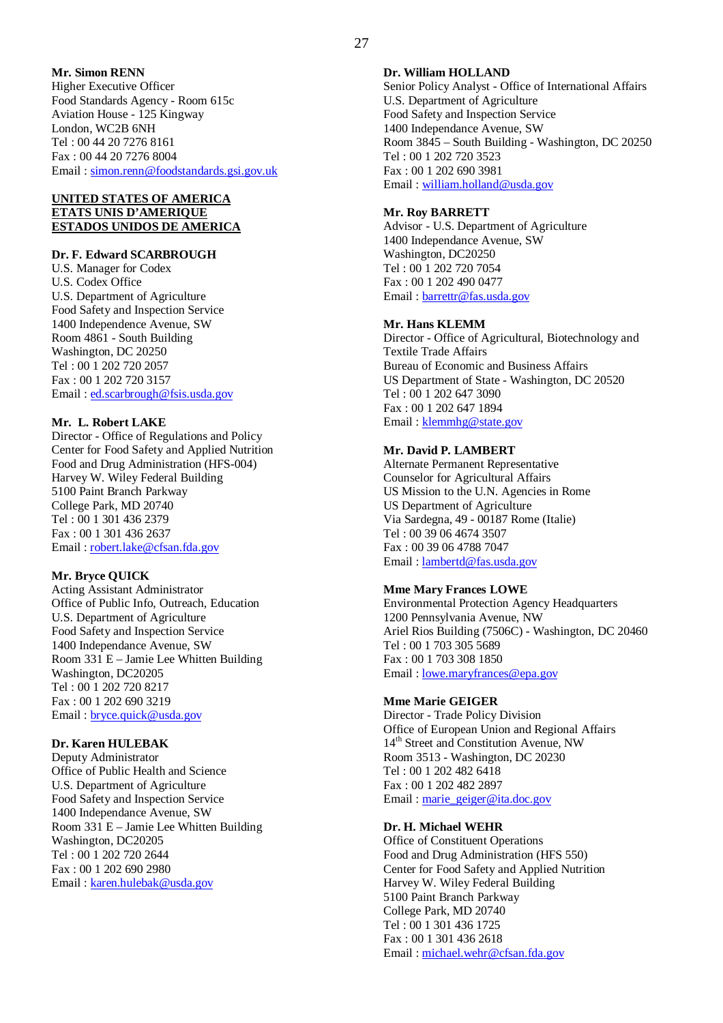#### **Mr. Simon RENN**

Higher Executive Officer Food Standards Agency - Room 615c Aviation House - 125 Kingway London, WC2B 6NH Tel : 00 44 20 7276 8161 Fax : 00 44 20 7276 8004 Email : simon.renn@foodstandards.gsi.gov.uk

#### **UNITED STATES OF AMERICA ETATS UNIS D'AMERIQUE ESTADOS UNIDOS DE AMERICA**

#### **Dr. F. Edward SCARBROUGH**

U.S. Manager for Codex U.S. Codex Office U.S. Department of Agriculture Food Safety and Inspection Service 1400 Independence Avenue, SW Room 4861 - South Building Washington, DC 20250 Tel : 00 1 202 720 2057 Fax : 00 1 202 720 3157 Email : ed.scarbrough@fsis.usda.gov

#### **Mr. L. Robert LAKE**

Director - Office of Regulations and Policy Center for Food Safety and Applied Nutrition Food and Drug Administration (HFS-004) Harvey W. Wiley Federal Building 5100 Paint Branch Parkway College Park, MD 20740 Tel : 00 1 301 436 2379 Fax : 00 1 301 436 2637 Email : robert.lake@cfsan.fda.gov

#### **Mr. Bryce QUICK**

Acting Assistant Administrator Office of Public Info, Outreach, Education U.S. Department of Agriculture Food Safety and Inspection Service 1400 Independance Avenue, SW Room 331 E – Jamie Lee Whitten Building Washington, DC20205 Tel : 00 1 202 720 8217 Fax : 00 1 202 690 3219 Email : bryce.quick@usda.gov

#### **Dr. Karen HULEBAK**

Deputy Administrator Office of Public Health and Science U.S. Department of Agriculture Food Safety and Inspection Service 1400 Independance Avenue, SW Room 331 E – Jamie Lee Whitten Building Washington, DC20205 Tel : 00 1 202 720 2644 Fax : 00 1 202 690 2980 Email : karen.hulebak@usda.gov

#### **Dr. William HOLLAND**

Senior Policy Analyst - Office of International Affairs U.S. Department of Agriculture Food Safety and Inspection Service 1400 Independance Avenue, SW Room 3845 – South Building - Washington, DC 20250 Tel : 00 1 202 720 3523 Fax : 00 1 202 690 3981 Email : william.holland@usda.gov

#### **Mr. Roy BARRETT**

Advisor - U.S. Department of Agriculture 1400 Independance Avenue, SW Washington, DC20250 Tel : 00 1 202 720 7054 Fax : 00 1 202 490 0477 Email : barrettr@fas.usda.gov

#### **Mr. Hans KLEMM**

Director - Office of Agricultural, Biotechnology and Textile Trade Affairs Bureau of Economic and Business Affairs US Department of State - Washington, DC 20520 Tel : 00 1 202 647 3090 Fax : 00 1 202 647 1894 Email : klemmhg@state.gov

#### **Mr. David P. LAMBERT**

Alternate Permanent Representative Counselor for Agricultural Affairs US Mission to the U.N. Agencies in Rome US Department of Agriculture Via Sardegna, 49 - 00187 Rome (Italie) Tel : 00 39 06 4674 3507 Fax : 00 39 06 4788 7047 Email : lambertd@fas.usda.gov

#### **Mme Mary Frances LOWE**

Environmental Protection Agency Headquarters 1200 Pennsylvania Avenue, NW Ariel Rios Building (7506C) - Washington, DC 20460 Tel : 00 1 703 305 5689 Fax : 00 1 703 308 1850 Email : lowe.maryfrances@epa.gov

#### **Mme Marie GEIGER**

Director - Trade Policy Division Office of European Union and Regional Affairs 14<sup>th</sup> Street and Constitution Avenue, NW Room 3513 - Washington, DC 20230 Tel : 00 1 202 482 6418 Fax : 00 1 202 482 2897 Email : marie\_geiger@ita.doc.gov

#### **Dr. H. Michael WEHR**

Office of Constituent Operations Food and Drug Administration (HFS 550) Center for Food Safety and Applied Nutrition Harvey W. Wiley Federal Building 5100 Paint Branch Parkway College Park, MD 20740 Tel : 00 1 301 436 1725 Fax : 00 1 301 436 2618 Email : michael.wehr@cfsan.fda.gov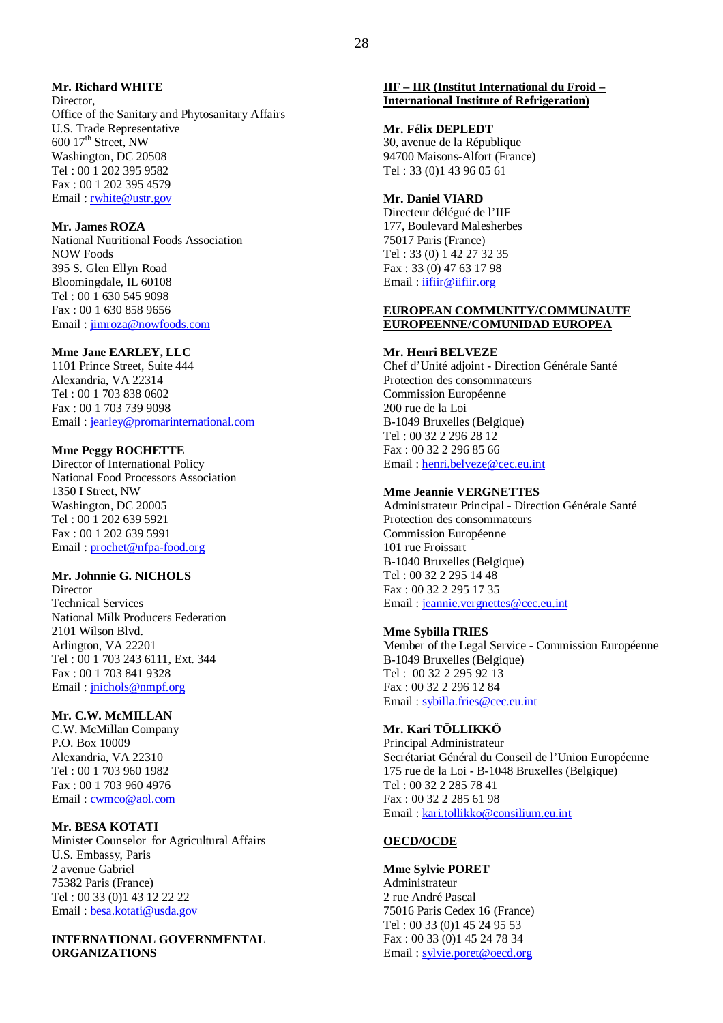#### **Mr. Richard WHITE**

**Director** Office of the Sanitary and Phytosanitary Affairs U.S. Trade Representative  $600$  17<sup>th</sup> Street, NW Washington, DC 20508 Tel : 00 1 202 395 9582 Fax : 00 1 202 395 4579 Email : rwhite@ustr.gov

#### **Mr. James ROZA**

National Nutritional Foods Association NOW Foods 395 S. Glen Ellyn Road Bloomingdale, IL 60108 Tel : 00 1 630 545 9098 Fax : 00 1 630 858 9656 Email : jimroza@nowfoods.com

#### **Mme Jane EARLEY, LLC**

1101 Prince Street, Suite 444 Alexandria, VA 22314 Tel : 00 1 703 838 0602 Fax : 00 1 703 739 9098 Email : jearley@promarinternational.com

#### **Mme Peggy ROCHETTE**

Director of International Policy National Food Processors Association 1350 I Street, NW Washington, DC 20005 Tel : 00 1 202 639 5921 Fax : 00 1 202 639 5991 Email : prochet@nfpa-food.org

#### **Mr. Johnnie G. NICHOLS**

Director Technical Services National Milk Producers Federation 2101 Wilson Blvd. Arlington, VA 22201 Tel : 00 1 703 243 6111, Ext. 344 Fax : 00 1 703 841 9328 Email : jnichols@nmpf.org

#### **Mr. C.W. McMILLAN**

C.W. McMillan Company P.O. Box 10009 Alexandria, VA 22310 Tel : 00 1 703 960 1982 Fax : 00 1 703 960 4976 Email: cwmco@aol.com

**Mr. BESA KOTATI** Minister Counselor for Agricultural Affairs U.S. Embassy, Paris 2 avenue Gabriel 75382 Paris (France) Tel : 00 33 (0)1 43 12 22 22 Email : besa.kotati@usda.gov

**INTERNATIONAL GOVERNMENTAL ORGANIZATIONS**

#### **IIF – IIR (Institut International du Froid – International Institute of Refrigeration)**

#### **Mr. Félix DEPLEDT**

30, avenue de la République 94700 Maisons-Alfort (France) Tel : 33 (0)1 43 96 05 61

## **Mr. Daniel VIARD**

Directeur délégué de l'IIF 177, Boulevard Malesherbes 75017 Paris (France) Tel : 33 (0) 1 42 27 32 35 Fax : 33 (0) 47 63 17 98 Email: iifiir@iifiir.org

#### **EUROPEAN COMMUNITY/COMMUNAUTE EUROPEENNE/COMUNIDAD EUROPEA**

#### **Mr. Henri BELVEZE**

Chef d'Unité adjoint - Direction Générale Santé Protection des consommateurs Commission Européenne 200 rue de la Loi B-1049 Bruxelles (Belgique) Tel : 00 32 2 296 28 12 Fax : 00 32 2 296 85 66 Email : henri.belveze@cec.eu.int

#### **Mme Jeannie VERGNETTES**

Administrateur Principal - Direction Générale Santé Protection des consommateurs Commission Européenne 101 rue Froissart B-1040 Bruxelles (Belgique) Tel : 00 32 2 295 14 48 Fax : 00 32 2 295 17 35 Email : jeannie.vergnettes@cec.eu.int

#### **Mme Sybilla FRIES**

Member of the Legal Service - Commission Européenne B-1049 Bruxelles (Belgique) Tel : 00 32 2 295 92 13 Fax : 00 32 2 296 12 84 Email : sybilla.fries@cec.eu.int

## **Mr. Kari TÖLLIKKÖ**

Principal Administrateur Secrétariat Général du Conseil de l'Union Européenne 175 rue de la Loi - B-1048 Bruxelles (Belgique) Tel : 00 32 2 285 78 41 Fax : 00 32 2 285 61 98 Email : kari.tollikko@consilium.eu.int

#### **OECD/OCDE**

**Mme Sylvie PORET** Administrateur 2 rue André Pascal 75016 Paris Cedex 16 (France) Tel : 00 33 (0)1 45 24 95 53 Fax : 00 33 (0)1 45 24 78 34 Email: sylvie.poret@oecd.org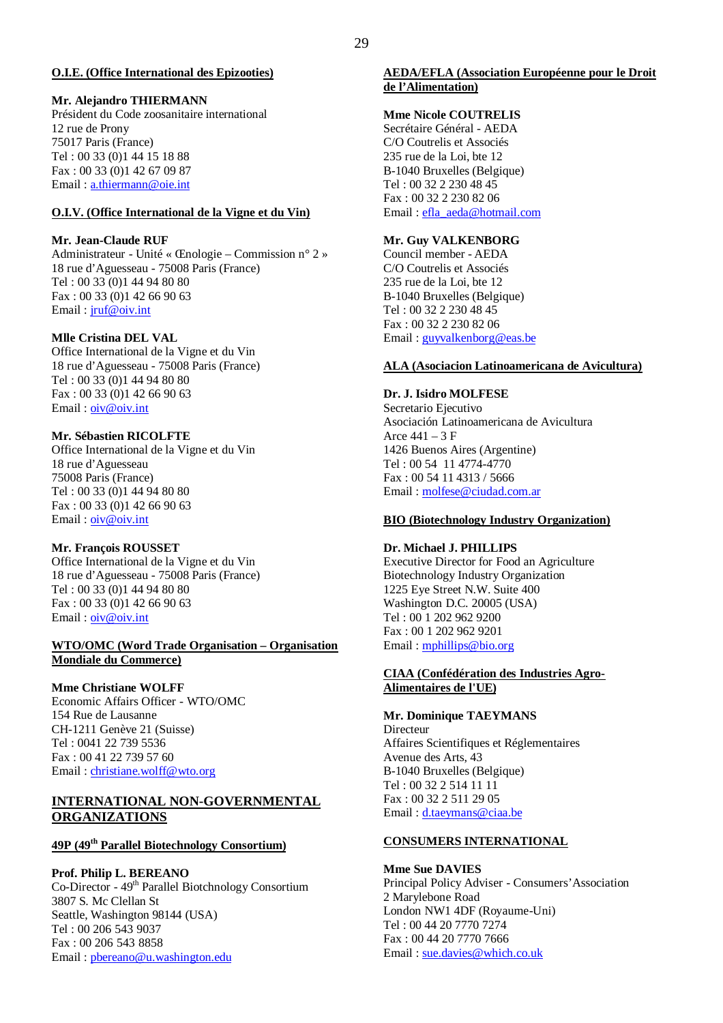#### **O.I.E. (Office International des Epizooties)**

#### **Mr. Alejandro THIERMANN**

Président du Code zoosanitaire international 12 rue de Prony 75017 Paris (France) Tel : 00 33 (0)1 44 15 18 88 Fax : 00 33 (0)1 42 67 09 87 Email : a.thiermann@oie.int

## **O.I.V. (Office International de la Vigne et du Vin)**

#### **Mr. Jean-Claude RUF**

Administrateur - Unité « Œnologie – Commission n° 2 » 18 rue d'Aguesseau - 75008 Paris (France) Tel : 00 33 (0)1 44 94 80 80 Fax : 00 33 (0)1 42 66 90 63 Email : jruf@oiv.int

#### **Mlle Cristina DEL VAL**

Office International de la Vigne et du Vin 18 rue d'Aguesseau - 75008 Paris (France) Tel : 00 33 (0)1 44 94 80 80 Fax : 00 33 (0)1 42 66 90 63 Email : oiv@oiv.int

#### **Mr. Sébastien RICOLFTE**

Office International de la Vigne et du Vin 18 rue d'Aguesseau 75008 Paris (France) Tel : 00 33 (0)1 44 94 80 80 Fax : 00 33 (0)1 42 66 90 63 Email : oiv@oiv.int

#### **Mr. François ROUSSET**

Office International de la Vigne et du Vin 18 rue d'Aguesseau - 75008 Paris (France) Tel : 00 33 (0)1 44 94 80 80 Fax : 00 33 (0)1 42 66 90 63 Email : oiv@oiv.int

#### **WTO/OMC (Word Trade Organisation – Organisation Mondiale du Commerce)**

#### **Mme Christiane WOLFF**

Economic Affairs Officer - WTO/OMC 154 Rue de Lausanne CH-1211 Genève 21 (Suisse) Tel : 0041 22 739 5536 Fax : 00 41 22 739 57 60 Email : christiane.wolff@wto.org

#### **INTERNATIONAL NON-GOVERNMENTAL ORGANIZATIONS**

## **49P (49th Parallel Biotechnology Consortium)**

**Prof. Philip L. BEREANO** Co-Director - 49th Parallel Biotchnology Consortium 3807 S. Mc Clellan St Seattle, Washington 98144 (USA) Tel : 00 206 543 9037 Fax : 00 206 543 8858 Email : pbereano@u.washington.edu

#### **AEDA/EFLA (Association Européenne pour le Droit de l'Alimentation)**

#### **Mme Nicole COUTRELIS**

Secrétaire Général - AEDA C/O Coutrelis et Associés 235 rue de la Loi, bte 12 B-1040 Bruxelles (Belgique) Tel : 00 32 2 230 48 45 Fax : 00 32 2 230 82 06 Email : efla\_aeda@hotmail.com

#### **Mr. Guy VALKENBORG**

Council member - AEDA C/O Coutrelis et Associés 235 rue de la Loi, bte 12 B-1040 Bruxelles (Belgique) Tel : 00 32 2 230 48 45 Fax : 00 32 2 230 82 06 Email : guyvalkenborg@eas.be

#### **ALA (Asociacion Latinoamericana de Avicultura)**

#### **Dr. J. Isidro MOLFESE**

Secretario Ejecutivo Asociación Latinoamericana de Avicultura Arce  $441 - 3$  F 1426 Buenos Aires (Argentine) Tel : 00 54 11 4774-4770 Fax : 00 54 11 4313 / 5666 Email : molfese@ciudad.com.ar

#### **BIO (Biotechnology Industry Organization)**

#### **Dr. Michael J. PHILLIPS**

Executive Director for Food an Agriculture Biotechnology Industry Organization 1225 Eye Street N.W. Suite 400 Washington D.C. 20005 (USA) Tel : 00 1 202 962 9200 Fax : 00 1 202 962 9201 Email : mphillips@bio.org

#### **CIAA (Confédération des Industries Agro-Alimentaires de l'UE)**

#### **Mr. Dominique TAEYMANS**

**Directeur** Affaires Scientifiques et Réglementaires Avenue des Arts, 43 B-1040 Bruxelles (Belgique) Tel : 00 32 2 514 11 11 Fax : 00 32 2 511 29 05 Email : d.taeymans@ciaa.be

#### **CONSUMERS INTERNATIONAL**

#### **Mme Sue DAVIES**

Principal Policy Adviser - Consumers'Association 2 Marylebone Road London NW1 4DF (Royaume-Uni) Tel : 00 44 20 7770 7274 Fax : 00 44 20 7770 7666 Email: sue.davies@which.co.uk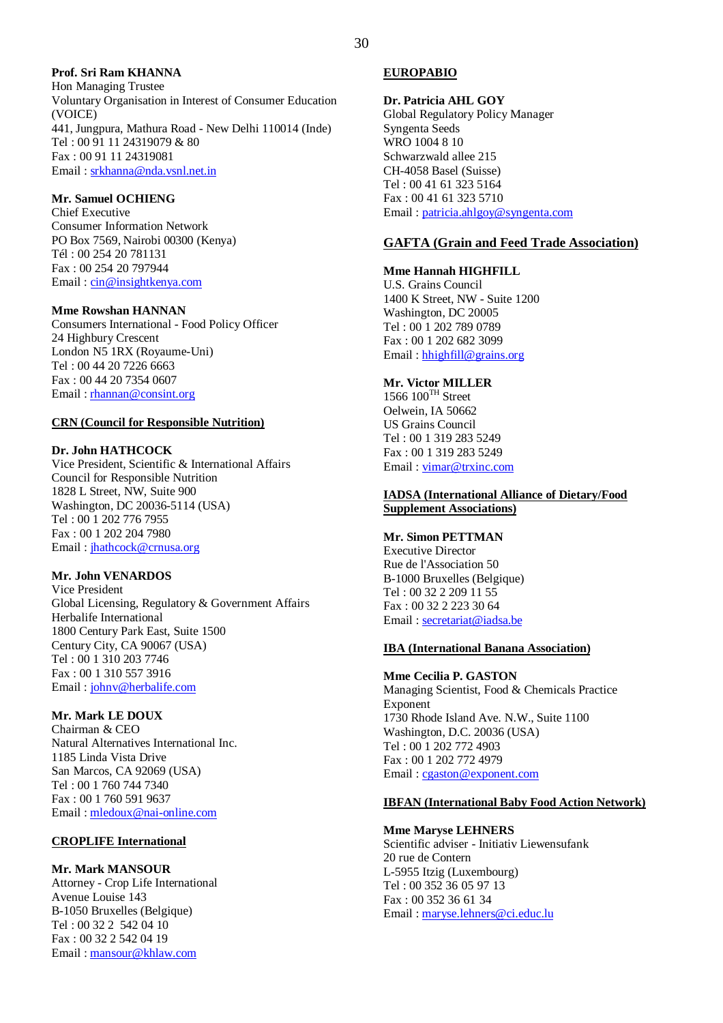## **Prof. Sri Ram KHANNA**

Hon Managing Trustee Voluntary Organisation in Interest of Consumer Education (VOICE) 441, Jungpura, Mathura Road - New Delhi 110014 (Inde) Tel : 00 91 11 24319079 & 80 Fax : 00 91 11 24319081 Email : srkhanna@nda.vsnl.net.in

#### **Mr. Samuel OCHIENG**

Chief Executive Consumer Information Network PO Box 7569, Nairobi 00300 (Kenya) Tél : 00 254 20 781131 Fax : 00 254 20 797944 Email : cin@insightkenya.com

#### **Mme Rowshan HANNAN**

Consumers International - Food Policy Officer 24 Highbury Crescent London N5 1RX (Royaume-Uni) Tel : 00 44 20 7226 6663 Fax : 00 44 20 7354 0607 Email : rhannan@consint.org

#### **CRN (Council for Responsible Nutrition)**

#### **Dr. John HATHCOCK**

Vice President, Scientific & International Affairs Council for Responsible Nutrition 1828 L Street, NW, Suite 900 Washington, DC 20036-5114 (USA) Tel : 00 1 202 776 7955 Fax : 00 1 202 204 7980 Email: jhathcock@crnusa.org

#### **Mr. John VENARDOS**

Vice President Global Licensing, Regulatory & Government Affairs Herbalife International 1800 Century Park East, Suite 1500 Century City, CA 90067 (USA) Tel : 00 1 310 203 7746 Fax : 00 1 310 557 3916 Email : johnv@herbalife.com

#### **Mr. Mark LE DOUX**

Chairman & CEO Natural Alternatives International Inc. 1185 Linda Vista Drive San Marcos, CA 92069 (USA) Tel : 00 1 760 744 7340 Fax : 00 1 760 591 9637 Email : mledoux@nai-online.com

#### **CROPLIFE International**

#### **Mr. Mark MANSOUR**

Attorney - Crop Life International Avenue Louise 143 B-1050 Bruxelles (Belgique) Tel : 00 32 2 542 04 10 Fax : 00 32 2 542 04 19 Email : mansour@khlaw.com

#### **EUROPABIO**

**Dr. Patricia AHL GOY** Global Regulatory Policy Manager Syngenta Seeds WRO 1004 8 10 Schwarzwald allee 215 CH-4058 Basel (Suisse) Tel : 00 41 61 323 5164 Fax : 00 41 61 323 5710 Email : patricia.ahlgoy@syngenta.com

#### **GAFTA (Grain and Feed Trade Association)**

#### **Mme Hannah HIGHFILL**

U.S. Grains Council 1400 K Street, NW - Suite 1200 Washington, DC 20005 Tel : 00 1 202 789 0789 Fax : 00 1 202 682 3099 Email : hhighfill@grains.org

#### **Mr. Victor MILLER**

 $1566 100$ <sup>TH</sup> Street Oelwein, IA 50662 US Grains Council Tel : 00 1 319 283 5249 Fax : 00 1 319 283 5249 Email : vimar@trxinc.com

#### **IADSA (International Alliance of Dietary/Food Supplement Associations)**

#### **Mr. Simon PETTMAN**

Executive Director Rue de l'Association 50 B-1000 Bruxelles (Belgique) Tel : 00 32 2 209 11 55 Fax : 00 32 2 223 30 64 Email : secretariat@iadsa.be

#### **IBA (International Banana Association)**

#### **Mme Cecilia P. GASTON**

Managing Scientist, Food & Chemicals Practice Exponent 1730 Rhode Island Ave. N.W., Suite 1100 Washington, D.C. 20036 (USA) Tel : 00 1 202 772 4903 Fax : 00 1 202 772 4979 Email : cgaston@exponent.com

#### **IBFAN (International Baby Food Action Network)**

#### **Mme Maryse LEHNERS**

Scientific adviser - Initiativ Liewensufank 20 rue de Contern L-5955 Itzig (Luxembourg) Tel : 00 352 36 05 97 13 Fax : 00 352 36 61 34 Email : maryse.lehners@ci.educ.lu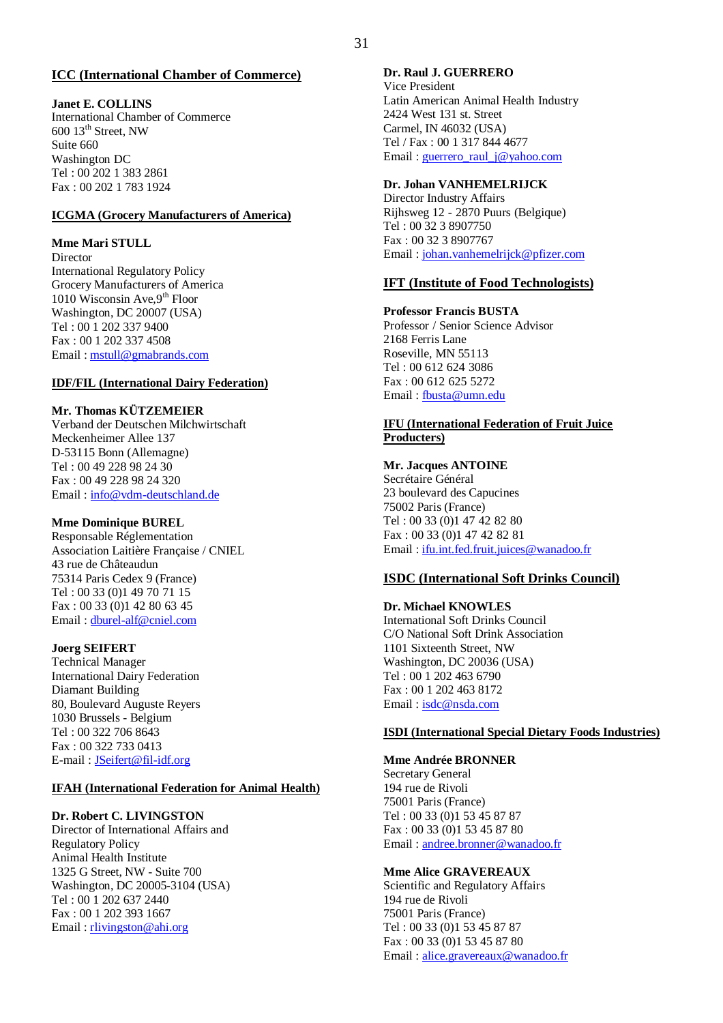## **ICC (International Chamber of Commerce)**

## **Janet E. COLLINS**

International Chamber of Commerce  $600$   $13<sup>th</sup>$  Street, NW Suite 660 Washington DC Tel : 00 202 1 383 2861 Fax : 00 202 1 783 1924

## **ICGMA (Grocery Manufacturers of America)**

## **Mme Mari STULL**

**Director** International Regulatory Policy Grocery Manufacturers of America 1010 Wisconsin Ave,  $9^{th}$  Floor Washington, DC 20007 (USA) Tel : 00 1 202 337 9400 Fax : 00 1 202 337 4508 Email : mstull@gmabrands.com

## **IDF/FIL (International Dairy Federation)**

## **Mr. Thomas KÜTZEMEIER**

Verband der Deutschen Milchwirtschaft Meckenheimer Allee 137 D-53115 Bonn (Allemagne) Tel : 00 49 228 98 24 30 Fax : 00 49 228 98 24 320 Email : info@vdm-deutschland.de

## **Mme Dominique BUREL**

Responsable Réglementation Association Laitière Française / CNIEL 43 rue de Châteaudun 75314 Paris Cedex 9 (France) Tel : 00 33 (0)1 49 70 71 15 Fax : 00 33 (0)1 42 80 63 45 Email : dburel-alf@cniel.com

## **Joerg SEIFERT**

Technical Manager International Dairy Federation Diamant Building 80, Boulevard Auguste Reyers 1030 Brussels - Belgium Tel : 00 322 706 8643 Fax : 00 322 733 0413 E-mail : JSeifert@fil-idf.org

## **IFAH (International Federation for Animal Health)**

## **Dr. Robert C. LIVINGSTON**

Director of International Affairs and Regulatory Policy Animal Health Institute 1325 G Street, NW - Suite 700 Washington, DC 20005-3104 (USA) Tel : 00 1 202 637 2440 Fax : 00 1 202 393 1667 Email: rlivingston@ahi.org

#### **Dr. Raul J. GUERRERO**

Vice President Latin American Animal Health Industry 2424 West 131 st. Street Carmel, IN 46032 (USA) Tel / Fax : 00 1 317 844 4677 Email : guerrero\_raul\_j@yahoo.com

#### **Dr. Johan VANHEMELRIJCK**

Director Industry Affairs Rijhsweg 12 - 2870 Puurs (Belgique) Tel : 00 32 3 8907750 Fax : 00 32 3 8907767 Email : johan.vanhemelrijck@pfizer.com

#### **IFT (Institute of Food Technologists)**

## **Professor Francis BUSTA**

Professor / Senior Science Advisor 2168 Ferris Lane Roseville, MN 55113 Tel : 00 612 624 3086 Fax : 00 612 625 5272 Email : fbusta@umn.edu

## **IFU (International Federation of Fruit Juice Producters)**

#### **Mr. Jacques ANTOINE** Secrétaire Général 23 boulevard des Capucines 75002 Paris (France) Tel : 00 33 (0)1 47 42 82 80 Fax : 00 33 (0)1 47 42 82 81 Email : ifu.int.fed.fruit.juices@wanadoo.fr

## **ISDC (International Soft Drinks Council)**

#### **Dr. Michael KNOWLES** International Soft Drinks Council C/O National Soft Drink Association 1101 Sixteenth Street, NW Washington, DC 20036 (USA) Tel : 00 1 202 463 6790 Fax : 00 1 202 463 8172 Email : isdc@nsda.com

#### **ISDI (International Special Dietary Foods Industries)**

**Mme Andrée BRONNER** Secretary General 194 rue de Rivoli 75001 Paris (France) Tel : 00 33 (0)1 53 45 87 87 Fax : 00 33 (0)1 53 45 87 80 Email : andree.bronner@wanadoo.fr

#### **Mme Alice GRAVEREAUX**

Scientific and Regulatory Affairs 194 rue de Rivoli 75001 Paris (France) Tel : 00 33 (0)1 53 45 87 87 Fax : 00 33 (0)1 53 45 87 80 Email : alice.gravereaux@wanadoo.fr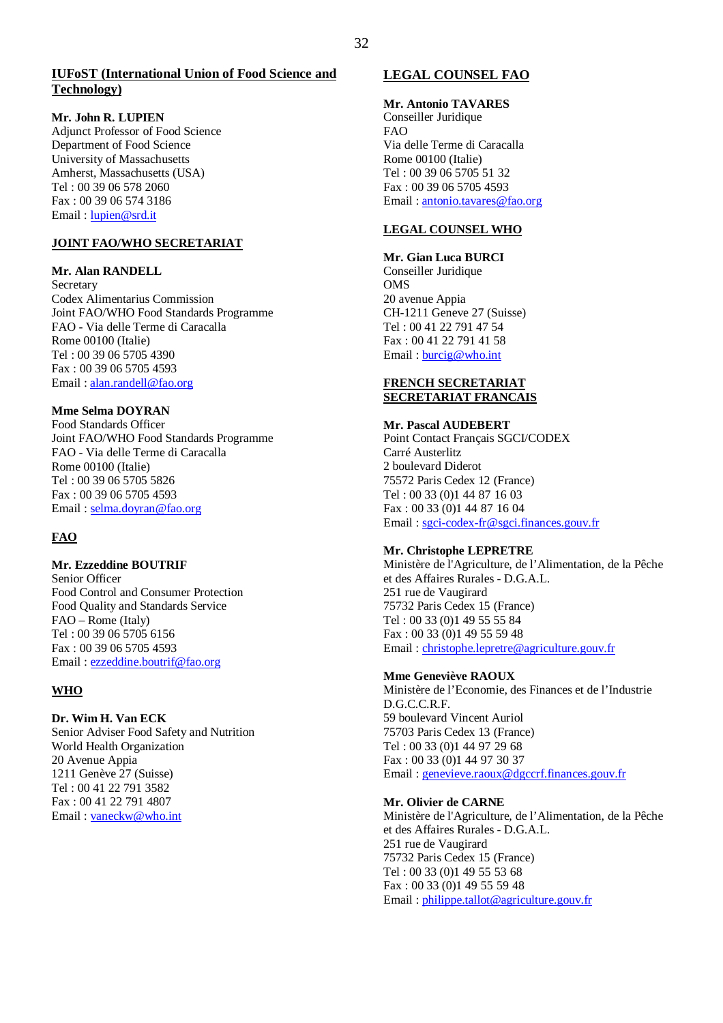#### **Mr. John R. LUPIEN**

Adjunct Professor of Food Science Department of Food Science University of Massachusetts Amherst, Massachusetts (USA) Tel : 00 39 06 578 2060 Fax : 00 39 06 574 3186 Email : lupien@srd.it

#### **JOINT FAO/WHO SECRETARIAT**

#### **Mr. Alan RANDELL**

Secretary Codex Alimentarius Commission Joint FAO/WHO Food Standards Programme FAO - Via delle Terme di Caracalla Rome 00100 (Italie) Tel : 00 39 06 5705 4390 Fax : 00 39 06 5705 4593 Email : alan.randell@fao.org

## **Mme Selma DOYRAN**

Food Standards Officer Joint FAO/WHO Food Standards Programme FAO - Via delle Terme di Caracalla Rome 00100 (Italie) Tel : 00 39 06 5705 5826 Fax : 00 39 06 5705 4593 Email : selma.doyran@fao.org

## **FAO**

#### **Mr. Ezzeddine BOUTRIF**

Senior Officer Food Control and Consumer Protection Food Quality and Standards Service FAO – Rome (Italy) Tel : 00 39 06 5705 6156 Fax : 00 39 06 5705 4593 Email : ezzeddine.boutrif@fao.org

## **WHO**

## **Dr. Wim H. Van ECK**

Senior Adviser Food Safety and Nutrition World Health Organization 20 Avenue Appia 1211 Genève 27 (Suisse) Tel : 00 41 22 791 3582 Fax : 00 41 22 791 4807 Email : vaneckw@who.int

## **LEGAL COUNSEL FAO**

**Mr. Antonio TAVARES** Conseiller Juridique FAO Via delle Terme di Caracalla Rome 00100 (Italie) Tel : 00 39 06 5705 51 32 Fax : 00 39 06 5705 4593 Email : antonio.tavares@fao.org

## **LEGAL COUNSEL WHO**

#### **Mr. Gian Luca BURCI** Conseiller Juridique **OMS** 20 avenue Appia CH-1211 Geneve 27 (Suisse) Tel : 00 41 22 791 47 54 Fax : 00 41 22 791 41 58 Email : burcig@who.int

#### **FRENCH SECRETARIAT SECRETARIAT FRANCAIS**

#### **Mr. Pascal AUDEBERT** Point Contact Français SGCI/CODEX Carré Austerlitz 2 boulevard Diderot 75572 Paris Cedex 12 (France) Tel : 00 33 (0)1 44 87 16 03 Fax : 00 33 (0)1 44 87 16 04 Email : sgci-codex-fr@sgci.finances.gouv.fr

## **Mr. Christophe LEPRETRE**

Ministère de l'Agriculture, de l'Alimentation, de la Pêche et des Affaires Rurales - D.G.A.L. 251 rue de Vaugirard 75732 Paris Cedex 15 (France) Tel : 00 33 (0)1 49 55 55 84 Fax : 00 33 (0)1 49 55 59 48 Email : christophe.lepretre@agriculture.gouv.fr

## **Mme Geneviève RAOUX**

Ministère de l'Economie, des Finances et de l'Industrie D.G.C.C.R.F. 59 boulevard Vincent Auriol 75703 Paris Cedex 13 (France) Tel : 00 33 (0)1 44 97 29 68 Fax : 00 33 (0)1 44 97 30 37 Email : genevieve.raoux@dgccrf.finances.gouv.fr

## **Mr. Olivier de CARNE**

Ministère de l'Agriculture, de l'Alimentation, de la Pêche et des Affaires Rurales - D.G.A.L. 251 rue de Vaugirard 75732 Paris Cedex 15 (France) Tel : 00 33 (0)1 49 55 53 68 Fax : 00 33 (0)1 49 55 59 48 Email : philippe.tallot@agriculture.gouv.fr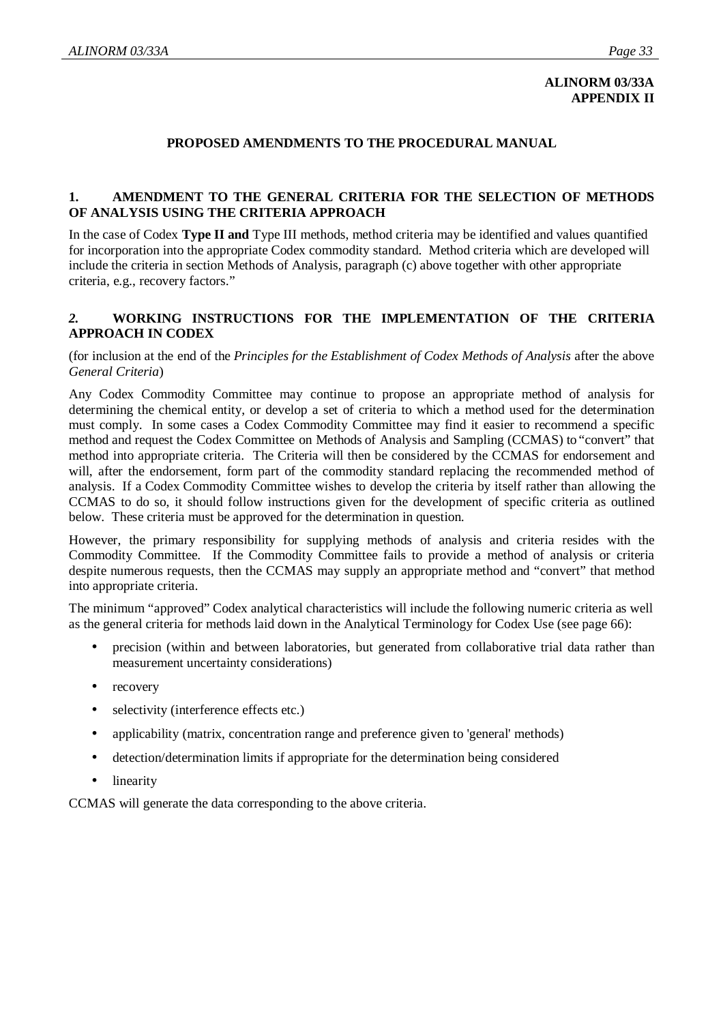## **ALINORM 03/33A APPENDIX II**

## **PROPOSED AMENDMENTS TO THE PROCEDURAL MANUAL**

## **1. AMENDMENT TO THE GENERAL CRITERIA FOR THE SELECTION OF METHODS OF ANALYSIS USING THE CRITERIA APPROACH**

In the case of Codex **Type II and** Type III methods, method criteria may be identified and values quantified for incorporation into the appropriate Codex commodity standard. Method criteria which are developed will include the criteria in section Methods of Analysis, paragraph (c) above together with other appropriate criteria, e.g., recovery factors."

## *2.* **WORKING INSTRUCTIONS FOR THE IMPLEMENTATION OF THE CRITERIA APPROACH IN CODEX**

(for inclusion at the end of the *Principles for the Establishment of Codex Methods of Analysis* after the above *General Criteria*)

Any Codex Commodity Committee may continue to propose an appropriate method of analysis for determining the chemical entity, or develop a set of criteria to which a method used for the determination must comply. In some cases a Codex Commodity Committee may find it easier to recommend a specific method and request the Codex Committee on Methods of Analysis and Sampling (CCMAS) to "convert" that method into appropriate criteria. The Criteria will then be considered by the CCMAS for endorsement and will, after the endorsement, form part of the commodity standard replacing the recommended method of analysis. If a Codex Commodity Committee wishes to develop the criteria by itself rather than allowing the CCMAS to do so, it should follow instructions given for the development of specific criteria as outlined below. These criteria must be approved for the determination in question.

However, the primary responsibility for supplying methods of analysis and criteria resides with the Commodity Committee. If the Commodity Committee fails to provide a method of analysis or criteria despite numerous requests, then the CCMAS may supply an appropriate method and "convert" that method into appropriate criteria.

The minimum "approved" Codex analytical characteristics will include the following numeric criteria as well as the general criteria for methods laid down in the Analytical Terminology for Codex Use (see page 66):

- precision (within and between laboratories, but generated from collaborative trial data rather than measurement uncertainty considerations)
- recovery
- selectivity (interference effects etc.)
- applicability (matrix, concentration range and preference given to 'general' methods)
- detection/determination limits if appropriate for the determination being considered
- **linearity**

CCMAS will generate the data corresponding to the above criteria.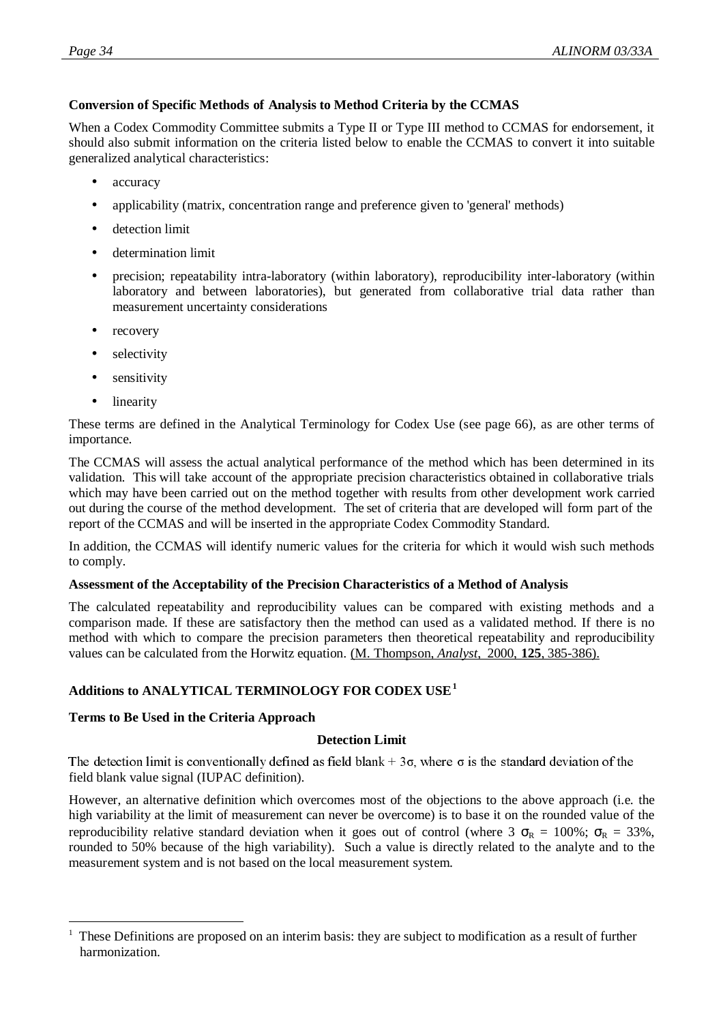## **Conversion of Specific Methods of Analysis to Method Criteria by the CCMAS**

When a Codex Commodity Committee submits a Type II or Type III method to CCMAS for endorsement, it should also submit information on the criteria listed below to enable the CCMAS to convert it into suitable generalized analytical characteristics:

- accuracy
- applicability (matrix, concentration range and preference given to 'general' methods)
- detection limit
- determination limit
- precision; repeatability intra-laboratory (within laboratory), reproducibility inter-laboratory (within laboratory and between laboratories), but generated from collaborative trial data rather than measurement uncertainty considerations
- recovery
- selectivity
- sensitivity
- linearity

 $\overline{a}$ 

These terms are defined in the Analytical Terminology for Codex Use (see page 66), as are other terms of importance.

The CCMAS will assess the actual analytical performance of the method which has been determined in its validation. This will take account of the appropriate precision characteristics obtained in collaborative trials which may have been carried out on the method together with results from other development work carried out during the course of the method development. The set of criteria that are developed will form part of the report of the CCMAS and will be inserted in the appropriate Codex Commodity Standard.

In addition, the CCMAS will identify numeric values for the criteria for which it would wish such methods to comply.

## **Assessment of the Acceptability of the Precision Characteristics of a Method of Analysis**

The calculated repeatability and reproducibility values can be compared with existing methods and a comparison made. If these are satisfactory then the method can used as a validated method. If there is no method with which to compare the precision parameters then theoretical repeatability and reproducibility values can be calculated from the Horwitz equation. (M. Thompson, *Analyst*, 2000, **125**, 385-386).

## **Additions to ANALYTICAL TERMINOLOGY FOR CODEX USE<sup>1</sup>**

## **Terms to Be Used in the Criteria Approach**

## **Detection Limit**

File detection film is conventionally defined<br>field blank value signal (IUPAC definition).  $\alpha$  as not plain  $\rightarrow$  50, where  $\alpha$  is the standard deviation of the

However, an alternative definition which overcomes most of the objections to the above approach (i.e. the high variability at the limit of measurement can never be overcome) is to base it on the rounded value of the reproducibility relative standard deviation when it goes out of control (where  $3\sigma_R = 100\%$ ;  $\sigma_R = 33\%$ , rounded to 50% because of the high variability). Such a value is directly related to the analyte and to the measurement system and is not based on the local measurement system.

<sup>1</sup> These Definitions are proposed on an interim basis: they are subject to modification as a result of further harmonization.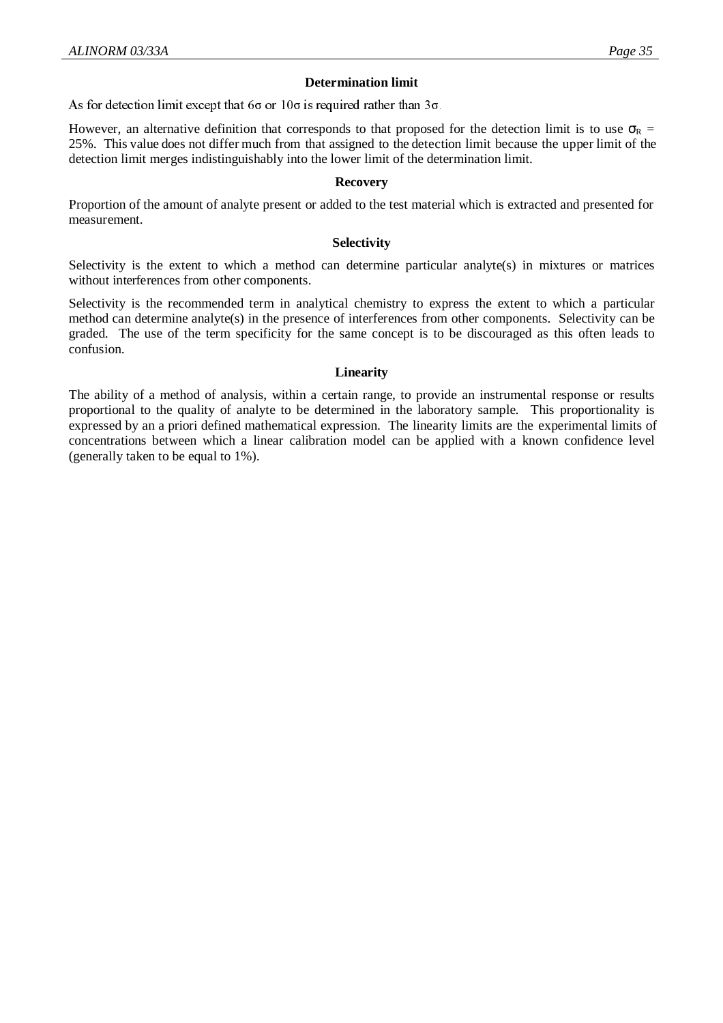## **Determination limit**

As for detection think except that  $00$  or 100 is required rather than 50.

However, an alternative definition that corresponds to that proposed for the detection limit is to use  $\sigma_R$  = 25%. This value does not differ much from that assigned to the detection limit because the upper limit of the detection limit merges indistinguishably into the lower limit of the determination limit.

#### **Recovery**

Proportion of the amount of analyte present or added to the test material which is extracted and presented for measurement.

## **Selectivity**

Selectivity is the extent to which a method can determine particular analyte(s) in mixtures or matrices without interferences from other components.

Selectivity is the recommended term in analytical chemistry to express the extent to which a particular method can determine analyte(s) in the presence of interferences from other components. Selectivity can be graded. The use of the term specificity for the same concept is to be discouraged as this often leads to confusion.

#### **Linearity**

The ability of a method of analysis, within a certain range, to provide an instrumental response or results proportional to the quality of analyte to be determined in the laboratory sample. This proportionality is expressed by an a priori defined mathematical expression. The linearity limits are the experimental limits of concentrations between which a linear calibration model can be applied with a known confidence level (generally taken to be equal to 1%).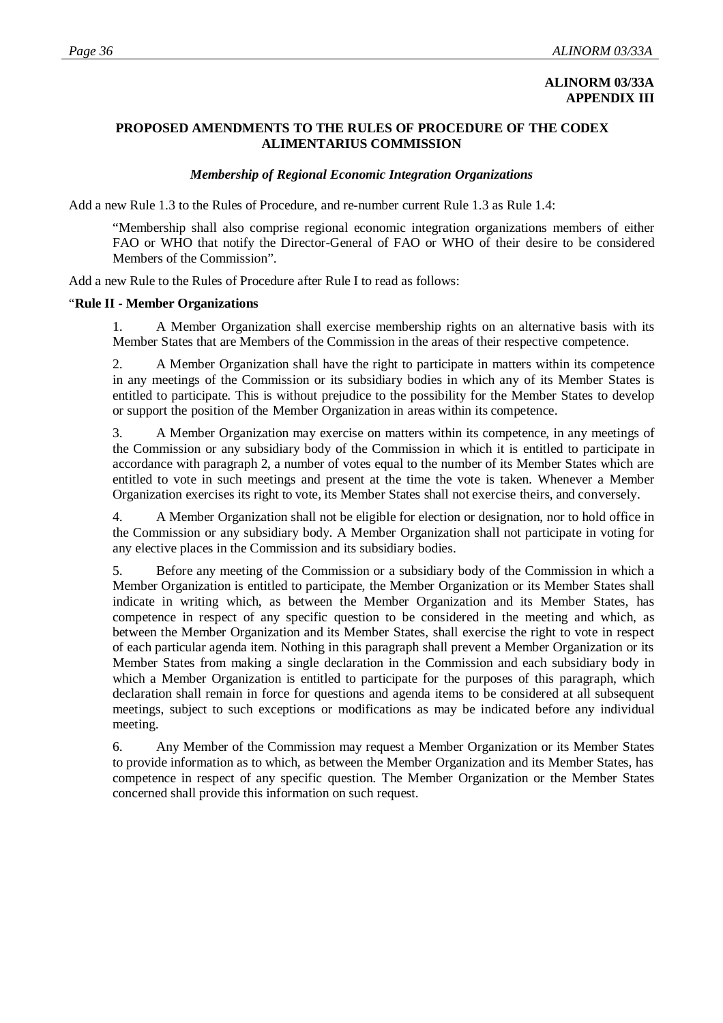## **ALINORM 03/33A APPENDIX III**

## **PROPOSED AMENDMENTS TO THE RULES OF PROCEDURE OF THE CODEX ALIMENTARIUS COMMISSION**

## *Membership of Regional Economic Integration Organizations*

Add a new Rule 1.3 to the Rules of Procedure, and re-number current Rule 1.3 as Rule 1.4:

"Membership shall also comprise regional economic integration organizations members of either FAO or WHO that notify the Director-General of FAO or WHO of their desire to be considered Members of the Commission".

Add a new Rule to the Rules of Procedure after Rule I to read as follows:

## "**Rule II - Member Organizations**

1. A Member Organization shall exercise membership rights on an alternative basis with its Member States that are Members of the Commission in the areas of their respective competence.

2. A Member Organization shall have the right to participate in matters within its competence in any meetings of the Commission or its subsidiary bodies in which any of its Member States is entitled to participate. This is without prejudice to the possibility for the Member States to develop or support the position of the Member Organization in areas within its competence.

3. A Member Organization may exercise on matters within its competence, in any meetings of the Commission or any subsidiary body of the Commission in which it is entitled to participate in accordance with paragraph 2, a number of votes equal to the number of its Member States which are entitled to vote in such meetings and present at the time the vote is taken. Whenever a Member Organization exercises its right to vote, its Member States shall not exercise theirs, and conversely.

4. A Member Organization shall not be eligible for election or designation, nor to hold office in the Commission or any subsidiary body. A Member Organization shall not participate in voting for any elective places in the Commission and its subsidiary bodies.

5. Before any meeting of the Commission or a subsidiary body of the Commission in which a Member Organization is entitled to participate, the Member Organization or its Member States shall indicate in writing which, as between the Member Organization and its Member States, has competence in respect of any specific question to be considered in the meeting and which, as between the Member Organization and its Member States, shall exercise the right to vote in respect of each particular agenda item. Nothing in this paragraph shall prevent a Member Organization or its Member States from making a single declaration in the Commission and each subsidiary body in which a Member Organization is entitled to participate for the purposes of this paragraph, which declaration shall remain in force for questions and agenda items to be considered at all subsequent meetings, subject to such exceptions or modifications as may be indicated before any individual meeting.

6. Any Member of the Commission may request a Member Organization or its Member States to provide information as to which, as between the Member Organization and its Member States, has competence in respect of any specific question. The Member Organization or the Member States concerned shall provide this information on such request.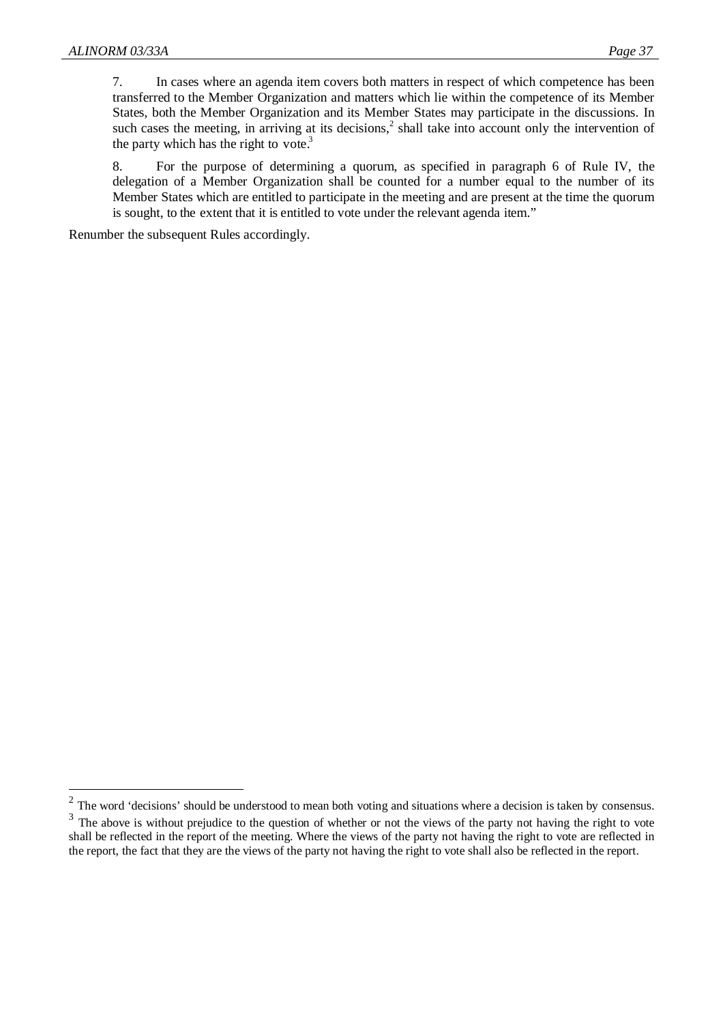$\overline{a}$ 

7. In cases where an agenda item covers both matters in respect of which competence has been transferred to the Member Organization and matters which lie within the competence of its Member States, both the Member Organization and its Member States may participate in the discussions. In such cases the meeting, in arriving at its decisions,<sup>2</sup> shall take into account only the intervention of the party which has the right to vote. $3$ 

8. For the purpose of determining a quorum, as specified in paragraph 6 of Rule IV, the delegation of a Member Organization shall be counted for a number equal to the number of its Member States which are entitled to participate in the meeting and are present at the time the quorum is sought, to the extent that it is entitled to vote under the relevant agenda item."

Renumber the subsequent Rules accordingly.

 $2$  The word 'decisions' should be understood to mean both voting and situations where a decision is taken by consensus.

 $3$  The above is without prejudice to the question of whether or not the views of the party not having the right to vote shall be reflected in the report of the meeting. Where the views of the party not having the right to vote are reflected in the report, the fact that they are the views of the party not having the right to vote shall also be reflected in the report.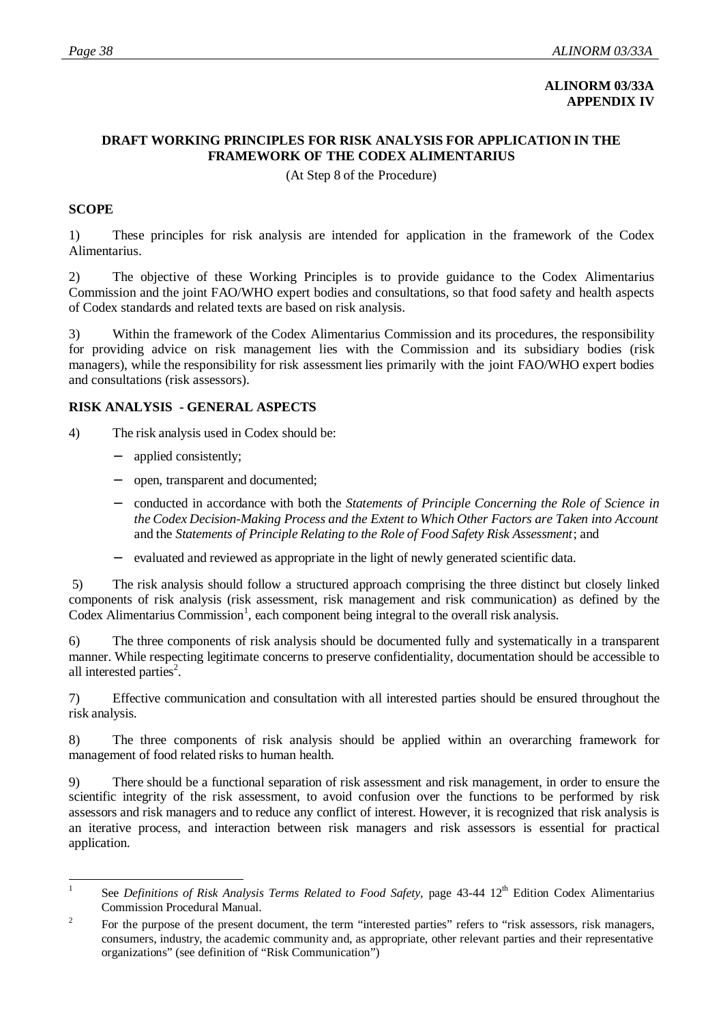## **ALINORM 03/33A APPENDIX IV**

## **DRAFT WORKING PRINCIPLES FOR RISK ANALYSIS FOR APPLICATION IN THE FRAMEWORK OF THE CODEX ALIMENTARIUS**

(At Step 8 of the Procedure)

## **SCOPE**

1) These principles for risk analysis are intended for application in the framework of the Codex Alimentarius.

2) The objective of these Working Principles is to provide guidance to the Codex Alimentarius Commission and the joint FAO/WHO expert bodies and consultations, so that food safety and health aspects of Codex standards and related texts are based on risk analysis.

3) Within the framework of the Codex Alimentarius Commission and its procedures, the responsibility for providing advice on risk management lies with the Commission and its subsidiary bodies (risk managers), while the responsibility for risk assessment lies primarily with the joint FAO/WHO expert bodies and consultations (risk assessors).

## **RISK ANALYSIS - GENERAL ASPECTS**

4) The risk analysis used in Codex should be:

- applied consistently;
- − open, transparent and documented;
- − conducted in accordance with both the *Statements of Principle Concerning the Role of Science in the Codex Decision-Making Process and the Extent to Which Other Factors are Taken into Account* and the *Statements of Principle Relating to the Role of Food Safety Risk Assessment*; and
- evaluated and reviewed as appropriate in the light of newly generated scientific data.

 5) The risk analysis should follow a structured approach comprising the three distinct but closely linked components of risk analysis (risk assessment, risk management and risk communication) as defined by the Codex Alimentarius Commission<sup>1</sup>, each component being integral to the overall risk analysis.

6) The three components of risk analysis should be documented fully and systematically in a transparent manner. While respecting legitimate concerns to preserve confidentiality, documentation should be accessible to all interested parties<sup>2</sup>.

7) Effective communication and consultation with all interested parties should be ensured throughout the risk analysis.

8) The three components of risk analysis should be applied within an overarching framework for management of food related risks to human health.

9) There should be a functional separation of risk assessment and risk management, in order to ensure the scientific integrity of the risk assessment, to avoid confusion over the functions to be performed by risk assessors and risk managers and to reduce any conflict of interest. However, it is recognized that risk analysis is an iterative process, and interaction between risk managers and risk assessors is essential for practical application.

 $\frac{1}{1}$ See *Definitions of Risk Analysis Terms Related to Food Safety*, page 43-44 12<sup>th</sup> Edition Codex Alimentarius Commission Procedural Manual.

<sup>2</sup> For the purpose of the present document, the term "interested parties" refers to "risk assessors, risk managers, consumers, industry, the academic community and, as appropriate, other relevant parties and their representative organizations" (see definition of "Risk Communication")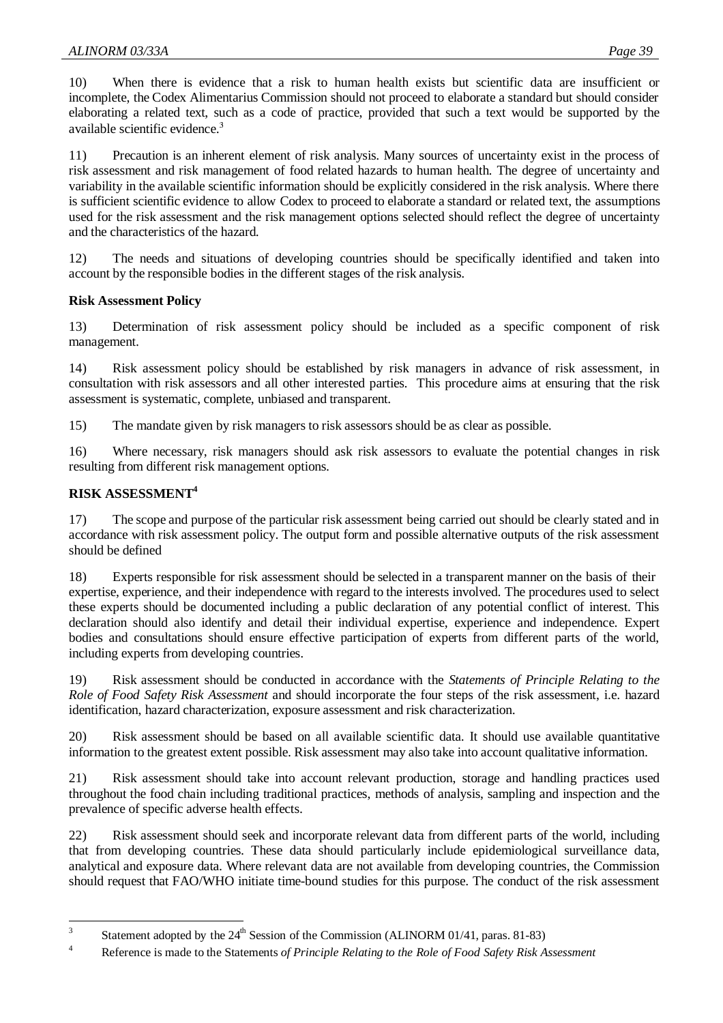10) When there is evidence that a risk to human health exists but scientific data are insufficient or incomplete, the Codex Alimentarius Commission should not proceed to elaborate a standard but should consider elaborating a related text, such as a code of practice, provided that such a text would be supported by the available scientific evidence.

11) Precaution is an inherent element of risk analysis. Many sources of uncertainty exist in the process of risk assessment and risk management of food related hazards to human health. The degree of uncertainty and variability in the available scientific information should be explicitly considered in the risk analysis. Where there is sufficient scientific evidence to allow Codex to proceed to elaborate a standard or related text, the assumptions used for the risk assessment and the risk management options selected should reflect the degree of uncertainty and the characteristics of the hazard.

12) The needs and situations of developing countries should be specifically identified and taken into account by the responsible bodies in the different stages of the risk analysis.

## **Risk Assessment Policy**

13) Determination of risk assessment policy should be included as a specific component of risk management.

14) Risk assessment policy should be established by risk managers in advance of risk assessment, in consultation with risk assessors and all other interested parties. This procedure aims at ensuring that the risk assessment is systematic, complete, unbiased and transparent.

15) The mandate given by risk managers to risk assessors should be as clear as possible.

16) Where necessary, risk managers should ask risk assessors to evaluate the potential changes in risk resulting from different risk management options.

## **RISK ASSESSMENT4**

17) The scope and purpose of the particular risk assessment being carried out should be clearly stated and in accordance with risk assessment policy. The output form and possible alternative outputs of the risk assessment should be defined

18) Experts responsible for risk assessment should be selected in a transparent manner on the basis of their expertise, experience, and their independence with regard to the interests involved. The procedures used to select these experts should be documented including a public declaration of any potential conflict of interest. This declaration should also identify and detail their individual expertise, experience and independence. Expert bodies and consultations should ensure effective participation of experts from different parts of the world, including experts from developing countries.

19) Risk assessment should be conducted in accordance with the *Statements of Principle Relating to the Role of Food Safety Risk Assessment* and should incorporate the four steps of the risk assessment, i.e. hazard identification, hazard characterization, exposure assessment and risk characterization.

20) Risk assessment should be based on all available scientific data. It should use available quantitative information to the greatest extent possible. Risk assessment may also take into account qualitative information.

21) Risk assessment should take into account relevant production, storage and handling practices used throughout the food chain including traditional practices, methods of analysis, sampling and inspection and the prevalence of specific adverse health effects.

22) Risk assessment should seek and incorporate relevant data from different parts of the world, including that from developing countries. These data should particularly include epidemiological surveillance data, analytical and exposure data. Where relevant data are not available from developing countries, the Commission should request that FAO/WHO initiate time-bound studies for this purpose. The conduct of the risk assessment

 $\frac{1}{3}$ Statement adopted by the  $24<sup>th</sup>$  Session of the Commission (ALINORM 01/41, paras. 81-83)

<sup>4</sup> Reference is made to the Statements *of Principle Relating to the Role of Food Safety Risk Assessment*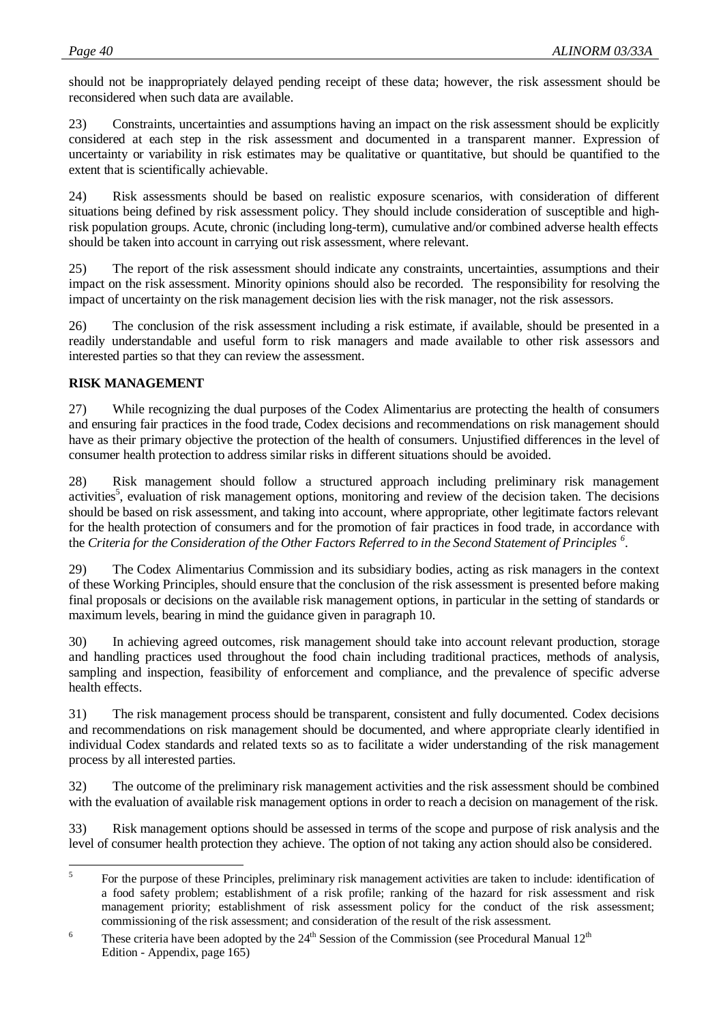should not be inappropriately delayed pending receipt of these data; however, the risk assessment should be reconsidered when such data are available.

23) Constraints, uncertainties and assumptions having an impact on the risk assessment should be explicitly considered at each step in the risk assessment and documented in a transparent manner. Expression of uncertainty or variability in risk estimates may be qualitative or quantitative, but should be quantified to the extent that is scientifically achievable.

24) Risk assessments should be based on realistic exposure scenarios, with consideration of different situations being defined by risk assessment policy. They should include consideration of susceptible and highrisk population groups. Acute, chronic (including long-term), cumulative and/or combined adverse health effects should be taken into account in carrying out risk assessment, where relevant.

25) The report of the risk assessment should indicate any constraints, uncertainties, assumptions and their impact on the risk assessment. Minority opinions should also be recorded. The responsibility for resolving the impact of uncertainty on the risk management decision lies with the risk manager, not the risk assessors.

26) The conclusion of the risk assessment including a risk estimate, if available, should be presented in a readily understandable and useful form to risk managers and made available to other risk assessors and interested parties so that they can review the assessment.

## **RISK MANAGEMENT**

27) While recognizing the dual purposes of the Codex Alimentarius are protecting the health of consumers and ensuring fair practices in the food trade, Codex decisions and recommendations on risk management should have as their primary objective the protection of the health of consumers. Unjustified differences in the level of consumer health protection to address similar risks in different situations should be avoided.

28) Risk management should follow a structured approach including preliminary risk management activities<sup>5</sup>, evaluation of risk management options, monitoring and review of the decision taken. The decisions should be based on risk assessment, and taking into account, where appropriate, other legitimate factors relevant for the health protection of consumers and for the promotion of fair practices in food trade, in accordance with the *Criteria for the Consideration of the Other Factors Referred to in the Second Statement of Principles <sup>6</sup>* .

29) The Codex Alimentarius Commission and its subsidiary bodies, acting as risk managers in the context of these Working Principles, should ensure that the conclusion of the risk assessment is presented before making final proposals or decisions on the available risk management options, in particular in the setting of standards or maximum levels, bearing in mind the guidance given in paragraph 10.

30) In achieving agreed outcomes, risk management should take into account relevant production, storage and handling practices used throughout the food chain including traditional practices, methods of analysis, sampling and inspection, feasibility of enforcement and compliance, and the prevalence of specific adverse health effects.

31) The risk management process should be transparent, consistent and fully documented. Codex decisions and recommendations on risk management should be documented, and where appropriate clearly identified in individual Codex standards and related texts so as to facilitate a wider understanding of the risk management process by all interested parties.

32) The outcome of the preliminary risk management activities and the risk assessment should be combined with the evaluation of available risk management options in order to reach a decision on management of the risk.

33) Risk management options should be assessed in terms of the scope and purpose of risk analysis and the level of consumer health protection they achieve. The option of not taking any action should also be considered.

 5 For the purpose of these Principles, preliminary risk management activities are taken to include: identification of a food safety problem; establishment of a risk profile; ranking of the hazard for risk assessment and risk management priority; establishment of risk assessment policy for the conduct of the risk assessment; commissioning of the risk assessment; and consideration of the result of the risk assessment.

<sup>6</sup> These criteria have been adopted by the  $24<sup>th</sup>$  Session of the Commission (see Procedural Manual  $12<sup>th</sup>$ Edition - Appendix, page 165)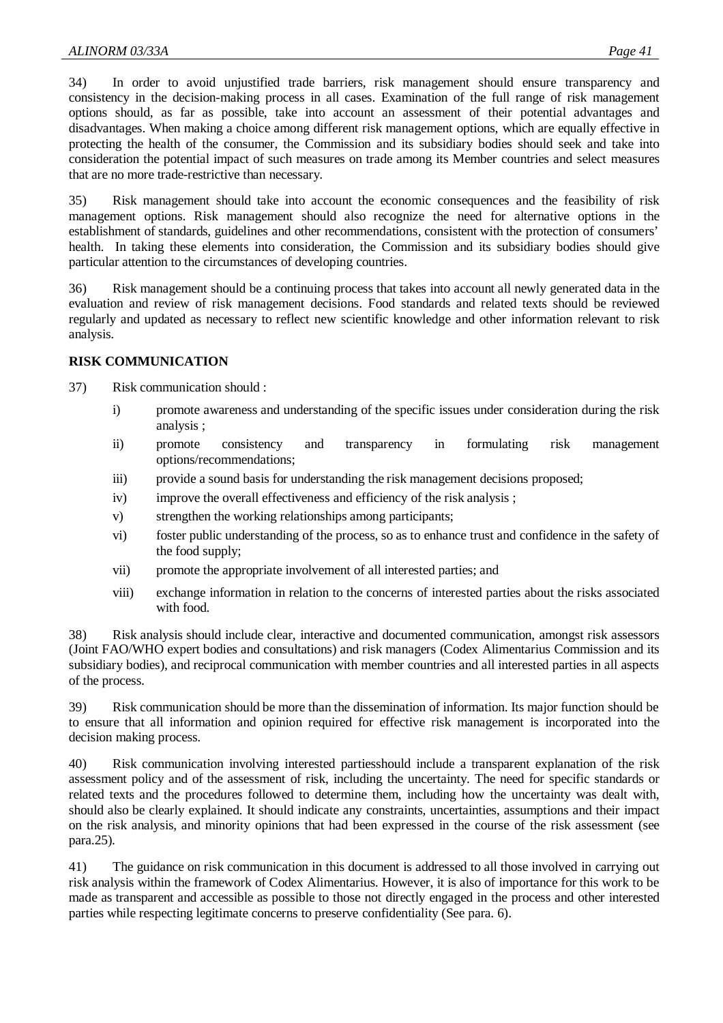34) In order to avoid unjustified trade barriers, risk management should ensure transparency and consistency in the decision-making process in all cases. Examination of the full range of risk management options should, as far as possible, take into account an assessment of their potential advantages and disadvantages. When making a choice among different risk management options, which are equally effective in protecting the health of the consumer, the Commission and its subsidiary bodies should seek and take into consideration the potential impact of such measures on trade among its Member countries and select measures that are no more trade-restrictive than necessary.

35) Risk management should take into account the economic consequences and the feasibility of risk management options. Risk management should also recognize the need for alternative options in the establishment of standards, guidelines and other recommendations, consistent with the protection of consumers' health. In taking these elements into consideration, the Commission and its subsidiary bodies should give particular attention to the circumstances of developing countries.

36) Risk management should be a continuing process that takes into account all newly generated data in the evaluation and review of risk management decisions. Food standards and related texts should be reviewed regularly and updated as necessary to reflect new scientific knowledge and other information relevant to risk analysis.

## **RISK COMMUNICATION**

37) Risk communication should :

- i) promote awareness and understanding of the specific issues under consideration during the risk analysis ;
- ii) promote consistency and transparency in formulating risk management options/recommendations;
- iii) provide a sound basis for understanding the risk management decisions proposed;
- iv) improve the overall effectiveness and efficiency of the risk analysis ;
- v) strengthen the working relationships among participants;
- vi) foster public understanding of the process, so as to enhance trust and confidence in the safety of the food supply;
- vii) promote the appropriate involvement of all interested parties; and
- viii) exchange information in relation to the concerns of interested parties about the risks associated with food.

38) Risk analysis should include clear, interactive and documented communication, amongst risk assessors (Joint FAO/WHO expert bodies and consultations) and risk managers (Codex Alimentarius Commission and its subsidiary bodies), and reciprocal communication with member countries and all interested parties in all aspects of the process.

39) Risk communication should be more than the dissemination of information. Its major function should be to ensure that all information and opinion required for effective risk management is incorporated into the decision making process.

40) Risk communication involving interested partiesshould include a transparent explanation of the risk assessment policy and of the assessment of risk, including the uncertainty. The need for specific standards or related texts and the procedures followed to determine them, including how the uncertainty was dealt with, should also be clearly explained. It should indicate any constraints, uncertainties, assumptions and their impact on the risk analysis, and minority opinions that had been expressed in the course of the risk assessment (see para.25).

41) The guidance on risk communication in this document is addressed to all those involved in carrying out risk analysis within the framework of Codex Alimentarius. However, it is also of importance for this work to be made as transparent and accessible as possible to those not directly engaged in the process and other interested parties while respecting legitimate concerns to preserve confidentiality (See para. 6).